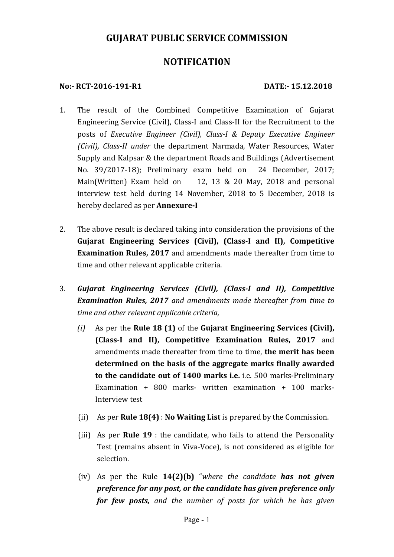# **GUJARAT PUBLIC SERVICE COMMISSION**

# **NOTIFICATI0N**

### **No:‐ RCT‐2016‐191‐R1 DATE:‐ 15.12.2018**

- 1. The result of the Combined Competitive Examination of Gujarat Engineering Service (Civil), Class-I and Class-II for the Recruitment to the posts of *Executive Engineer (Civil), Class‐I & Deputy Executive Engineer (Civil), Class‐II under* the department Narmada, Water Resources, Water Supply and Kalpsar & the department Roads and Buildings (Advertisement No. 39/2017-18); Preliminary exam held on 24 December, 2017; Main(Written) Exam held on 12, 13 & 20 May, 2018 and personal interview test held during 14 November, 2018 to 5 December, 2018 is hereby declared as per **Annexure‐I**
- 2. The above result is declared taking into consideration the provisions of the **Gujarat Engineering Services (Civil), (Class‐I and II), Competitive Examination Rules, 2017** and amendments made thereafter from time to time and other relevant applicable criteria.
- 3. *Gujarat Engineering Services (Civil), (Class‐I and II), Competitive Examination Rules, 2017 and amendments made thereafter from time to time and other relevant applicable criteria,*
	- *(i)* As per the **Rule 18 (1)** of the **Gujarat Engineering Services (Civil), (Class‐I and II), Competitive Examination Rules, 2017** and amendments made thereafter from time to time, **the merit has been determined on the basis of the aggregate marks finally awarded to the candidate out of 1400 marks i.e.** i.e. 500 marks-Preliminary Examination + 800 marks- written examination + 100 marks-Interview test
	- (ii) As per **Rule 18(4)** : **No Waiting List** is prepared by the Commission.
	- (iii) As per **Rule 19** : the candidate, who fails to attend the Personality Test (remains absent in Viva-Voce), is not considered as eligible for selection.
	- (iv) As per the Rule **14(2)(b)** "*where the candidate has not given preference for any post, or the candidate has given preference only for few posts, and the number of posts for which he has given*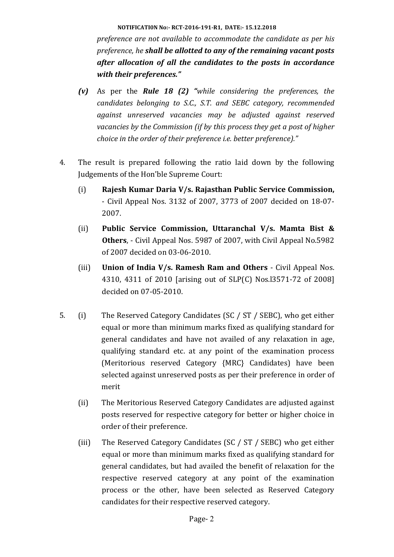**NOTIFICATI0N No:‐ RCT‐2016‐191‐R1, DATE:‐ 15.12.2018**

*preference are not available to accommodate the candidate as per his preference, he shall be allotted to any of the remaining vacant posts after allocation of all the candidates to the posts in accordance with their preferences."*

- *(v)*  As per the *Rule 18 (2) "while considering the preferences, the candidates belonging to S.C., S.T. and SEBC category, recommended against unreserved vacancies may be adjusted against reserved vacancies by the Commission (if by this process they get a post of higher choice in the order of their preference i.e. better preference)."*
- 4. The result is prepared following the ratio laid down by the following Judgements of the Hon'ble Supreme Court:
	- (i) **Rajesh Kumar Daria V/s. Rajasthan Public Service Commission,** - Civil Appeal Nos. 3132 of 2007, 3773 of 2007 decided on 18-07- 2007.
	- (ii) **Public Service Commission, Uttaranchal V/s. Mamta Bist & Others**, - Civil Appeal Nos. 5987 of 2007, with Civil Appeal No.5982 of 2007 decided on 03-06-2010.
	- (iii) **Union of India V/s. Ramesh Ram and Others** Civil Appeal Nos. 4310, 4311 of 2010 [arising out of SLP(C) Nos.l3571-72 of 2008] decided on 07-05-2010.
- 5. (i) The Reserved Category Candidates (SC / ST / SEBC), who get either equal or more than minimum marks fixed as qualifying standard for general candidates and have not availed of any relaxation in age, qualifying standard etc. at any point of the examination process (Meritorious reserved Category {MRC} Candidates) have been selected against unreserved posts as per their preference in order of merit
	- (ii) The Meritorious Reserved Category Candidates are adjusted against posts reserved for respective category for better or higher choice in order of their preference.
	- (iii) The Reserved Category Candidates (SC / ST / SEBC) who get either equal or more than minimum marks fixed as qualifying standard for general candidates, but had availed the benefit of relaxation for the respective reserved category at any point of the examination process or the other, have been selected as Reserved Category candidates for their respective reserved category.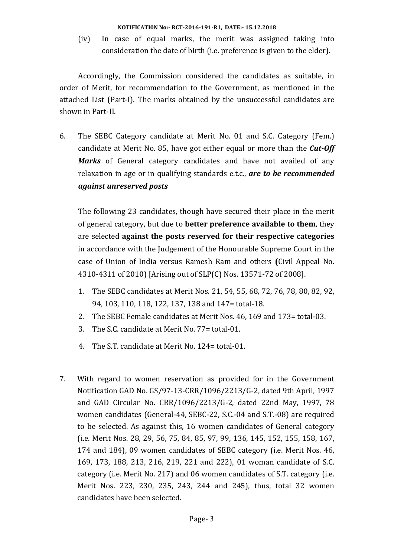**NOTIFICATI0N No:‐ RCT‐2016‐191‐R1, DATE:‐ 15.12.2018**

(iv) In case of equal marks, the merit was assigned taking into consideration the date of birth (i.e. preference is given to the elder).

Accordingly, the Commission considered the candidates as suitable, in order of Merit, for recommendation to the Government, as mentioned in the attached List (Part-I). The marks obtained by the unsuccessful candidates are shown in Part-II.

6. The SEBC Category candidate at Merit No. 01 and S.C. Category (Fem.) candidate at Merit No. 85, have got either equal or more than the *Cut‐Off Marks* of General category candidates and have not availed of any relaxation in age or in qualifying standards e.t.c., *are to be recommended against unreserved posts*

 The following 23 candidates, though have secured their place in the merit of general category, but due to **better preference available to them**, they are selected **against the posts reserved for their respective categories** in accordance with the Judgement of the Honourable Supreme Court in the case of Union of India versus Ramesh Ram and others **(**Civil Appeal No. 4310-4311 of 2010) [Arising out of SLP(C) Nos. 13571-72 of 2008].

- 1. The SEBC candidates at Merit Nos. 21, 54, 55, 68, 72, 76, 78, 80, 82, 92, 94, 103, 110, 118, 122, 137, 138 and 147= total-18.
- 2. The SEBC Female candidates at Merit Nos. 46, 169 and 173= total-03.
- 3. The S.C. candidate at Merit No. 77= total-01.
- 4. The S.T. candidate at Merit No. 124= total-01.
- 7. With regard to women reservation as provided for in the Government Notification GAD No. GS/97-13-CRR/1096/2213/G-2, dated 9th April, 1997 and GAD Circular No. CRR/1096/2213/G-2, dated 22nd May, 1997, 78 women candidates (General-44, SEBC-22, S.C.-04 and S.T.-08) are required to be selected. As against this, 16 women candidates of General category (i.e. Merit Nos. 28, 29, 56, 75, 84, 85, 97, 99, 136, 145, 152, 155, 158, 167, 174 and 184), 09 women candidates of SEBC category (i.e. Merit Nos. 46, 169, 173, 188, 213, 216, 219, 221 and 222), 01 woman candidate of S.C. category (i.e. Merit No. 217) and 06 women candidates of S.T. category (i.e. Merit Nos. 223, 230, 235, 243, 244 and 245), thus, total 32 women candidates have been selected.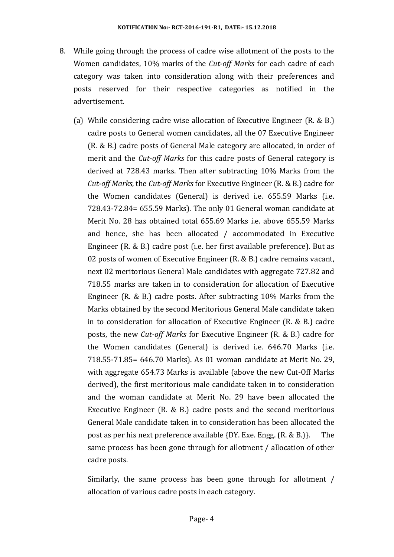- 8. While going through the process of cadre wise allotment of the posts to the Women candidates, 10% marks of the *Cut‐off Marks* for each cadre of each category was taken into consideration along with their preferences and posts reserved for their respective categories as notified in the advertisement.
	- (a) While considering cadre wise allocation of Executive Engineer (R. & B.) cadre posts to General women candidates, all the 07 Executive Engineer (R. & B.) cadre posts of General Male category are allocated, in order of merit and the *Cut‐off Marks* for this cadre posts of General category is derived at 728.43 marks. Then after subtracting 10% Marks from the *Cut‐off Marks*, the *Cut‐off Marks* for Executive Engineer (R. & B.) cadre for the Women candidates (General) is derived i.e. 655.59 Marks (i.e. 728.43-72.84= 655.59 Marks). The only 01 General woman candidate at Merit No. 28 has obtained total 655.69 Marks i.e. above 655.59 Marks and hence, she has been allocated / accommodated in Executive Engineer (R. & B.) cadre post (i.e. her first available preference). But as 02 posts of women of Executive Engineer (R. & B.) cadre remains vacant, next 02 meritorious General Male candidates with aggregate 727.82 and 718.55 marks are taken in to consideration for allocation of Executive Engineer (R. & B.) cadre posts. After subtracting 10% Marks from the Marks obtained by the second Meritorious General Male candidate taken in to consideration for allocation of Executive Engineer (R. & B.) cadre posts, the new *Cut‐off Marks* for Executive Engineer (R. & B.) cadre for the Women candidates (General) is derived i.e. 646.70 Marks (i.e. 718.55-71.85= 646.70 Marks). As 01 woman candidate at Merit No. 29, with aggregate 654.73 Marks is available (above the new Cut-Off Marks derived), the first meritorious male candidate taken in to consideration and the woman candidate at Merit No. 29 have been allocated the Executive Engineer (R. & B.) cadre posts and the second meritorious General Male candidate taken in to consideration has been allocated the post as per his next preference available {DY. Exe. Engg. (R. & B.)}. The same process has been gone through for allotment / allocation of other cadre posts.

 Similarly, the same process has been gone through for allotment / allocation of various cadre posts in each category.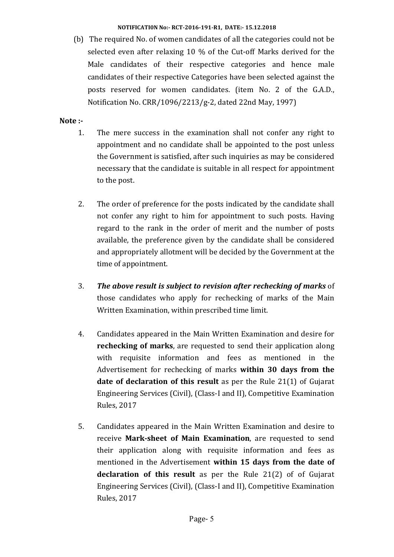#### **NOTIFICATI0N No:‐ RCT‐2016‐191‐R1, DATE:‐ 15.12.2018**

(b) The required No. of women candidates of all the categories could not be selected even after relaxing 10 % of the Cut-off Marks derived for the Male candidates of their respective categories and hence male candidates of their respective Categories have been selected against the posts reserved for women candidates. (item No. 2 of the G.A.D., Notification No. CRR/1096/2213/g-2, dated 22nd May, 1997)

### **Note**  $:$

- 1. The mere success in the examination shall not confer any right to appointment and no candidate shall be appointed to the post unless the Government is satisfied, after such inquiries as may be considered necessary that the candidate is suitable in all respect for appointment to the post.
- 2. The order of preference for the posts indicated by the candidate shall not confer any right to him for appointment to such posts. Having regard to the rank in the order of merit and the number of posts available, the preference given by the candidate shall be considered and appropriately allotment will be decided by the Government at the time of appointment.
- 3. *The above result is subject to revision after rechecking of marks* of those candidates who apply for rechecking of marks of the Main Written Examination, within prescribed time limit.
- 4. Candidates appeared in the Main Written Examination and desire for **rechecking of marks**, are requested to send their application along with requisite information and fees as mentioned in the Advertisement for rechecking of marks **within 30 days from the date of declaration of this result** as per the Rule 21(1) of Gujarat Engineering Services (Civil), (Class-I and II), Competitive Examination Rules, 2017
- 5. Candidates appeared in the Main Written Examination and desire to receive **Mark‐sheet of Main Examination**, are requested to send their application along with requisite information and fees as mentioned in the Advertisement **within 15 days from the date of declaration of this result** as per the Rule 21(2) of of Gujarat Engineering Services (Civil), (Class-I and II), Competitive Examination Rules, 2017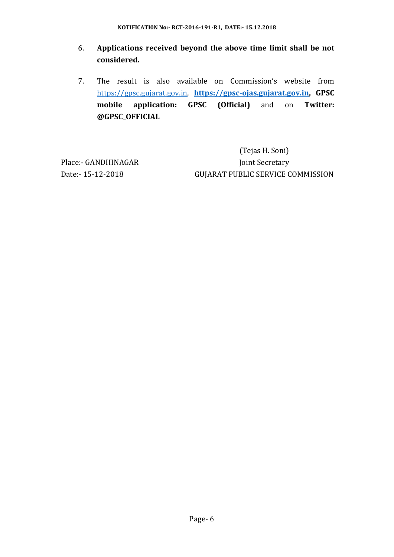- 6. **Applications received beyond the above time limit shall be not considered.**
- 7. The result is also available on Commission's website from https://gpsc.gujarat.gov.in, **https://gpsc‐ojas.gujarat.gov.in, GPSC mobile application: GPSC (Official)** and on **Twitter: @GPSC\_OFFICIAL**

 (Tejas H. Soni) Place:- GANDHINAGAR Joint Secretary Date:- 15-12-2018 GUJARAT PUBLIC SERVICE COMMISSION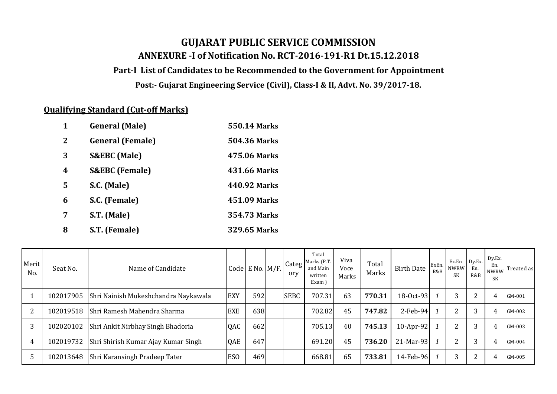# **GUJARAT PUBLIC SERVICE COMMISSION ANNEXURE ‐I of Notification No. RCT‐2016‐191‐R1 Dt.15.12.2018**

### **Part‐I List of Candidates to be Recommended to the Government for Appointment**

**Post:‐ Gujarat Engineering Service (Civil), Class‐I & II, Advt. No. 39/2017‐18.**

## **Qualifying Standard (Cut‐off Marks)**

| 1           | <b>General</b> (Male)     | <b>550.14 Marks</b> |
|-------------|---------------------------|---------------------|
| $\mathbf 2$ | <b>General (Female)</b>   | <b>504.36 Marks</b> |
| 3           | <b>S&amp;EBC</b> (Male)   | 475.06 Marks        |
| 4           | <b>S&amp;EBC</b> (Female) | 431.66 Marks        |
| 5           | S.C. (Male)               | 440.92 Marks        |
| 6           | S.C. (Female)             | 451.09 Marks        |
| 7           | S.T. (Male)               | 354.73 Marks        |
| 8           | S.T. (Female)             | <b>329.65 Marks</b> |

| Merit<br>No. | Seat No.  | Name of Candidate                    |                 | Code E No. $M/F$ . | Categ<br>ory | Total<br>Marks (P.T.<br>and Main<br>written<br>Exam) | Viva<br>Voce<br>Marks | Total<br>Marks | <b>Birth Date</b> | ExEn.<br>R&B | Ex.En<br><b>NWRW</b><br><b>SK</b> | Dy.Ex.<br>En.<br>R&B | Dy.Ex.<br>En.<br><b>NWRW</b><br>SK | Treated as |
|--------------|-----------|--------------------------------------|-----------------|--------------------|--------------|------------------------------------------------------|-----------------------|----------------|-------------------|--------------|-----------------------------------|----------------------|------------------------------------|------------|
|              | 102017905 | Shri Nainish Mukeshchandra Naykawala | <b>EXY</b>      | 592                | <b>SEBC</b>  | 707.31                                               | 63                    | 770.31         | $18-0ct-93$       |              | 3                                 | $\overline{2}$       | 4                                  | GM-001     |
|              | 102019518 | Shri Ramesh Mahendra Sharma          | <b>EXE</b>      | 638                |              | 702.82                                               | 45                    | 747.82         | $2$ -Feb-94       |              | 2                                 | 3                    | 4                                  | GM-002     |
| 3            | 102020102 | Shri Ankit Nirbhay Singh Bhadoria    | QAC             | 662                |              | 705.13                                               | 40                    | 745.13         | 10-Apr-92 $1$     |              | 2                                 | 3                    | 4                                  | GM-003     |
| 4            | 102019732 | Shri Shirish Kumar Ajay Kumar Singh  | QAE             | 647                |              | 691.20                                               | 45                    | 736.20         | 21-Mar-93 1       |              | $\mathcal{D}$                     | 3                    | 4                                  | GM-004     |
|              | 102013648 | Shri Karansingh Pradeep Tater        | ES <sub>O</sub> | 469                |              | 668.81                                               | 65                    | 733.81         | 14-Feb-96 1       |              | 3                                 | $\overline{2}$       | 4                                  | GM-005     |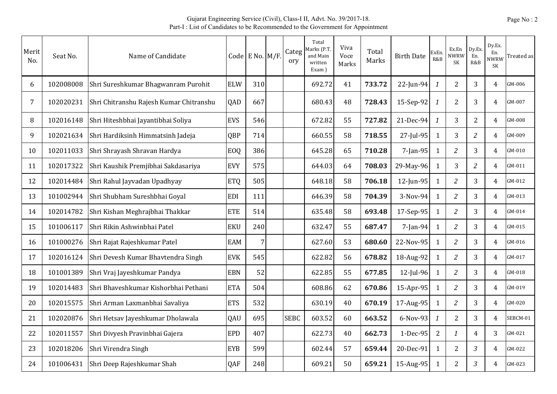| Merit<br>No. | Seat No.  | Name of Candidate                       |            | Code E No. M/F. | Categ<br>ory | Total<br>Marks (P.T.<br>and Main<br>written<br>Exam) | Viva<br>Voce<br>Marks | Total<br>Marks | <b>Birth Date</b> | ExEn<br>R&B      | Ex.En<br>NWRW<br><b>SK</b> | Dy.Ex.<br>En.<br>R&B | Dy.Ex.<br>En.<br><b>NWRW</b><br>SK | Treated as |
|--------------|-----------|-----------------------------------------|------------|-----------------|--------------|------------------------------------------------------|-----------------------|----------------|-------------------|------------------|----------------------------|----------------------|------------------------------------|------------|
| 6            | 102008008 | Shri Sureshkumar Bhagwanram Purohit     | <b>ELW</b> | 310             |              | 692.72                                               | 41                    | 733.72         | 22-Jun-94         | 1                | $\overline{2}$             | 3                    | 4                                  | GM-006     |
| 7            | 102020231 | Shri Chitranshu Rajesh Kumar Chitranshu | QAD        | 667             |              | 680.43                                               | 48                    | 728.43         | 15-Sep-92         | $\boldsymbol{1}$ | $\overline{2}$             | 3                    | 4                                  | GM-007     |
| 8            | 102016148 | Shri Hiteshbhai Jayantibhai Soliya      | <b>EVS</b> | 546             |              | 672.82                                               | 55                    | 727.82         | 21-Dec-94         | $\mathbf{1}$     | $\overline{3}$             | $\overline{2}$       | 4                                  | GM-008     |
| 9            | 102021634 | Shri Hardiksinh Himmatsinh Jadeja       | QBP        | 714             |              | 660.55                                               | 58                    | 718.55         | 27-Jul-95         | 1                | 3                          | $\overline{2}$       | 4                                  | GM-009     |
| 10           | 102011033 | Shri Shrayash Shravan Hardya            | <b>EOQ</b> | 386             |              | 645.28                                               | 65                    | 710.28         | 7-Jan-95          | $\mathbf{1}$     | $\overline{2}$             | 3                    | $\overline{4}$                     | GM-010     |
| 11           | 102017322 | Shri Kaushik Premjibhai Sakdasariya     | <b>EVY</b> | 575             |              | 644.03                                               | 64                    | 708.03         | 29-May-96         | 1                | 3                          | $\overline{c}$       | 4                                  | GM-011     |
| 12           | 102014484 | Shri Rahul Jayvadan Upadhyay            | <b>ETQ</b> | 505             |              | 648.18                                               | 58                    | 706.18         | 12-Jun-95         | $\mathbf{1}$     | $\overline{2}$             | 3                    | 4                                  | GM-012     |
| 13           | 101002944 | Shri Shubham Sureshbhai Goyal           | <b>EDI</b> | 111             |              | 646.39                                               | 58                    | 704.39         | 3-Nov-94          | 1                | $\overline{2}$             | 3                    | $\overline{4}$                     | GM-013     |
| 14           | 102014782 | Shri Kishan Meghrajbhai Thakkar         | <b>ETE</b> | 514             |              | 635.48                                               | 58                    | 693.48         | 17-Sep-95         | $\mathbf{1}$     | $\overline{2}$             | 3                    | $\overline{4}$                     | GM-014     |
| 15           | 101006117 | Shri Rikin Ashwinbhai Patel             | <b>EKU</b> | 240             |              | 632.47                                               | 55                    | 687.47         | 7-Jan-94          | 1                | $\overline{c}$             | 3                    | 4                                  | GM-015     |
| 16           | 101000276 | Shri Rajat Rajeshkumar Patel            | EAM        | 7               |              | 627.60                                               | 53                    | 680.60         | 22-Nov-95         | 1                | $\overline{2}$             | 3                    | 4                                  | GM-016     |
| 17           | 102016124 | Shri Devesh Kumar Bhavtendra Singh      | <b>EVK</b> | 545             |              | 622.82                                               | 56                    | 678.82         | 18-Aug-92         | 1                | $\overline{\mathcal{Z}}$   | 3                    | 4                                  | GM-017     |
| 18           | 101001389 | Shri Vraj Jayeshkumar Pandya            | <b>EBN</b> | 52              |              | 622.85                                               | 55                    | 677.85         | 12-Jul-96         | 1                | $\overline{2}$             | 3                    | $\overline{4}$                     | GM-018     |
| 19           | 102014483 | Shri Bhaveshkumar Kishorbhai Pethani    | <b>ETA</b> | 504             |              | 608.86                                               | 62                    | 670.86         | $15-Apr-95$       | 1                | $\overline{c}$             | 3                    | $\overline{4}$                     | GM-019     |
| 20           | 102015575 | Shri Arman Laxmanbhai Savaliya          | <b>ETS</b> | 532             |              | 630.19                                               | 40                    | 670.19         | 17-Aug-95         | 1                | 2                          | 3                    | 4                                  | GM-020     |
| 21           | 102020876 | Shri Hetsav Jayeshkumar Dholawala       | QAU        | 695             | <b>SEBC</b>  | 603.52                                               | 60                    | 663.52         | 6-Nov-93          | $\mathbf{1}$     | $\overline{2}$             | 3                    | 4                                  | SEBCM-01   |
| 22           | 102011557 | Shri Divyesh Pravinbhai Gajera          | <b>EPD</b> | 407             |              | 622.73                                               | 40                    | 662.73         | 1-Dec-95          | 2                | 1                          | 4                    | 3                                  | GM-021     |
| 23           | 102018206 | Shri Virendra Singh                     | <b>EYB</b> | 599             |              | 602.44                                               | 57                    | 659.44         | 20-Dec-91         | 1                | $\overline{2}$             | $\mathfrak{Z}$       | 4                                  | GM-022     |
| 24           | 101006431 | Shri Deep Rajeshkumar Shah              | QAF        | 248             |              | 609.21                                               | 50                    | 659.21         | 15-Aug-95         | 1                | $\overline{2}$             | $\mathfrak{Z}$       | 4                                  | GM-023     |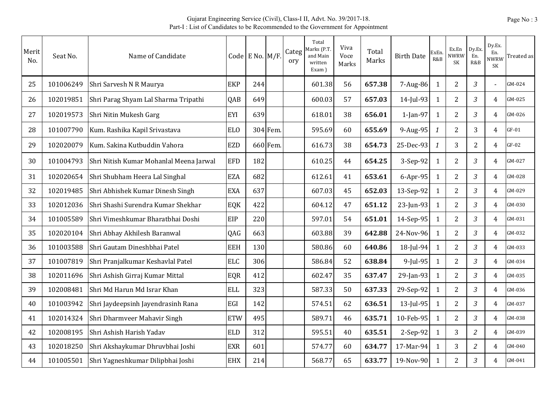| Merit<br>No. | Seat No.  | Name of Candidate                       |            | Code E No. $M/F$ . |          | Categ<br>ory | Total<br>Marks (P.T<br>and Main<br>written<br>Exam) | Viva<br>Voce<br>Marks | Total<br>Marks | <b>Birth Date</b> | ExEn<br>R&B  | Ex.En<br><b>NWRW</b><br><b>SK</b> | Dy.Ex.<br>En.<br>R&B | Dy.Ex.<br>En.<br>NWRW<br><b>SK</b> | Treated as |
|--------------|-----------|-----------------------------------------|------------|--------------------|----------|--------------|-----------------------------------------------------|-----------------------|----------------|-------------------|--------------|-----------------------------------|----------------------|------------------------------------|------------|
| 25           | 101006249 | Shri Sarvesh N R Maurya                 | <b>EKP</b> | 244                |          |              | 601.38                                              | 56                    | 657.38         | $7 - Aug-86$      | 1            | 2                                 | 3                    | $\overline{a}$                     | GM-024     |
| 26           | 102019851 | Shri Parag Shyam Lal Sharma Tripathi    | QAB        | 649                |          |              | 600.03                                              | 57                    | 657.03         | 14-Jul-93         | $\mathbf{1}$ | $\overline{2}$                    | $\mathfrak{Z}$       | 4                                  | GM-025     |
| 27           | 102019573 | Shri Nitin Mukesh Garg                  | EYI        | 639                |          |              | 618.01                                              | 38                    | 656.01         | 1-Jan-97          | $\mathbf{1}$ | $\overline{2}$                    | $\mathfrak{Z}$       | 4                                  | GM-026     |
| 28           | 101007790 | Kum. Rashika Kapil Srivastava           | <b>ELO</b> |                    | 304 Fem. |              | 595.69                                              | 60                    | 655.69         | 9-Aug-95          | 1            | $\overline{2}$                    | 3                    | 4                                  | $GF-01$    |
| 29           | 102020079 | Kum. Sakina Kutbuddin Vahora            | <b>EZD</b> |                    | 660 Fem. |              | 616.73                                              | 38                    | 654.73         | 25-Dec-93         | $\mathbf{1}$ | 3                                 | $\overline{2}$       | $\overline{4}$                     | $GF-02$    |
| 30           | 101004793 | Shri Nitish Kumar Mohanlal Meena Jarwal | <b>EFD</b> | 182                |          |              | 610.25                                              | 44                    | 654.25         | 3-Sep-92          | $\mathbf{1}$ | $\boldsymbol{2}$                  | 3                    | 4                                  | GM-027     |
| 31           | 102020654 | Shri Shubham Heera Lal Singhal          | <b>EZA</b> | 682                |          |              | 612.61                                              | 41                    | 653.61         | $6$ -Apr-95       | $\mathbf{1}$ | $\overline{2}$                    | 3                    | $\overline{4}$                     | GM-028     |
| 32           | 102019485 | Shri Abhishek Kumar Dinesh Singh        | <b>EXA</b> | 637                |          |              | 607.03                                              | 45                    | 652.03         | $13-Sep-92$       | $\mathbf{1}$ | $\overline{2}$                    | 3                    | $\overline{4}$                     | GM-029     |
| 33           | 102012036 | Shri Shashi Surendra Kumar Shekhar      | EQK        | 422                |          |              | 604.12                                              | 47                    | 651.12         | 23-Jun-93         | $\mathbf{1}$ | 2                                 | $\mathfrak{Z}$       | $\overline{4}$                     | GM-030     |
| 34           | 101005589 | Shri Vimeshkumar Bharatbhai Doshi       | EIP        | 220                |          |              | 597.01                                              | 54                    | 651.01         | 14-Sep-95         | $\mathbf{1}$ | $\overline{2}$                    | $\mathfrak{Z}$       | 4                                  | GM-031     |
| 35           | 102020104 | Shri Abhay Akhilesh Baranwal            | QAG        | 663                |          |              | 603.88                                              | 39                    | 642.88         | 24-Nov-96         | $\mathbf{1}$ | $\overline{2}$                    | $\mathfrak{Z}$       | 4                                  | GM-032     |
| 36           | 101003588 | Shri Gautam Dineshbhai Patel            | <b>EEH</b> | 130                |          |              | 580.86                                              | 60                    | 640.86         | 18-Jul-94         | $\mathbf{1}$ | $\overline{2}$                    | 3                    | $\overline{4}$                     | GM-033     |
| 37           | 101007819 | Shri Pranjalkumar Keshavlal Patel       | <b>ELC</b> | 306                |          |              | 586.84                                              | 52                    | 638.84         | $9$ -Jul-95       | $\mathbf{1}$ | $\overline{2}$                    | $\mathfrak{Z}$       | $\overline{4}$                     | GM-034     |
| 38           | 102011696 | Shri Ashish Girraj Kumar Mittal         | EQR        | 412                |          |              | 602.47                                              | 35                    | 637.47         | 29-Jan-93         | 1            | $\overline{2}$                    | $\mathfrak{Z}$       | $\overline{4}$                     | GM-035     |
| 39           | 102008481 | Shri Md Harun Md Israr Khan             | <b>ELL</b> | 323                |          |              | 587.33                                              | 50                    | 637.33         | 29-Sep-92         | $\mathbf{1}$ | 2                                 | $\mathfrak{Z}$       | $\overline{4}$                     | GM-036     |
| 40           | 101003942 | Shri Jaydeepsinh Jayendrasinh Rana      | EGI        | 142                |          |              | 574.51                                              | 62                    | 636.51         | $13$ -Jul-95      | $\mathbf{1}$ | $\overline{2}$                    | $\mathfrak{Z}$       | $\overline{4}$                     | GM-037     |
| 41           | 102014324 | Shri Dharmveer Mahavir Singh            | <b>ETW</b> | 495                |          |              | 589.71                                              | 46                    | 635.71         | 10-Feb-95         | $\mathbf{1}$ | $\overline{2}$                    | $\mathfrak{Z}$       | $\overline{4}$                     | GM-038     |
| 42           | 102008195 | Shri Ashish Harish Yadav                | <b>ELD</b> | 312                |          |              | 595.51                                              | 40                    | 635.51         | 2-Sep-92          | $\mathbf{1}$ | 3                                 | $\overline{2}$       | 4                                  | GM-039     |
| 43           | 102018250 | Shri Akshaykumar Dhruvbhai Joshi        | <b>EXR</b> | 601                |          |              | 574.77                                              | 60                    | 634.77         | 17-Mar-94         | 1            | 3                                 | $\overline{2}$       | $\overline{4}$                     | GM-040     |
| 44           | 101005501 | Shri Yagneshkumar Dilipbhai Joshi       | <b>EHX</b> | 214                |          |              | 568.77                                              | 65                    | 633.77         | 19-Nov-90         | 1            | 2                                 | 3                    | 4                                  | GM-041     |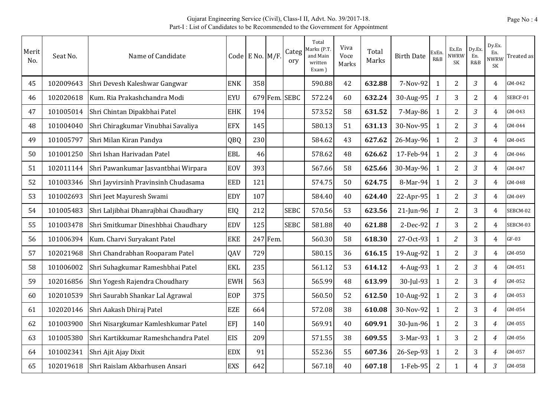| Merit<br>No. | Seat No.  | Name of Candidate                    |            | Code E No. $M/F$ . |          | Categ<br>ory | Total<br>Marks (P.T<br>and Main<br>written<br>Exam) | Viva<br>Voce<br>Marks | Total<br>Marks | <b>Birth Date</b> | ExEn<br>R&B    | Ex.En<br><b>NWRW</b><br>SK | Dy.Ex.<br>En.<br>R&B | Dy.Ex.<br>En.<br>NWRW<br>SK | Treated as |
|--------------|-----------|--------------------------------------|------------|--------------------|----------|--------------|-----------------------------------------------------|-----------------------|----------------|-------------------|----------------|----------------------------|----------------------|-----------------------------|------------|
| 45           | 102009643 | Shri Devesh Kaleshwar Gangwar        | <b>ENK</b> | 358                |          |              | 590.88                                              | 42                    | 632.88         | 7-Nov-92          | 1              | $\overline{2}$             | $\mathfrak{Z}$       | $\overline{4}$              | GM-042     |
| 46           | 102020618 | Kum. Ria Prakashchandra Modi         | <b>EYU</b> |                    | 679 Fem. | <b>SEBC</b>  | 572.24                                              | 60                    | 632.24         | 30-Aug-95         | $\mathbf{1}$   | 3                          | $\overline{2}$       | 4                           | SEBCF-01   |
| 47           | 101005014 | Shri Chintan Dipakbhai Patel         | <b>EHK</b> | 194                |          |              | 573.52                                              | 58                    | 631.52         | $7-May-86$        | $\mathbf{1}$   | $\overline{2}$             | $\overline{3}$       | $\overline{4}$              | GM-043     |
| 48           | 101004040 | Shri Chiragkumar Vinubhai Savaliya   | <b>EFX</b> | 145                |          |              | 580.13                                              | 51                    | 631.13         | 30-Nov-95         | $\mathbf{1}$   | $\overline{2}$             | 3                    | $\overline{4}$              | GM-044     |
| 49           | 101005797 | Shri Milan Kiran Pandya              | QBQ        | 230                |          |              | 584.62                                              | 43                    | 627.62         | 26-May-96         | 1              | 2                          | $\overline{3}$       | 4                           | GM-045     |
| 50           | 101001250 | Shri Ishan Harivadan Patel           | <b>EBL</b> | 46                 |          |              | 578.62                                              | 48                    | 626.62         | 17-Feb-94         | $\mathbf{1}$   | $\overline{2}$             | $\mathfrak{Z}$       | 4                           | GM-046     |
| 51           | 102011144 | Shri Pawankumar Jasvantbhai Wirpara  | <b>EOV</b> | 393                |          |              | 567.66                                              | 58                    | 625.66         | 30-May-96         | 1              | $\overline{2}$             | $\mathfrak{Z}$       | 4                           | GM-047     |
| 52           | 101003346 | Shri Jayvirsinh Pravinsinh Chudasama | <b>EED</b> | 121                |          |              | 574.75                                              | 50                    | 624.75         | 8-Mar-94          | $\mathbf{1}$   | $\overline{2}$             | 3                    | $\overline{4}$              | GM-048     |
| 53           | 101002693 | Shri Jeet Mayuresh Swami             | <b>EDY</b> | 107                |          |              | 584.40                                              | 40                    | 624.40         | 22-Apr-95         | $\mathbf{1}$   | $\overline{2}$             | $\mathfrak{Z}$       | $\overline{4}$              | GM-049     |
| 54           | 101005483 | Shri Laljibhai Dhanrajbhai Chaudhary | EIQ        | 212                |          | <b>SEBC</b>  | 570.56                                              | 53                    | 623.56         | $21$ -Jun-96      | $\mathbf{1}$   | $\overline{2}$             | 3                    | $\overline{4}$              | SEBCM-02   |
| 55           | 101003478 | Shri Smitkumar Dineshbhai Chaudhary  | <b>EDV</b> | 125                |          | <b>SEBC</b>  | 581.88                                              | 40                    | 621.88         | 2-Dec-92          | $\mathbf{1}$   | 3                          | $\overline{2}$       | $\overline{4}$              | SEBCM-03   |
| 56           | 101006394 | Kum. Charvi Suryakant Patel          | <b>EKE</b> |                    | 247 Fem. |              | 560.30                                              | 58                    | 618.30         | 27-Oct-93         | $\mathbf{1}$   | $\overline{2}$             | 3                    | $\overline{4}$              | $GF-03$    |
| 57           | 102021968 | Shri Chandrabhan Rooparam Patel      | QAV        | 729                |          |              | 580.15                                              | 36                    | 616.15         | 19-Aug-92         | $\mathbf{1}$   | $\overline{2}$             | $\mathfrak{Z}$       | $\overline{4}$              | GM-050     |
| 58           | 101006002 | Shri Suhagkumar Rameshbhai Patel     | <b>EKL</b> | 235                |          |              | 561.12                                              | 53                    | 614.12         | $4$ -Aug-93       | $\mathbf{1}$   | 2                          | $\mathfrak{Z}$       | $\overline{4}$              | GM-051     |
| 59           | 102016856 | Shri Yogesh Rajendra Choudhary       | <b>EWH</b> | 563                |          |              | 565.99                                              | 48                    | 613.99         | 30-Jul-93         | $\mathbf{1}$   | $\overline{2}$             | 3                    | $\overline{4}$              | GM-052     |
| 60           | 102010539 | Shri Saurabh Shankar Lal Agrawal     | EOP        | 375                |          |              | 560.50                                              | 52                    | 612.50         | 10-Aug-92         | $\mathbf{1}$   | $\overline{2}$             | 3                    | $\overline{4}$              | GM-053     |
| 61           | 102020146 | Shri Aakash Dhiraj Patel             | <b>EZE</b> | 664                |          |              | 572.08                                              | 38                    | 610.08         | 30-Nov-92         | $\mathbf{1}$   | $\overline{2}$             | 3                    | $\overline{4}$              | GM-054     |
| 62           | 101003900 | Shri Nisargkumar Kamleshkumar Patel  | EFJ        | 140                |          |              | 569.91                                              | 40                    | 609.91         | 30-Jun-96         | 1              | $\overline{2}$             | $\overline{3}$       | $\overline{4}$              | GM-055     |
| 63           | 101005380 | Shri Kartikkumar Rameshchandra Patel | <b>EIS</b> | 209                |          |              | 571.55                                              | 38                    | 609.55         | 3-Mar-93          | $\mathbf{1}$   | 3                          | $\overline{2}$       | $\overline{4}$              | GM-056     |
| 64           | 101002341 | Shri Ajit Ajay Dixit                 | <b>EDX</b> | 91                 |          |              | 552.36                                              | 55                    | 607.36         | $26$ -Sep-93      | $\mathbf{1}$   | $\overline{2}$             | 3                    | $\overline{4}$              | GM-057     |
| 65           | 102019618 | Shri Raislam Akbarhusen Ansari       | <b>EXS</b> | 642                |          |              | 567.18                                              | 40                    | 607.18         | $1-Feb-95$        | $\overline{2}$ | 1                          | 4                    | 3                           | GM-058     |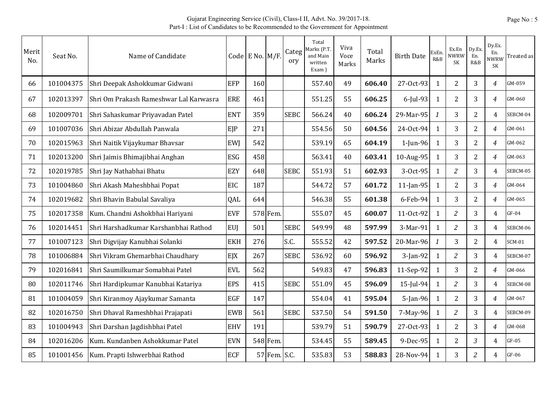| Merit<br>No. | Seat No.  | Name of Candidate                      |            | Code E No. $M/F$ . |              | Categ<br>ory | Total<br>Marks (P.T<br>and Main<br>written<br>Exam) | Viva<br>Voce<br>Marks | Total<br>Marks | <b>Birth Date</b> | ExEn<br>R&B   | Ex.En<br><b>NWRW</b><br><b>SK</b> | Dy.Ex.<br>En.<br>R&B | Dy.Ex.<br>En.<br><b>NWRW</b><br>SK | Treated as    |
|--------------|-----------|----------------------------------------|------------|--------------------|--------------|--------------|-----------------------------------------------------|-----------------------|----------------|-------------------|---------------|-----------------------------------|----------------------|------------------------------------|---------------|
| 66           | 101004375 | Shri Deepak Ashokkumar Gidwani         | EFP        | 160                |              |              | 557.40                                              | 49                    | 606.40         | 27-Oct-93         | 1             | $\overline{2}$                    | 3                    | $\overline{4}$                     | GM-059        |
| 67           | 102013397 | Shri Om Prakash Rameshwar Lal Karwasra | <b>ERE</b> | 461                |              |              | 551.25                                              | 55                    | 606.25         | 6-Jul-93          | $\mathbf{1}$  | $\overline{2}$                    | 3                    | 4                                  | GM-060        |
| 68           | 102009701 | Shri Sahaskumar Priyavadan Patel       | <b>ENT</b> | 359                |              | <b>SEBC</b>  | 566.24                                              | 40                    | 606.24         | 29-Mar-95         | $\mathcal{I}$ | 3                                 | $\overline{2}$       | $\overline{4}$                     | SEBCM-04      |
| 69           | 101007036 | Shri Abizar Abdullah Panwala           | EJP        | 271                |              |              | 554.56                                              | 50                    | 604.56         | 24-Oct-94         | $\mathbf{1}$  | 3                                 | $\overline{2}$       | $\overline{4}$                     | GM-061        |
| 70           | 102015963 | Shri Naitik Vijaykumar Bhavsar         | EWI        | 542                |              |              | 539.19                                              | 65                    | 604.19         | $1$ -Jun-96       | $\mathbf{1}$  | 3                                 | $\overline{2}$       | 4                                  | GM-062        |
| 71           | 102013200 | Shri Jaimis Bhimajibhai Anghan         | ESG        | 458                |              |              | 563.41                                              | 40                    | 603.41         | $10$ -Aug-95      | $\mathbf{1}$  | 3                                 | $\overline{2}$       | $\overline{4}$                     | GM-063        |
| 72           | 102019785 | Shri Jay Nathabhai Bhatu               | <b>EZY</b> | 648                |              | <b>SEBC</b>  | 551.93                                              | 51                    | 602.93         | 3-Oct-95          | 1             | 2                                 | 3                    | 4                                  | SEBCM-05      |
| 73           | 101004860 | Shri Akash Maheshbhai Popat            | <b>EIC</b> | 187                |              |              | 544.72                                              | 57                    | 601.72         | $11$ -Jan-95      | $\mathbf{1}$  | $\overline{2}$                    | 3                    | 4                                  | GM-064        |
| 74           | 102019682 | Shri Bhavin Babulal Savaliya           | QAL        | 644                |              |              | 546.38                                              | 55                    | 601.38         | $6$ -Feb-94       | $\mathbf{1}$  | 3                                 | $\overline{2}$       | $\overline{4}$                     | GM-065        |
| 75           | 102017358 | Kum. Chandni Ashokbhai Hariyani        | <b>EVF</b> |                    | 578 Fem.     |              | 555.07                                              | 45                    | 600.07         | 11-Oct-92         | $\mathbf{1}$  | $\overline{2}$                    | 3                    | $\overline{4}$                     | $GF-04$       |
| 76           | 102014451 | Shri Harshadkumar Karshanbhai Rathod   | <b>EUJ</b> | 501                |              | <b>SEBC</b>  | 549.99                                              | 48                    | 597.99         | 3-Mar-91          | 1             | $\overline{2}$                    | 3                    | $\overline{4}$                     | SEBCM-06      |
| 77           | 101007123 | Shri Digvijay Kanubhai Solanki         | <b>EKH</b> | 276                |              | S.C.         | 555.52                                              | 42                    | 597.52         | 20-Mar-96         | $\mathbf{1}$  | 3                                 | $\overline{2}$       | $\overline{4}$                     | <b>SCM-01</b> |
| 78           | 101006884 | Shri Vikram Ghemarbhai Chaudhary       | EJX        | 267                |              | <b>SEBC</b>  | 536.92                                              | 60                    | 596.92         | $3$ -Jan-92       | $\mathbf{1}$  | $\overline{c}$                    | 3                    | $\overline{4}$                     | SEBCM-07      |
| 79           | 102016841 | Shri Saumilkumar Somabhai Patel        | <b>EVL</b> | 562                |              |              | 549.83                                              | 47                    | 596.83         | 11-Sep-92         | $\mathbf{1}$  | 3                                 | $\overline{2}$       | $\overline{4}$                     | GM-066        |
| 80           | 102011746 | Shri Hardipkumar Kanubhai Katariya     | <b>EPS</b> | 415                |              | <b>SEBC</b>  | 551.09                                              | 45                    | 596.09         | $15$ -Jul-94      | $\mathbf{1}$  | $\overline{c}$                    | 3                    | $\overline{4}$                     | SEBCM-08      |
| 81           | 101004059 | Shri Kiranmoy Ajaykumar Samanta        | <b>EGF</b> | 147                |              |              | 554.04                                              | 41                    | 595.04         | $5$ -Jan-96       | 1             | $\overline{2}$                    | 3                    | $\overline{4}$                     | GM-067        |
| 82           | 102016750 | Shri Dhaval Rameshbhai Prajapati       | <b>EWB</b> | 561                |              | <b>SEBC</b>  | 537.50                                              | 54                    | 591.50         | 7-May-96          | 1             | $\overline{2}$                    | 3                    | $\overline{4}$                     | SEBCM-09      |
| 83           | 101004943 | Shri Darshan Jagdishbhai Patel         | <b>EHV</b> | 191                |              |              | 539.79                                              | 51                    | 590.79         | 27-Oct-93         | 1             | $\overline{2}$                    | 3                    | $\overline{4}$                     | GM-068        |
| 84           | 102016206 | Kum. Kundanben Ashokkumar Patel        | <b>EVN</b> |                    | 548 Fem.     |              | 534.45                                              | 55                    | 589.45         | 9-Dec-95          | $\mathbf{1}$  | $\overline{2}$                    | 3                    | $\overline{4}$                     | $GF-05$       |
| 85           | 101001456 | Kum. Prapti Ishwerbhai Rathod          | <b>ECF</b> |                    | 57 Fem. S.C. |              | 535.83                                              | 53                    | 588.83         | 28-Nov-94         | 1             | 3                                 | $\overline{2}$       | 4                                  | GF-06         |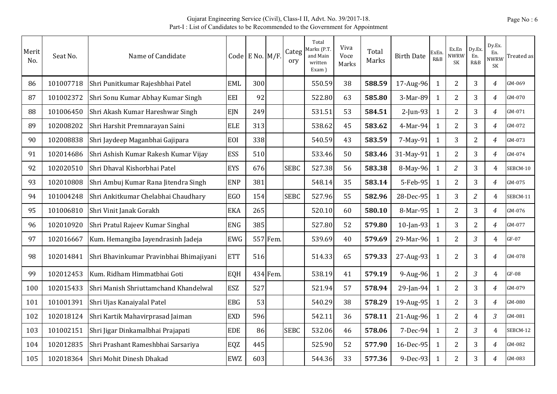| Merit<br>No. | Seat No.  | Name of Candidate                       |            | Code E No. M/F. |          | Categ<br>ory | Total<br>Marks (P.T.<br>and Main<br>written<br>Exam) | Viva<br>Voce<br>Marks | Total<br>Marks | <b>Birth Date</b> | ExEn<br>R&B  | Ex.En<br>NWRW<br><b>SK</b> | Dy.Ex.<br>En.<br>R&B | Dy.Ex.<br>En.<br><b>NWRW</b><br>SK | Treated as |
|--------------|-----------|-----------------------------------------|------------|-----------------|----------|--------------|------------------------------------------------------|-----------------------|----------------|-------------------|--------------|----------------------------|----------------------|------------------------------------|------------|
| 86           | 101007718 | Shri Punitkumar Rajeshbhai Patel        | <b>EML</b> | 300             |          |              | 550.59                                               | 38                    | 588.59         | 17-Aug-96         | 1            | $\overline{2}$             | 3                    | $\overline{4}$                     | GM-069     |
| 87           | 101002372 | Shri Sonu Kumar Abhay Kumar Singh       | EEI        | 92              |          |              | 522.80                                               | 63                    | 585.80         | 3-Mar-89          | $\mathbf{1}$ | 2                          | 3                    | $\overline{4}$                     | GM-070     |
| 88           | 101006450 | Shri Akash Kumar Hareshwar Singh        | <b>EJN</b> | 249             |          |              | 531.51                                               | 53                    | 584.51         | 2-Jun-93          | 1            | 2                          | 3                    | 4                                  | GM-071     |
| 89           | 102008202 | Shri Harshit Premnarayan Saini          | <b>ELE</b> | 313             |          |              | 538.62                                               | 45                    | 583.62         | 4-Mar-94          | 1            | $\overline{2}$             | 3                    | 4                                  | GM-072     |
| 90           | 102008838 | Shri Jaydeep Maganbhai Gajipara         | EOI        | 338             |          |              | 540.59                                               | 43                    | 583.59         | 7-May-91          | $\mathbf{1}$ | 3                          | $\overline{2}$       | 4                                  | GM-073     |
| 91           | 102014686 | Shri Ashish Kumar Rakesh Kumar Vijay    | <b>ESS</b> | 510             |          |              | 533.46                                               | 50                    | 583.46         | 31-May-91         | 1            | $\overline{2}$             | 3                    | $\overline{4}$                     | GM-074     |
| 92           | 102020510 | Shri Dhaval Kishorbhai Patel            | <b>EYS</b> | 676             |          | <b>SEBC</b>  | 527.38                                               | 56                    | 583.38         | 8-May-96          | 1            | $\overline{c}$             | 3                    | $\overline{4}$                     | SEBCM-10   |
| 93           | 102010808 | Shri Ambuj Kumar Rana Jitendra Singh    | <b>ENP</b> | 381             |          |              | 548.14                                               | 35                    | 583.14         | 5-Feb-95          | 1            | $\overline{2}$             | 3                    | $\overline{4}$                     | GM-075     |
| 94           | 101004248 | Shri Ankitkumar Chelabhai Chaudhary     | EGO        | 154             |          | <b>SEBC</b>  | 527.96                                               | 55                    | 582.96         | 28-Dec-95         | 1            | 3                          | $\overline{c}$       | $\overline{4}$                     | SEBCM-11   |
| 95           | 101006810 | Shri Vinit Janak Gorakh                 | <b>EKA</b> | 265             |          |              | 520.10                                               | 60                    | 580.10         | 8-Mar-95          | 1            | $\overline{2}$             | 3                    | $\overline{4}$                     | GM-076     |
| 96           | 102010920 | Shri Pratul Rajeev Kumar Singhal        | <b>ENG</b> | 385             |          |              | 527.80                                               | 52                    | 579.80         | 10-Jan-93         | 1            | 3                          | $\overline{2}$       | $\overline{4}$                     | GM-077     |
| 97           | 102016667 | Kum. Hemangiba Jayendrasinh Jadeja      | <b>EWG</b> |                 | 557 Fem  |              | 539.69                                               | 40                    | 579.69         | 29-Mar-96         | 1            | $\overline{2}$             | 3                    | $\overline{4}$                     | $GF-07$    |
| 98           | 102014841 | Shri Bhavinkumar Pravinbhai Bhimajiyani | <b>ETT</b> | 516             |          |              | 514.33                                               | 65                    | 579.33         | 27-Aug-93         | $\mathbf{1}$ | $\overline{2}$             | 3                    | $\overline{4}$                     | GM-078     |
| 99           | 102012453 | Kum. Ridham Himmatbhai Goti             | EQH        |                 | 434 Fem. |              | 538.19                                               | 41                    | 579.19         | 9-Aug-96          | $\mathbf{1}$ | $\overline{2}$             | $\overline{3}$       | $\overline{4}$                     | $GF-08$    |
| 100          | 102015433 | Shri Manish Shriuttamchand Khandelwal   | <b>ESZ</b> | 527             |          |              | 521.94                                               | 57                    | 578.94         | 29-Jan-94         | $\mathbf{1}$ | 2                          | 3                    | $\overline{4}$                     | GM-079     |
| 101          | 101001391 | Shri Ujas Kanaiyalal Patel              | <b>EBG</b> | 53              |          |              | 540.29                                               | 38                    | 578.29         | 19-Aug-95         | $\mathbf{1}$ | $\overline{2}$             | 3                    | $\overline{4}$                     | GM-080     |
| 102          | 102018124 | Shri Kartik Mahavirprasad Jaiman        | <b>EXD</b> | 596             |          |              | 542.11                                               | 36                    | 578.11         | 21-Aug-96         | $\mathbf{1}$ | $\overline{2}$             | $\overline{4}$       | 3                                  | GM-081     |
| 103          | 101002151 | Shri Jigar Dinkamalbhai Prajapati       | <b>EDE</b> | 86              |          | <b>SEBC</b>  | 532.06                                               | 46                    | 578.06         | 7-Dec-94          | 1            | $\overline{2}$             | 3                    | $\overline{4}$                     | SEBCM-12   |
| 104          | 102012835 | Shri Prashant Rameshbhai Sarsariya      | EQZ        | 445             |          |              | 525.90                                               | 52                    | 577.90         | 16-Dec-95         | 1            | $\overline{2}$             | 3                    | $\overline{4}$                     | GM-082     |
| 105          | 102018364 | Shri Mohit Dinesh Dhakad                | <b>EWZ</b> | 603             |          |              | 544.36                                               | 33                    | 577.36         | 9-Dec-93          |              | $\overline{2}$             | 3                    | 4                                  | GM-083     |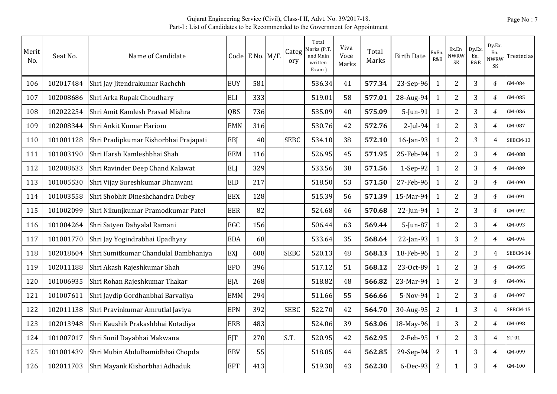| Merit<br>No. | Seat No.  | Name of Candidate                     |                 | Code E No. $M/F$ . | Categ<br>ory | Total<br>Marks (P.T.<br>and Main<br>written<br>Exam) | Viva<br>Voce<br>Marks | Total<br>Marks | <b>Birth Date</b> | ExEn<br>R&B    | Ex.En<br>NWRW<br>SK | Dy.Ex.<br>En.<br>R&B | Dy.Ex.<br>En.<br><b>NWRW</b><br>SK | Treated as |
|--------------|-----------|---------------------------------------|-----------------|--------------------|--------------|------------------------------------------------------|-----------------------|----------------|-------------------|----------------|---------------------|----------------------|------------------------------------|------------|
| 106          | 102017484 | Shri Jay Jitendrakumar Rachchh        | <b>EUY</b>      | 581                |              | 536.34                                               | 41                    | 577.34         | 23-Sep-96         | 1              | $\overline{2}$      | 3                    | 4                                  | GM-084     |
| 107          | 102008686 | Shri Arka Rupak Choudhary             | <b>ELI</b>      | 333                |              | 519.01                                               | 58                    | 577.01         | 28-Aug-94         | $\mathbf{1}$   | $\overline{2}$      | 3                    | $\overline{4}$                     | GM-085     |
| 108          | 102022254 | Shri Amit Kamlesh Prasad Mishra       | QBS             | 736                |              | 535.09                                               | 40                    | 575.09         | 5-Jun-91          | $\mathbf{1}$   | $\overline{2}$      | 3                    | $\overline{4}$                     | GM-086     |
| 109          | 102008344 | Shri Ankit Kumar Hariom               | <b>EMN</b>      | 316                |              | 530.76                                               | 42                    | 572.76         | $2$ -Jul-94       | $\mathbf{1}$   | $\overline{2}$      | 3                    | $\overline{4}$                     | GM-087     |
| 110          | 101001128 | Shri Pradipkumar Kishorbhai Prajapati | EBI             | 40                 | <b>SEBC</b>  | 534.10                                               | 38                    | 572.10         | 16-Jan-93         | 1              | 2                   | 3                    | $\overline{4}$                     | SEBCM-13   |
| 111          | 101003190 | Shri Harsh Kamleshbhai Shah           | <b>EEM</b>      | 116                |              | 526.95                                               | 45                    | 571.95         | 25-Feb-94         | $\mathbf{1}$   | $\overline{2}$      | 3                    | $\boldsymbol{4}$                   | GM-088     |
| 112          | 102008633 | Shri Ravinder Deep Chand Kalawat      | <b>ELJ</b>      | 329                |              | 533.56                                               | 38                    | 571.56         | 1-Sep-92          | $\mathbf{1}$   | $\overline{2}$      | 3                    | $\overline{4}$                     | GM-089     |
| 113          | 101005530 | Shri Vijay Sureshkumar Dhanwani       | <b>EID</b>      | 217                |              | 518.50                                               | 53                    | 571.50         | 27-Feb-96         | $\mathbf{1}$   | $\overline{2}$      | 3                    | $\overline{4}$                     | GM-090     |
| 114          | 101003558 | Shri Shobhit Dineshchandra Dubey      | <b>EEX</b>      | 128                |              | 515.39                                               | 56                    | 571.39         | 15-Mar-94         | $\mathbf{1}$   | $\overline{2}$      | 3                    | $\overline{4}$                     | GM-091     |
| 115          | 101002099 | Shri Nikunjkumar Pramodkumar Patel    | <b>EER</b>      | 82                 |              | 524.68                                               | 46                    | 570.68         | 22-Jun-94         | $\mathbf{1}$   | $\overline{2}$      | 3                    | $\overline{4}$                     | GM-092     |
| 116          | 101004264 | Shri Satyen Dahyalal Ramani           | EGC             | 156                |              | 506.44                                               | 63                    | 569.44         | $5$ -Jun-87       | $\mathbf{1}$   | $\overline{2}$      | 3                    | $\overline{4}$                     | GM-093     |
| 117          | 101001770 | Shri Jay Yogindrabhai Upadhyay        | <b>EDA</b>      | 68                 |              | 533.64                                               | 35                    | 568.64         | $22$ -Jan-93      | 1              | 3                   | $\overline{2}$       | $\overline{4}$                     | GM-094     |
| 118          | 102018604 | Shri Sumitkumar Chandulal Bambhaniya  | EXJ             | 608                | <b>SEBC</b>  | 520.13                                               | 48                    | 568.13         | 18-Feb-96         | 1              | $\overline{2}$      | $\mathfrak{Z}$       | 4                                  | SEBCM-14   |
| 119          | 102011188 | Shri Akash Rajeshkumar Shah           | EP <sub>O</sub> | 396                |              | 517.12                                               | 51                    | 568.12         | 23-Oct-89         | $\mathbf{1}$   | $\overline{2}$      | 3                    | $\overline{4}$                     | GM-095     |
| 120          | 101006935 | Shri Rohan Rajeshkumar Thakar         | EJA             | 268                |              | 518.82                                               | 48                    | 566.82         | 23-Mar-94         | 1              | $\overline{2}$      | 3                    | $\overline{4}$                     | GM-096     |
| 121          | 101007611 | Shri Jaydip Gordhanbhai Barvaliya     | <b>EMM</b>      | 294                |              | 511.66                                               | 55                    | 566.66         | 5-Nov-94          | $\mathbf{1}$   | $\overline{2}$      | 3                    | $\overline{4}$                     | GM-097     |
| 122          | 102011138 | Shri Pravinkumar Amrutlal Javiya      | <b>EPN</b>      | 392                | <b>SEBC</b>  | 522.70                                               | 42                    | 564.70         | 30-Aug-95         | $\overline{2}$ | 1                   | 3                    | $\overline{4}$                     | SEBCM-15   |
| 123          | 102013948 | Shri Kaushik Prakashbhai Kotadiya     | <b>ERB</b>      | 483                |              | 524.06                                               | 39                    | 563.06         | 18-May-96         | 1              | 3                   | $\overline{2}$       | $\overline{4}$                     | GM-098     |
| 124          | 101007017 | Shri Sunil Dayabhai Makwana           | EJT             | 270                | S.T.         | 520.95                                               | 42                    | 562.95         | 2-Feb-95          | $\mathbf{1}$   | $\overline{2}$      | 3                    | $\overline{4}$                     | $ST-01$    |
| 125          | 101001439 | Shri Mubin Abdulhamidbhai Chopda      | <b>EBV</b>      | 55                 |              | 518.85                                               | 44                    | 562.85         | 29-Sep-94         | $\overline{2}$ | $\mathbf{1}$        | 3                    | $\overline{4}$                     | GM-099     |
| 126          | 102011703 | Shri Mayank Kishorbhai Adhaduk        | <b>EPT</b>      | 413                |              | 519.30                                               | 43                    | 562.30         | 6-Dec-93          | $\overline{2}$ | 1                   | 3                    | 4                                  | GM-100     |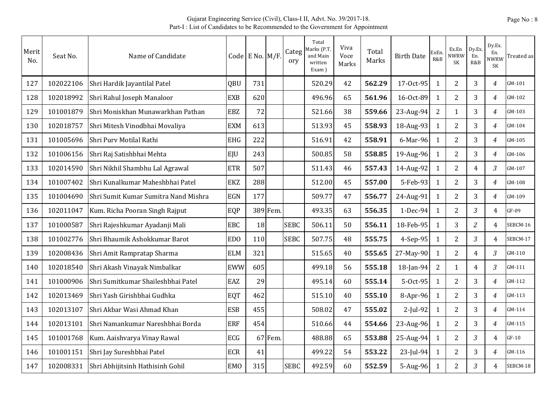| Merit<br>No. | Seat No.  | Name of Candidate                    |                 | Code E No. M/F. |          | Categ<br>ory | Total<br>Marks (P.T<br>and Main<br>written<br>Exam) | Viva<br>Voce<br>Marks | Total<br>Marks | <b>Birth Date</b> | ExEn<br>R&B    | Ex.En<br><b>NWRW</b><br>SK | Dy.Ex.<br>En.<br>R&B | Dy.Ex.<br>En.<br>NWRW<br>SK | Treated as |
|--------------|-----------|--------------------------------------|-----------------|-----------------|----------|--------------|-----------------------------------------------------|-----------------------|----------------|-------------------|----------------|----------------------------|----------------------|-----------------------------|------------|
| 127          | 102022106 | Shri Hardik Jayantilal Patel         | QBU             | 731             |          |              | 520.29                                              | 42                    | 562.29         | 17-Oct-95         | 1              | $\overline{2}$             | 3                    | $\overline{4}$              | GM-101     |
| 128          | 102018992 | Shri Rahul Joseph Manaloor           | <b>EXB</b>      | 620             |          |              | 496.96                                              | 65                    | 561.96         | 16-Oct-89         | $\mathbf{1}$   | $\overline{2}$             | 3                    | $\overline{4}$              | GM-102     |
| 129          | 101001879 | Shri Moniskhan Munawarkhan Pathan    | <b>EBZ</b>      | 72              |          |              | 521.66                                              | 38                    | 559.66         | 23-Aug-94         | $\overline{2}$ | $\mathbf{1}$               | 3                    | $\overline{4}$              | GM-103     |
| 130          | 102018757 | Shri Mitesh Vinodbhai Movaliya       | <b>EXM</b>      | 613             |          |              | 513.93                                              | 45                    | 558.93         | 18-Aug-93         | $\mathbf{1}$   | $\overline{2}$             | 3                    | $\overline{4}$              | GM-104     |
| 131          | 101005696 | Shri Purv Motilal Rathi              | <b>EHG</b>      | 222             |          |              | 516.91                                              | 42                    | 558.91         | 6-Mar-96          | 1              | 2                          | 3                    | $\overline{4}$              | GM-105     |
| 132          | 101006156 | Shri Raj Satishbhai Mehta            | EJU             | 243             |          |              | 500.85                                              | 58                    | 558.85         | 19-Aug-96         | $\mathbf{1}$   | $\overline{2}$             | 3                    | $\overline{4}$              | GM-106     |
| 133          | 102014590 | Shri Nikhil Shambhu Lal Agrawal      | <b>ETR</b>      | 507             |          |              | 511.43                                              | 46                    | 557.43         | 14-Aug-92         | $\mathbf{1}$   | $\overline{2}$             | $\overline{4}$       | 3                           | GM-107     |
| 134          | 101007402 | Shri Kunalkumar Maheshbhai Patel     | <b>EKZ</b>      | 288             |          |              | 512.00                                              | 45                    | 557.00         | 5-Feb-93          | $\mathbf{1}$   | $\overline{2}$             | 3                    | $\overline{4}$              | GM-108     |
| 135          | 101004690 | Shri Sumit Kumar Sumitra Nand Mishra | <b>EGN</b>      | 177             |          |              | 509.77                                              | 47                    | 556.77         | 24-Aug-91         | $\mathbf{1}$   | $\overline{2}$             | 3                    | $\overline{4}$              | GM-109     |
| 136          | 102011047 | Kum. Richa Pooran Singh Rajput       | EQP             |                 | 389 Fem. |              | 493.35                                              | 63                    | 556.35         | $1-Dec-94$        | $\mathbf{1}$   | $\overline{2}$             | 3                    | $\overline{4}$              | GF-09      |
| 137          | 101000587 | Shri Rajeshkumar Ayadanji Mali       | <b>EBC</b>      | 18              |          | <b>SEBC</b>  | 506.11                                              | 50                    | 556.11         | 18-Feb-95         | $\mathbf{1}$   | 3                          | $\overline{2}$       | $\overline{4}$              | SEBCM-16   |
| 138          | 101002776 | Shri Bhaumik Ashokkumar Barot        | ED <sub>0</sub> | 110             |          | <b>SEBC</b>  | 507.75                                              | 48                    | 555.75         | $4-Sep-95$        | $\mathbf{1}$   | $\overline{2}$             | 3                    | $\overline{4}$              | SEBCM-17   |
| 139          | 102008436 | Shri Amit Rampratap Sharma           | <b>ELM</b>      | 321             |          |              | 515.65                                              | 40                    | 555.65         | 27-May-90         | $\mathbf{1}$   | $\overline{2}$             | $\overline{4}$       | 3                           | GM-110     |
| 140          | 102018540 | Shri Akash Vinayak Nimbalkar         | <b>EWW</b>      | 605             |          |              | 499.18                                              | 56                    | 555.18         | 18-Jan-94         | 2              | 1                          | $\overline{4}$       | 3                           | GM-111     |
| 141          | 101000906 | Shri Sumitkumar Shaileshbhai Patel   | EAZ             | 29              |          |              | 495.14                                              | 60                    | 555.14         | 5-Oct-95          | $\mathbf{1}$   | $\overline{2}$             | 3                    | $\overline{4}$              | GM-112     |
| 142          | 102013469 | Shri Yash Girishbhai Gudhka          | EQT             | 462             |          |              | 515.10                                              | 40                    | 555.10         | 8-Apr-96          | $\mathbf{1}$   | $\overline{2}$             | 3                    | $\overline{4}$              | GM-113     |
| 143          | 102013107 | Shri Akbar Wasi Ahmad Khan           | <b>ESB</b>      | 455             |          |              | 508.02                                              | 47                    | 555.02         | $2$ -Jul-92       | $\mathbf{1}$   | $\overline{2}$             | 3                    | $\overline{4}$              | GM-114     |
| 144          | 102013101 | Shri Namankumar Nareshbhai Borda     | <b>ERF</b>      | 454             |          |              | 510.66                                              | 44                    | 554.66         | $23$ -Aug-96      | 1              | $\overline{2}$             | 3                    | 4                           | GM-115     |
| 145          | 101001768 | Kum. Aaishvarya Vinay Rawal          | ECG             | 67              | Fem.     |              | 488.88                                              | 65                    | 553.88         | 25-Aug-94         | $\mathbf{1}$   | 2                          | 3                    | $\overline{4}$              | $GF-10$    |
| 146          | 101001151 | Shri Jay Sureshbhai Patel            | <b>ECR</b>      | 41              |          |              | 499.22                                              | 54                    | 553.22         | $23$ -Jul-94      | $\mathbf{1}$   | $\overline{2}$             | 3                    | $\overline{4}$              | GM-116     |
| 147          | 102008331 | Shri Abhijitsinh Hathisinh Gohil     | <b>EMO</b>      | 315             |          | <b>SEBC</b>  | 492.59                                              | 60                    | 552.59         | $5-Aug-96$        | 1              | $\overline{2}$             | 3                    | 4                           | SEBCM-18   |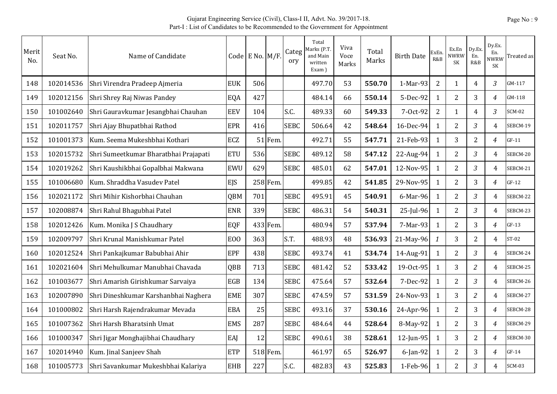| Merit<br>No. | Seat No.  | Name of Candidate                     |                | Code E No. M/F. |          | Categ<br>ory | Total<br>Marks (P.T.<br>and Main<br>written<br>Exam) | Viva<br>Voce<br>Marks | Total<br>Marks | <b>Birth Date</b> | ExEn<br>R&B      | Ex.En<br><b>NWRW</b><br><b>SK</b> | Dy.Ex.<br>En.<br>R&B | Dy.Ex.<br>En.<br>NWRW<br>SK | Treated as |
|--------------|-----------|---------------------------------------|----------------|-----------------|----------|--------------|------------------------------------------------------|-----------------------|----------------|-------------------|------------------|-----------------------------------|----------------------|-----------------------------|------------|
| 148          | 102014536 | Shri Virendra Pradeep Ajmeria         | <b>EUK</b>     | 506             |          |              | 497.70                                               | 53                    | 550.70         | 1-Mar-93          | $\overline{2}$   | $\mathbf{1}$                      | $\overline{4}$       | 3                           | GM-117     |
| 149          | 102012156 | Shri Shrey Raj Niwas Pandey           | EQA            | 427             |          |              | 484.14                                               | 66                    | 550.14         | 5-Dec-92          | $\mathbf{1}$     | $\overline{2}$                    | 3                    | $\overline{4}$              | GM-118     |
| 150          | 101002640 | Shri Gauravkumar Jesangbhai Chauhan   | <b>EEV</b>     | 104             |          | S.C.         | 489.33                                               | 60                    | 549.33         | 7-Oct-92          | $\overline{2}$   | $\mathbf{1}$                      | $\overline{4}$       | 3                           | $SCM-02$   |
| 151          | 102011757 | Shri Ajay Bhupatbhai Rathod           | <b>EPR</b>     | 416             |          | <b>SEBC</b>  | 506.64                                               | 42                    | 548.64         | 16-Dec-94         | $\mathbf{1}$     | $\overline{2}$                    | $\mathfrak{Z}$       | $\overline{4}$              | SEBCM-19   |
| 152          | 101001373 | Kum. Seema Mukeshbhai Kothari         | ECZ            |                 | 51 Fem   |              | 492.71                                               | 55                    | 547.71         | 21-Feb-93         | $\mathbf{1}$     | 3                                 | $\overline{2}$       | $\overline{4}$              | $GF-11$    |
| 153          | 102015732 | Shri Sumeetkumar Bharatbhai Prajapati | <b>ETU</b>     | 536             |          | <b>SEBC</b>  | 489.12                                               | 58                    | 547.12         | 22-Aug-94         | $\mathbf{1}$     | $\overline{2}$                    | $\mathfrak{Z}$       | $\overline{4}$              | SEBCM-20   |
| 154          | 102019262 | Shri Kaushikbhai Gopalbhai Makwana    | <b>EWU</b>     | 629             |          | <b>SEBC</b>  | 485.01                                               | 62                    | 547.01         | 12-Nov-95         | $\mathbf{1}$     | $\overline{2}$                    | $\mathfrak{Z}$       | $\overline{4}$              | SEBCM-21   |
| 155          | 101006680 | Kum. Shraddha Vasudev Patel           | <b>EJS</b>     |                 | 258 Fem. |              | 499.85                                               | 42                    | 541.85         | 29-Nov-95         | $\mathbf{1}$     | $\overline{2}$                    | 3                    | $\overline{4}$              | $GF-12$    |
| 156          | 102021172 | Shri Mihir Kishorbhai Chauhan         | <b>QBM</b>     | 701             |          | <b>SEBC</b>  | 495.91                                               | 45                    | 540.91         | 6-Mar-96          | 1                | $\overline{2}$                    | $\mathfrak{Z}$       | 4                           | SEBCM-22   |
| 157          | 102008874 | Shri Rahul Bhagubhai Patel            | <b>ENR</b>     | 339             |          | <b>SEBC</b>  | 486.31                                               | 54                    | 540.31         | 25-Jul-96         | $\mathbf{1}$     | $\overline{2}$                    | 3                    | 4                           | SEBCM-23   |
| 158          | 102012426 | Kum. Monika J S Chaudhary             | EQF            |                 | 433 Fem. |              | 480.94                                               | 57                    | 537.94         | 7-Mar-93          | $\mathbf{1}$     | $\overline{2}$                    | 3                    | $\overline{4}$              | $GF-13$    |
| 159          | 102009797 | Shri Krunal Manishkumar Patel         | E <sub>0</sub> | 363             |          | S.T.         | 488.93                                               | 48                    | 536.93         | 21-May-96         | $\boldsymbol{1}$ | 3                                 | $\overline{2}$       | $\overline{4}$              | $ST-02$    |
| 160          | 102012524 | Shri Pankajkumar Babubhai Ahir        | <b>EPF</b>     | 438             |          | <b>SEBC</b>  | 493.74                                               | 41                    | 534.74         | 14-Aug-91         | $\mathbf{1}$     | 2                                 | $\mathfrak{Z}$       | $\overline{4}$              | SEBCM-24   |
| 161          | 102021604 | Shri Mehulkumar Manubhai Chavada      | QBB            | 713             |          | <b>SEBC</b>  | 481.42                                               | 52                    | 533.42         | 19-Oct-95         | $\mathbf{1}$     | 3                                 | $\overline{2}$       | $\overline{4}$              | SEBCM-25   |
| 162          | 101003677 | Shri Amarish Girishkumar Sarvaiya     | EGB            | 134             |          | <b>SEBC</b>  | 475.64                                               | 57                    | 532.64         | 7-Dec-92          | $\mathbf{1}$     | $\overline{2}$                    | $\mathfrak{Z}$       | 4                           | SEBCM-26   |
| 163          | 102007890 | Shri Dineshkumar Karshanbhai Naghera  | <b>EME</b>     | 307             |          | <b>SEBC</b>  | 474.59                                               | 57                    | 531.59         | 24-Nov-93         | $\mathbf{1}$     | 3                                 | $\overline{c}$       | $\overline{4}$              | SEBCM-27   |
| 164          | 101000802 | Shri Harsh Rajendrakumar Mevada       | <b>EBA</b>     | 25              |          | <b>SEBC</b>  | 493.16                                               | 37                    | 530.16         | 24-Apr-96         | $\mathbf{1}$     | $\overline{2}$                    | 3                    | $\overline{4}$              | SEBCM-28   |
| 165          | 101007362 | Shri Harsh Bharatsinh Umat            | <b>EMS</b>     | 287             |          | <b>SEBC</b>  | 484.64                                               | 44                    | 528.64         | 8-May-92          | 1                | $\overline{2}$                    | 3                    | $\overline{4}$              | SEBCM-29   |
| 166          | 101000347 | Shri Jigar Monghajibhai Chaudhary     | EAJ            | 12              |          | <b>SEBC</b>  | 490.61                                               | 38                    | 528.61         | 12-Jun-95         | $\mathbf{1}$     | 3                                 | $\overline{2}$       | 4                           | SEBCM-30   |
| 167          | 102014940 | Kum. Jinal Sanjeev Shah               | <b>ETP</b>     |                 | 518 Fem. |              | 461.97                                               | 65                    | 526.97         | 6-Jan-92          | $\mathbf{1}$     | $\overline{2}$                    | 3                    | $\overline{4}$              | $GF-14$    |
| 168          | 101005773 | Shri Savankumar Mukeshbhai Kalariya   | <b>EHB</b>     | 227             |          | S.C.         | 482.83                                               | 43                    | 525.83         | 1-Feb-96          | 1                | $\overline{2}$                    | 3                    | 4                           | $SCM-03$   |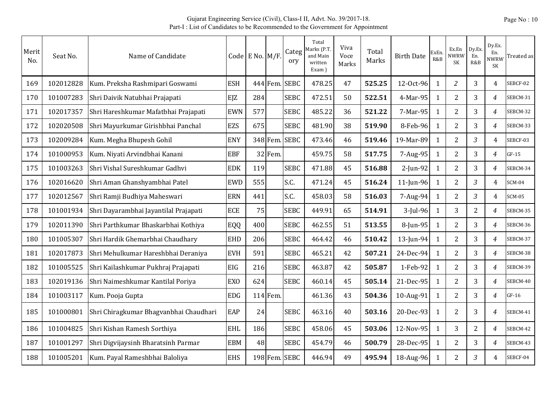| Merit<br>N <sub>O</sub> . | Seat No.  | Name of Candidate                      |                 | Code E No. $M/F$ . |            | Categ<br>ory  | Total<br>Aarks (P.T<br>and Main<br>written<br>Exam) | Viva<br>Voce<br>Marks | Total<br>Marks | <b>Birth Date</b> | ExEn<br>R&B  | Ex.En<br>NWRW<br><b>SK</b> | Dy.Ex.<br>En.<br>R&B | Dy.Ex.<br>En.<br><b>NWRW</b><br>SK | Treated as |
|---------------------------|-----------|----------------------------------------|-----------------|--------------------|------------|---------------|-----------------------------------------------------|-----------------------|----------------|-------------------|--------------|----------------------------|----------------------|------------------------------------|------------|
| 169                       | 102012828 | Kum. Preksha Rashmipari Goswami        | <b>ESH</b>      |                    | 444 Fem.   | <b>SEBC</b>   | 478.25                                              | 47                    | 525.25         | 12-Oct-96         | 1            | $\overline{c}$             | 3                    | $\overline{4}$                     | SEBCF-02   |
| 170                       | 101007283 | Shri Daivik Natubhai Prajapati         | EJZ             | 284                |            | <b>SEBC</b>   | 472.51                                              | 50                    | 522.51         | 4-Mar-95          | 1            | 2                          | 3                    | $\overline{4}$                     | SEBCM-31   |
| 171                       | 102017357 | Shri Hareshkumar Mafatbhai Prajapati   | <b>EWN</b>      | 577                |            | <b>SEBC</b>   | 485.22                                              | 36                    | 521.22         | 7-Mar-95          | 1            | $\overline{2}$             | 3                    | $\overline{4}$                     | SEBCM-32   |
| 172                       | 102020508 | Shri Mayurkumar Girishbhai Panchal     | <b>EZS</b>      | 675                |            | <b>SEBC</b>   | 481.90                                              | 38                    | 519.90         | 8-Feb-96          | 1            | 2                          | 3                    | $\overline{4}$                     | SEBCM-33   |
| 173                       | 102009284 | Kum. Megha Bhupesh Gohil               | <b>ENY</b>      |                    | 348 Fem.   | <b>SEBC</b>   | 473.46                                              | 46                    | 519.46         | 19-Mar-89         | 1            | 2                          | $\mathfrak{Z}$       | $\overline{4}$                     | SEBCF-03   |
| 174                       | 101000953 | Kum. Niyati Arvindbhai Kanani          | <b>EBF</b>      |                    | 32 Fem.    |               | 459.75                                              | 58                    | 517.75         | 7-Aug-95          | $\mathbf{1}$ | $\overline{2}$             | 3                    | $\overline{4}$                     | $GF-15$    |
| 175                       | 101003263 | Shri Vishal Sureshkumar Gadhvi         | <b>EDK</b>      | 119                |            | <b>SEBC</b>   | 471.88                                              | 45                    | 516.88         | 2-Jun-92          | 1            | 2                          | 3                    | 4                                  | SEBCM-34   |
| 176                       | 102016620 | Shri Aman Ghanshyambhai Patel          | <b>EWD</b>      | 555                |            | S.C.          | 471.24                                              | 45                    | 516.24         | 11-Jun-96         | $\mathbf{1}$ | 2                          | 3                    | $\overline{4}$                     | $SCM-04$   |
| 177                       | 102012567 | Shri Ramji Budhiya Maheswari           | <b>ERN</b>      | 441                |            | S.C.          | 458.03                                              | 58                    | 516.03         | 7-Aug-94          | $\mathbf{1}$ | 2                          | $\mathfrak{Z}$       | $\overline{4}$                     | SCM-05     |
| 178                       | 101001934 | Shri Dayarambhai Jayantilal Prajapati  | <b>ECE</b>      | 75                 |            | <b>SEBC</b>   | 449.91                                              | 65                    | 514.91         | 3-Jul-96          | $\mathbf{1}$ | 3                          | $\overline{2}$       | 4                                  | SEBCM-35   |
| 179                       | 102011390 | Shri Parthkumar Bhaskarbhai Kothiya    | EQQ             | 400                |            | <b>SEBC</b>   | 462.55                                              | 51                    | 513.55         | 8-Jun-95          | $\mathbf{1}$ | $\overline{2}$             | 3                    | $\overline{4}$                     | SEBCM-36   |
| 180                       | 101005307 | Shri Hardik Ghemarbhai Chaudhary       | <b>EHD</b>      | 206                |            | <b>SEBC</b>   | 464.42                                              | 46                    | 510.42         | 13-Jun-94         | 1            | 2                          | 3                    | $\overline{4}$                     | SEBCM-37   |
| 181                       | 102017873 | Shri Mehulkumar Hareshbhai Deraniya    | <b>EVH</b>      | 591                |            | <b>SEBC</b>   | 465.21                                              | 42                    | 507.21         | 24-Dec-94         | 1            | 2                          | 3                    | $\overline{4}$                     | SEBCM-38   |
| 182                       | 101005525 | Shri Kailashkumar Pukhraj Prajapati    | <b>EIG</b>      | 216                |            | <b>SEBC</b>   | 463.87                                              | 42                    | 505.87         | 1-Feb-92          | 1            | $\overline{2}$             | 3                    | $\overline{4}$                     | SEBCM-39   |
| 183                       | 102019136 | Shri Naimeshkumar Kantilal Poriya      | EX <sub>O</sub> | 624                |            | <b>SEBC</b>   | 460.14                                              | 45                    | 505.14         | 21-Dec-95         | 1            | $\overline{2}$             | 3                    | $\overline{4}$                     | SEBCM-40   |
| 184                       | 101003117 | Kum. Pooja Gupta                       | <b>EDG</b>      |                    | $114$ Fem. |               | 461.36                                              | 43                    | 504.36         | 10-Aug-91         | $\mathbf{1}$ | $\overline{2}$             | 3                    | $\overline{4}$                     | $GF-16$    |
| 185                       | 101000801 | Shri Chiragkumar Bhagyanbhai Chaudhari | EAP             | 24                 |            | <b>SEBC</b>   | 463.16                                              | 40                    | 503.16         | 20-Dec-93         | 1            | $\overline{2}$             | 3                    | $\overline{4}$                     | SEBCM-41   |
| 186                       | 101004825 | Shri Kishan Ramesh Sorthiya            | <b>EHL</b>      | 186                |            | <b>SEBC</b>   | 458.06                                              | 45                    | 503.06         | 12-Nov-95         | $\mathbf{1}$ | 3                          | $\overline{2}$       | 4                                  | SEBCM-42   |
| 187                       | 101001297 | Shri Digvijaysinh Bharatsinh Parmar    | <b>EBM</b>      | 48                 |            | <b>SEBC</b>   | 454.79                                              | 46                    | 500.79         | 28-Dec-95         | 1            | 2                          | 3                    | $\overline{4}$                     | SEBCM-43   |
| 188                       | 101005201 | Kum. Payal Rameshbhai Baloliya         | <b>EHS</b>      |                    |            | 198 Fem. SEBC | 446.94                                              | 49                    | 495.94         | 18-Aug-96         | 1            | $\overline{2}$             | 3                    | 4                                  | SEBCF-04   |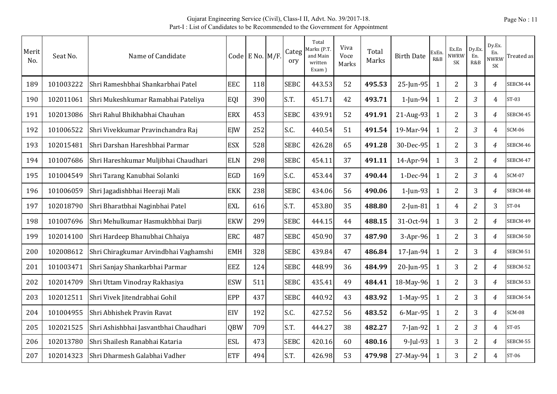| Merit<br>No. | Seat No.  | Name of Candidate                     |            | Code E No. M/F. | Categ<br>ory | Total<br>Marks (P.T.<br>and Main<br>written<br>Exam) | Viva<br>Voce<br>Marks | Total<br>Marks | <b>Birth Date</b> | <b>ExEn</b><br>R&B | Ex.En<br>NWRW<br>SK | Dy.Ex.<br>En.<br>R&B | Dy.Ex.<br>En.<br><b>NWRW</b><br>SK | Treated as    |
|--------------|-----------|---------------------------------------|------------|-----------------|--------------|------------------------------------------------------|-----------------------|----------------|-------------------|--------------------|---------------------|----------------------|------------------------------------|---------------|
| 189          | 101003222 | Shri Rameshbhai Shankarbhai Patel     | <b>EEC</b> | 118             | <b>SEBC</b>  | 443.53                                               | 52                    | 495.53         | 25-Jun-95         | 1                  | 2                   | 3                    | $\overline{4}$                     | SEBCM-44      |
| 190          | 102011061 | Shri Mukeshkumar Ramabhai Pateliya    | EQI        | 390             | S.T.         | 451.71                                               | 42                    | 493.71         | 1-Jun-94          | 1                  | $\overline{2}$      | 3                    | 4                                  | $ST-03$       |
| 191          | 102013086 | Shri Rahul Bhikhabhai Chauhan         | <b>ERX</b> | 453             | <b>SEBC</b>  | 439.91                                               | 52                    | 491.91         | 21-Aug-93         | 1                  | $\overline{2}$      | 3                    | 4                                  | SEBCM-45      |
| 192          | 101006522 | Shri Vivekkumar Pravinchandra Raj     | EIW        | 252             | S.C.         | 440.54                                               | 51                    | 491.54         | 19-Mar-94         | 1                  | $\overline{2}$      | 3                    | $\overline{4}$                     | <b>SCM-06</b> |
| 193          | 102015481 | Shri Darshan Hareshbhai Parmar        | <b>ESX</b> | 528             | <b>SEBC</b>  | 426.28                                               | 65                    | 491.28         | 30-Dec-95         | 1                  | $\overline{2}$      | 3                    | $\overline{4}$                     | SEBCM-46      |
| 194          | 101007686 | Shri Hareshkumar Muljibhai Chaudhari  | <b>ELN</b> | 298             | <b>SEBC</b>  | 454.11                                               | 37                    | 491.11         | 14-Apr-94         | $\mathbf{1}$       | 3                   | $\overline{2}$       | 4                                  | SEBCM-47      |
| 195          | 101004549 | Shri Tarang Kanubhai Solanki          | EGD        | 169             | S.C.         | 453.44                                               | 37                    | 490.44         | 1-Dec-94          | 1                  | $\overline{2}$      | $\mathfrak{Z}$       | $\overline{4}$                     | <b>SCM-07</b> |
| 196          | 101006059 | Shri Jagadishbhai Heeraji Mali        | <b>EKK</b> | 238             | <b>SEBC</b>  | 434.06                                               | 56                    | 490.06         | $1$ -Jun-93       | $\mathbf{1}$       | $\overline{2}$      | 3                    | $\overline{4}$                     | SEBCM-48      |
| 197          | 102018790 | Shri Bharatbhai Naginbhai Patel       | <b>EXL</b> | 616             | S.T.         | 453.80                                               | 35                    | 488.80         | $2$ -Jun-81       | $\mathbf{1}$       | $\overline{4}$      | $\overline{c}$       | 3                                  | $ST-04$       |
| 198          | 101007696 | Shri Mehulkumar Hasmukhbhai Darji     | <b>EKW</b> | 299             | <b>SEBC</b>  | 444.15                                               | 44                    | 488.15         | 31-Oct-94         | $\mathbf{1}$       | 3                   | $\overline{2}$       | 4                                  | SEBCM-49      |
| 199          | 102014100 | Shri Hardeep Bhanubhai Chhaiya        | <b>ERC</b> | 487             | <b>SEBC</b>  | 450.90                                               | 37                    | 487.90         | $3-Apr-96$        | $\mathbf{1}$       | 2                   | 3                    | 4                                  | SEBCM-50      |
| 200          | 102008612 | Shri Chiragkumar Arvindbhai Vaghamshi | <b>EMH</b> | 328             | <b>SEBC</b>  | 439.84                                               | 47                    | 486.84         | 17-Jan-94         | 1                  | $\overline{2}$      | 3                    | 4                                  | SEBCM-51      |
| 201          | 101003471 | Shri Sanjay Shankarbhai Parmar        | EEZ        | 124             | <b>SEBC</b>  | 448.99                                               | 36                    | 484.99         | 20-Jun-95         | 1                  | 3                   | $\overline{2}$       | $\overline{4}$                     | SEBCM-52      |
| 202          | 102014709 | Shri Uttam Vinodray Rakhasiya         | <b>ESW</b> | 511             | <b>SEBC</b>  | 435.41                                               | 49                    | 484.41         | 18-May-96         | $\mathbf{1}$       | $\overline{2}$      | 3                    | $\overline{4}$                     | SEBCM-53      |
| 203          | 102012511 | Shri Vivek Jitendrabhai Gohil         | EPP        | 437             | <b>SEBC</b>  | 440.92                                               | 43                    | 483.92         | $1-May-95$        | $\mathbf{1}$       | $\overline{2}$      | 3                    | $\overline{4}$                     | SEBCM-54      |
| 204          | 101004955 | Shri Abhishek Pravin Ravat            | EIV        | 192             | S.C.         | 427.52                                               | 56                    | 483.52         | 6-Mar-95          | 1                  | $\overline{2}$      | 3                    | 4                                  | <b>SCM-08</b> |
| 205          | 102021525 | Shri Ashishbhai Jasvantbhai Chaudhari | QBW        | 709             | S.T.         | 444.27                                               | 38                    | 482.27         | 7-Jan-92          | $\mathbf{1}$       | $\overline{2}$      | 3                    | $\overline{4}$                     | $ST-05$       |
| 206          | 102013780 | Shri Shailesh Ranabhai Kataria        | <b>ESL</b> | 473             | <b>SEBC</b>  | 420.16                                               | 60                    | 480.16         | $9$ -Jul-93       | $\mathbf{1}$       | 3                   | $\overline{2}$       | $\overline{4}$                     | SEBCM-55      |
| 207          | 102014323 | Shri Dharmesh Galabhai Vadher         | <b>ETF</b> | 494             | S.T.         | 426.98                                               | 53                    | 479.98         | 27-May-94         | $\mathbf{1}$       | 3                   | $\overline{c}$       | 4                                  | ST-06         |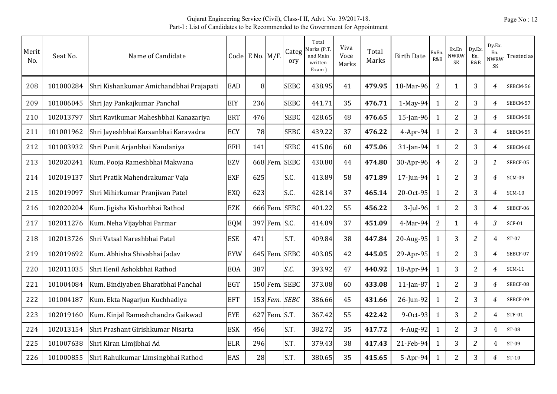| Merit<br>No. | Seat No.  | Name of Candidate                       |            | Code E No. $M/F$ . |               | Categ<br>ory | Total<br>Marks (P.T.<br>and Main<br>written<br>Exam) | Viva<br>Voce<br>Marks | Total<br>Marks | <b>Birth Date</b> | <b>ExEn</b><br>R&B | Ex.En<br><b>NWRW</b><br><b>SK</b> | Dy.Ex.<br>En.<br>R&B | Dy.Ex.<br>En.<br><b>NWRW</b><br><b>SK</b> | Treated as    |
|--------------|-----------|-----------------------------------------|------------|--------------------|---------------|--------------|------------------------------------------------------|-----------------------|----------------|-------------------|--------------------|-----------------------------------|----------------------|-------------------------------------------|---------------|
| 208          | 101000284 | Shri Kishankumar Amichandbhai Prajapati | EAD        | 8                  |               | <b>SEBC</b>  | 438.95                                               | 41                    | 479.95         | 18-Mar-96         | $\overline{2}$     | 1                                 | 3                    | 4                                         | SEBCM-56      |
| 209          | 101006045 | Shri Jay Pankajkumar Panchal            | EIY        | 236                |               | <b>SEBC</b>  | 441.71                                               | 35                    | 476.71         | $1-May-94$        | $\mathbf{1}$       | 2                                 | 3                    | 4                                         | SEBCM-57      |
| 210          | 102013797 | Shri Ravikumar Maheshbhai Kanazariya    | <b>ERT</b> | 476                |               | <b>SEBC</b>  | 428.65                                               | 48                    | 476.65         | 15-Jan-96         | $\mathbf{1}$       | 2                                 | 3                    | 4                                         | SEBCM-58      |
| 211          | 101001962 | Shri Jayeshbhai Karsanbhai Karavadra    | <b>ECY</b> | 78                 |               | <b>SEBC</b>  | 439.22                                               | 37                    | 476.22         | $4$ -Apr-94       | $\mathbf{1}$       | $\overline{2}$                    | 3                    | $\overline{4}$                            | SEBCM-59      |
| 212          | 101003932 | Shri Punit Arjanbhai Nandaniya          | <b>EFH</b> | 141                |               | <b>SEBC</b>  | 415.06                                               | 60                    | 475.06         | 31-Jan-94         | $\mathbf{1}$       | 2                                 | 3                    | $\overline{4}$                            | SEBCM-60      |
| 213          | 102020241 | Kum. Pooja Rameshbhai Makwana           | EZV        |                    | 668 Fem.      | <b>SEBC</b>  | 430.80                                               | 44                    | 474.80         | 30-Apr-96         | $\overline{4}$     | $\overline{2}$                    | 3                    | $\mathbf{1}$                              | SEBCF-05      |
| 214          | 102019137 | Shri Pratik Mahendrakumar Vaja          | <b>EXF</b> | 625                |               | S.C.         | 413.89                                               | 58                    | 471.89         | 17-Jun-94         | 1                  | 2                                 | 3                    | 4                                         | SCM-09        |
| 215          | 102019097 | Shri Mihirkumar Pranjivan Patel         | EXQ        | 623                |               | S.C.         | 428.14                                               | 37                    | 465.14         | 20-Oct-95         | $\mathbf{1}$       | $\overline{2}$                    | 3                    | $\overline{4}$                            | $SCM-10$      |
| 216          | 102020204 | Kum. Jigisha Kishorbhai Rathod          | <b>EZK</b> |                    | 666 Fem.      | <b>SEBC</b>  | 401.22                                               | 55                    | 456.22         | $3$ -Jul-96       | 1                  | 2                                 | 3                    | $\overline{4}$                            | SEBCF-06      |
| 217          | 102011276 | Kum. Neha Vijaybhai Parmar              | EQM        |                    | 397 Fem. S.C. |              | 414.09                                               | 37                    | 451.09         | 4-Mar-94          | $\overline{2}$     | $\mathbf{1}$                      | $\overline{4}$       | 3                                         | <b>SCF-01</b> |
| 218          | 102013726 | Shri Vatsal Nareshbhai Patel            | <b>ESE</b> | 471                |               | S.T.         | 409.84                                               | 38                    | 447.84         | 20-Aug-95         | 1                  | 3                                 | $\overline{2}$       | 4                                         | $ST-07$       |
| 219          | 102019692 | Kum. Abhisha Shivabhai Jadav            | <b>EYW</b> |                    | 645 Fem.      | <b>SEBC</b>  | 403.05                                               | 42                    | 445.05         | 29-Apr-95         | $\mathbf{1}$       | 2                                 | 3                    | 4                                         | SEBCF-07      |
| 220          | 102011035 | Shri Henil Ashokbhai Rathod             | <b>EOA</b> | 387                |               | S.C.         | 393.92                                               | 47                    | 440.92         | 18-Apr-94         | $\mathbf{1}$       | 3                                 | $\overline{2}$       | 4                                         | <b>SCM-11</b> |
| 221          | 101004084 | Kum. Bindiyaben Bharatbhai Panchal      | <b>EGT</b> |                    | 150 Fem.      | <b>SEBC</b>  | 373.08                                               | 60                    | 433.08         | $11$ -Jan-87      | $\mathbf{1}$       | 2                                 | 3                    | $\overline{4}$                            | SEBCF-08      |
| 222          | 101004187 | Kum. Ekta Nagarjun Kuchhadiya           | <b>EFT</b> |                    | 153 Fem.      | <b>SEBC</b>  | 386.66                                               | 45                    | 431.66         | 26-Jun-92         | 1                  | $\overline{2}$                    | 3                    | $\overline{4}$                            | SEBCF-09      |
| 223          | 102019160 | Kum. Kinjal Rameshchandra Gaikwad       | <b>EYE</b> |                    | 627 Fem. S.T. |              | 367.42                                               | 55                    | 422.42         | 9-0ct-93          | 1                  | 3                                 | $\overline{c}$       | 4                                         | <b>STF-01</b> |
| 224          | 102013154 | Shri Prashant Girishkumar Nisarta       | <b>ESK</b> | 456                |               | S.T.         | 382.72                                               | 35                    | 417.72         | 4-Aug-92          | $\mathbf{1}$       | 2                                 | $\overline{3}$       | 4                                         | ST-08         |
| 225          | 101007638 | Shri Kiran Limjibhai Ad                 | <b>ELR</b> | 296                |               | S.T.         | 379.43                                               | 38                    | 417.43         | 21-Feb-94         | $\mathbf{1}$       | 3                                 | $\overline{c}$       | 4                                         | ST-09         |
| 226          | 101000855 | Shri Rahulkumar Limsingbhai Rathod      | EAS        | 28                 |               | S.T.         | 380.65                                               | 35                    | 415.65         | 5-Apr-94          | $\mathbf{1}$       | 2                                 | 3                    | 4                                         | ST-10         |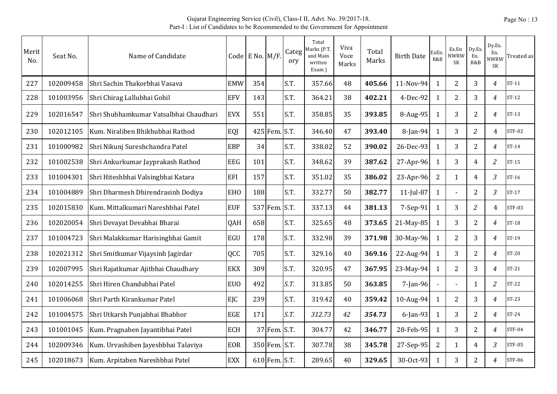| Merit<br>No. | Seat No.  | Name of Candidate                      |                 | Code E No. M/F. |               | Categ<br>ory | Total<br>Marks (P.T.<br>and Main<br>written<br>Exam) | Viva<br>Voce<br>Marks | Total<br>Marks | <b>Birth Date</b> | ExEn<br>R&B  | Ex.En<br><b>NWRW</b><br><b>SK</b> | Dy.Ex.<br>En.<br>R&B | Dy.Ex.<br>En.<br>NWRW<br><b>SK</b> | Treated as    |
|--------------|-----------|----------------------------------------|-----------------|-----------------|---------------|--------------|------------------------------------------------------|-----------------------|----------------|-------------------|--------------|-----------------------------------|----------------------|------------------------------------|---------------|
| 227          | 102009458 | Shri Sachin Thakorbhai Vasava          | <b>EMW</b>      | 354             |               | S.T.         | 357.66                                               | 48                    | 405.66         | 11-Nov-94         | 1            | $\overline{2}$                    | 3                    | 4                                  | $ST-11$       |
| 228          | 101003956 | Shri Chirag Lallubhai Gohil            | <b>EFV</b>      | 143             |               | S.T.         | 364.21                                               | 38                    | 402.21         | 4-Dec-92          | $\mathbf{1}$ | $\overline{2}$                    | 3                    | $\overline{4}$                     | $ST-12$       |
| 229          | 102016547 | Shri Shubhamkumar Vatsalbhai Chaudhari | <b>EVX</b>      | 551             |               | S.T.         | 358.85                                               | 35                    | 393.85         | $8-Aug-95$        | 1            | 3                                 | $\overline{2}$       | 4                                  | $ST-13$       |
| 230          | 102012105 | Kum. Niraliben Bhikhubhai Rathod       | EQJ             |                 | 425 Fem.      | S.T.         | 346.40                                               | 47                    | 393.40         | 8-Jan-94          | $\mathbf{1}$ | 3                                 | $\overline{a}$       | 4                                  | <b>STF-02</b> |
| 231          | 101000982 | Shri Nikunj Sureshchandra Patel        | <b>EBP</b>      | 34              |               | S.T.         | 338.02                                               | 52                    | 390.02         | 26-Dec-93         | 1            | 3                                 | $\overline{2}$       | $\overline{4}$                     | $ST-14$       |
| 232          | 101002538 | Shri Ankurkumar Jayprakash Rathod      | <b>EEG</b>      | 101             |               | S.T.         | 348.62                                               | 39                    | 387.62         | 27-Apr-96         | $\mathbf{1}$ | 3                                 | $\overline{4}$       | $\overline{c}$                     | $ST-15$       |
| 233          | 101004301 | Shri Hiteshbhai Valsingbhai Katara     | EFI             | 157             |               | S.T.         | 351.02                                               | 35                    | 386.02         | 23-Apr-96         | 2            | $\mathbf{1}$                      | 4                    | $\overline{3}$                     | $ST-16$       |
| 234          | 101004889 | Shri Dharmesh Dhirendrasinh Dodiya     | <b>EHO</b>      | 188             |               | S.T.         | 332.77                                               | 50                    | 382.77         | $11$ -Jul-87      | $\mathbf{1}$ |                                   | $\overline{2}$       | $\mathfrak{Z}$                     | $ST-17$       |
| 235          | 102015830 | Kum. Mittalkumari Nareshbhai Patel     | <b>EUF</b>      |                 | 537 Fem.      | S.T.         | 337.13                                               | 44                    | 381.13         | 7-Sep-91          | $\mathbf{1}$ | 3                                 | $\overline{a}$       | 4                                  | <b>STF-03</b> |
| 236          | 102020054 | Shri Devayat Devabhai Bharai           | QAH             | 658             |               | S.T.         | 325.65                                               | 48                    | 373.65         | 21-May-85         | 1            | 3                                 | $\overline{2}$       | $\overline{4}$                     | ST-18         |
| 237          | 101004723 | Shri Malakkumar Harisingbhai Gamit     | EGU             | 178             |               | S.T.         | 332.98                                               | 39                    | 371.98         | 30-May-96         | 1            | $\overline{2}$                    | 3                    | $\overline{4}$                     | ST-19         |
| 238          | 102021312 | Shri Smitkumar Vijaysinh Jagirdar      | QCC             | 705             |               | S.T.         | 329.16                                               | 40                    | 369.16         | 22-Aug-94         | 1            | 3                                 | $\overline{2}$       | $\overline{4}$                     | $ST-20$       |
| 239          | 102007995 | Shri Rajatkumar Ajitbhai Chaudhary     | <b>EKX</b>      | 309             |               | S.T.         | 320.95                                               | 47                    | 367.95         | 23-May-94         | $\mathbf{1}$ | 2                                 | 3                    | 4                                  | $ST-21$       |
| 240          | 102014255 | Shri Hiren Chandubhai Patel            | EU <sub>0</sub> | 492             |               | S.T.         | 313.85                                               | 50                    | 363.85         | $7$ -Jan-96       |              | $\overline{a}$                    | $\mathbf{1}$         | $\overline{c}$                     | $ST-22$       |
| 241          | 101006068 | Shri Parth Kirankumar Patel            | EJC             | 239             |               | S.T.         | 319.42                                               | 40                    | 359.42         | 10-Aug-94         | $\mathbf{1}$ | 2                                 | 3                    | $\overline{4}$                     | $ST-23$       |
| 242          | 101004575 | Shri Utkarsh Punjabhai Bhabhor         | <b>EGE</b>      | 171             |               | S.T.         | 312.73                                               | 42                    | 354.73         | $6$ -Jan-93       | $\mathbf{1}$ | 3                                 | 2                    | 4                                  | $ST-24$       |
| 243          | 101001045 | Kum. Pragnaben Jayantibhai Patel       | <b>ECH</b>      |                 | 37 Fem.       | S.T.         | 304.77                                               | 42                    | 346.77         | 28-Feb-95         | $\mathbf{1}$ | 3                                 | $\overline{2}$       | 4                                  | <b>STF-04</b> |
| 244          | 102009346 | Kum. Urvashiben Jayeshbhai Talaviya    | <b>EOR</b>      |                 | 350 Fem.      | S.T.         | 307.78                                               | 38                    | 345.78         | 27-Sep-95         | 2            | $\mathbf{1}$                      | 4                    | 3                                  | <b>STF-05</b> |
| 245          | 102018673 | Kum. Arpitaben Nareshbhai Patel        | <b>EXX</b>      |                 | 610 Fem. S.T. |              | 289.65                                               | 40                    | 329.65         | 30-Oct-93         | 1            | 3                                 | $\overline{2}$       | 4                                  | <b>STF-06</b> |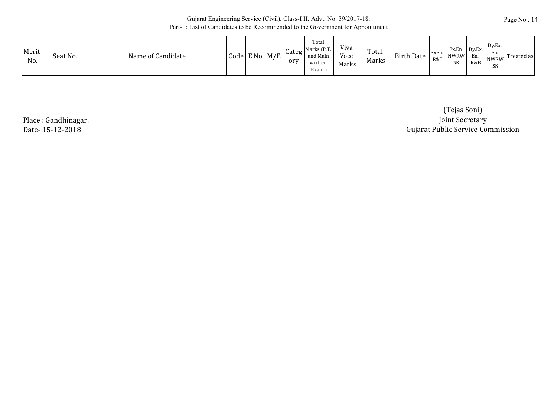| Merit<br>Seat No.<br>Name of Candidate<br>No. | $\text{Code}$ E No. $\text{M/F.}$ |  |  | Categ<br>orv | Total<br>Marks (P.T.<br>and Main<br>written<br>Exam i | Viva<br>Voce<br>Marks | Total<br>Marks | <b>Birth Date</b> | ExEr<br>R&B | Ex.En<br><b>NWRW</b><br>SK | Dy.Ex.<br>En.<br>R&B | $Dv.Ex$ .<br>En.<br><b>NWRW</b><br>SK | Treated as |
|-----------------------------------------------|-----------------------------------|--|--|--------------|-------------------------------------------------------|-----------------------|----------------|-------------------|-------------|----------------------------|----------------------|---------------------------------------|------------|
|-----------------------------------------------|-----------------------------------|--|--|--------------|-------------------------------------------------------|-----------------------|----------------|-------------------|-------------|----------------------------|----------------------|---------------------------------------|------------|

-------------------------------------------------------------------------------------------------------------------------------------

Place : Gandhinagar. Date- 15-12-2018

 Gujarat Public Service Commission (Tejas Soni) Joint Secretary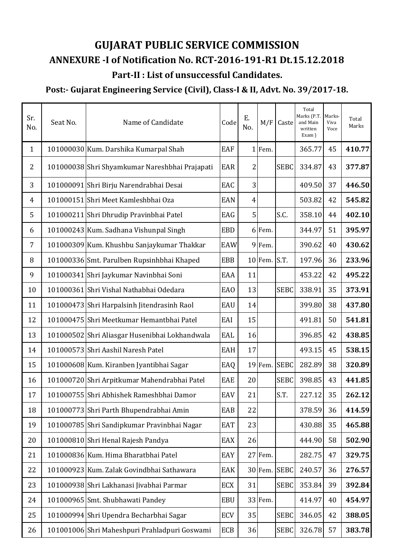# **GUJARAT PUBLIC SERVICE COMMISSION Part‐II : List of unsuccessful Candidates. ANNEXURE ‐I of Notification No. RCT‐2016‐191‐R1 Dt.15.12.2018**

# **Post:‐ Gujarat Engineering Service (Civil), Class‐I & II, Advt. No. 39/2017‐18.**

| Sr.<br>No.     | Seat No. | Name of Candidate                              | Code       | E.<br>No.      | M/F            | Caste        | Total<br>Marks (P.T.<br>and Main<br>written<br>Exam) | Marks-<br>Viva<br>Voce | Total<br>Marks |
|----------------|----------|------------------------------------------------|------------|----------------|----------------|--------------|------------------------------------------------------|------------------------|----------------|
| $\mathbf{1}$   |          | 101000030 Kum. Darshika Kumarpal Shah          | <b>EAF</b> |                | 1 Fem.         |              | 365.77                                               | 45                     | 410.77         |
| $\overline{2}$ |          | 101000038 Shri Shyamkumar Nareshbhai Prajapati | <b>EAR</b> | 2              |                | <b>SEBC</b>  | 334.87                                               | 43                     | 377.87         |
| 3              |          | 101000091 Shri Birju Narendrabhai Desai        | EAC        | 3              |                |              | 409.50                                               | 37                     | 446.50         |
| 4              |          | 101000151 Shri Meet Kamleshbhai Oza            | EAN        | $\overline{4}$ |                |              | 503.82                                               | 42                     | 545.82         |
| 5              |          | 101000211 Shri Dhrudip Pravinbhai Patel        | EAG        | 5              |                | S.C.         | 358.10                                               | 44                     | 402.10         |
| 6              |          | 101000243 Kum. Sadhana Vishunpal Singh         | <b>EBD</b> |                | 6 Fem.         |              | 344.97                                               | 51                     | 395.97         |
| 7              |          | 101000309 Kum. Khushbu Sanjaykumar Thakkar     | EAW        |                | 9Fem.          |              | 390.62                                               | 40                     | 430.62         |
| 8              |          | 101000336 Smt. Parulben Rupsinhbhai Khaped     | <b>EBB</b> |                | $10$ Fem. S.T. |              | 197.96                                               | 36                     | 233.96         |
| 9              |          | 101000341 Shri Jaykumar Navinbhai Soni         | EAA        | 11             |                |              | 453.22                                               | 42                     | 495.22         |
| 10             |          | 101000361 Shri Vishal Nathabhai Odedara        | <b>EAO</b> | 13             |                | <b>SEBC</b>  | 338.91                                               | 35                     | 373.91         |
| 11             |          | 101000473 Shri Harpalsinh Jitendrasinh Raol    | EAU        | 14             |                |              | 399.80                                               | 38                     | 437.80         |
| 12             |          | 101000475 Shri Meetkumar Hemantbhai Patel      | EAI        | 15             |                |              | 491.81                                               | 50                     | 541.81         |
| 13             |          | 101000502 Shri Aliasgar Husenibhai Lokhandwala | EAL        | 16             |                |              | 396.85                                               | 42                     | 438.85         |
| 14             |          | 101000573 Shri Aashil Naresh Patel             | EAH        | 17             |                |              | 493.15                                               | 45                     | 538.15         |
| 15             |          | 101000608 Kum. Kiranben Jyantibhai Sagar       | EAQ        |                | 19 Fem.        | <b>SEBC</b>  | 282.89                                               | 38                     | 320.89         |
| 16             |          | 101000720 Shri Arpitkumar Mahendrabhai Patel   | EAE        | 20             |                | <b>SEBC</b>  | 398.85                                               | 43                     | 441.85         |
| 17             |          | 101000755 Shri Abhishek Rameshbhai Damor       | EAV        | 21             |                | S.T.         | 227.12                                               | 35                     | 262.12         |
| 18             |          | 101000773 Shri Parth Bhupendrabhai Amin        | EAB        | 22             |                |              | 378.59                                               | 36                     | 414.59         |
| 19             |          | 101000785 Shri Sandipkumar Pravinbhai Nagar    | EAT        | 23             |                |              | 430.88                                               | 35                     | 465.88         |
| 20             |          | 101000810 Shri Henal Rajesh Pandya             | EAX        | 26             |                |              | 444.90                                               | 58                     | 502.90         |
| 21             |          | 101000836 Kum. Hima Bharatbhai Patel           | EAY        |                | 27 Fem.        |              | 282.75                                               | 47                     | 329.75         |
| 22             |          | 101000923 Kum. Zalak Govindbhai Sathawara      | EAK        |                |                | 30 Fem. SEBC | 240.57                                               | 36                     | 276.57         |
| 23             |          | 101000938 Shri Lakhanasi Jivabhai Parmar       | ECX        | 31             |                | <b>SEBC</b>  | 353.84                                               | 39                     | 392.84         |
| 24             |          | 101000965 Smt. Shubhawati Pandey               | <b>EBU</b> |                | 33 Fem.        |              | 414.97                                               | 40                     | 454.97         |
| 25             |          | 101000994 Shri Upendra Becharbhai Sagar        | ECV        | 35             |                | <b>SEBC</b>  | 346.05                                               | 42                     | 388.05         |
| 26             |          | 101001006 Shri Maheshpuri Prahladpuri Goswami  | ECB        | 36             |                | <b>SEBC</b>  | 326.78                                               | 57                     | 383.78         |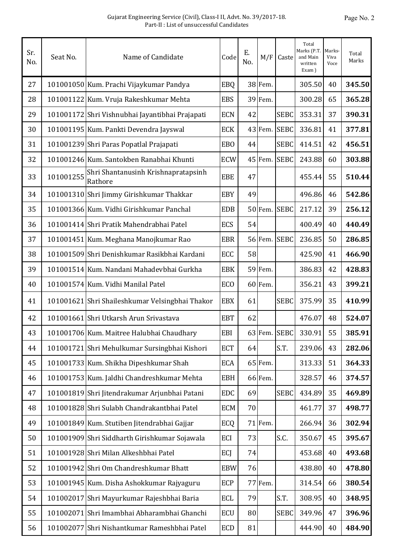| Sr.<br>No. | Seat No.  | Name of Candidate                               | Code            | Ε.<br>No. | M/F     | Caste        | Total<br>Marks (P.T.<br>and Main<br>written<br>Exam) | Marks-<br>Viva<br>Voce | Total<br>Marks |
|------------|-----------|-------------------------------------------------|-----------------|-----------|---------|--------------|------------------------------------------------------|------------------------|----------------|
| 27         |           | 101001050 Kum. Prachi Vijaykumar Pandya         | EBQ             |           | 38 Fem. |              | 305.50                                               | 40                     | 345.50         |
| 28         |           | 101001122 Kum. Vruja Rakeshkumar Mehta          | <b>EBS</b>      |           | 39 Fem. |              | 300.28                                               | 65                     | 365.28         |
| 29         |           | 101001172 Shri Vishnubhai Jayantibhai Prajapati | <b>ECN</b>      | 42        |         | <b>SEBC</b>  | 353.31                                               | 37                     | 390.31         |
| 30         |           | 101001195 Kum. Pankti Devendra Jayswal          | <b>ECK</b>      |           | 43 Fem. | <b>SEBC</b>  | 336.81                                               | 41                     | 377.81         |
| 31         |           | 101001239 Shri Paras Popatlal Prajapati         | EB <sub>0</sub> | 44        |         | <b>SEBC</b>  | 414.51                                               | 42                     | 456.51         |
| 32         |           | 101001246 Kum. Santokben Ranabhai Khunti        | <b>ECW</b>      |           | 45 Fem. | <b>SEBC</b>  | 243.88                                               | 60                     | 303.88         |
| 33         | 101001255 | Shri Shantanusinh Krishnapratapsinh<br>Rathore  | EBE             | 47        |         |              | 455.44                                               | 55                     | 510.44         |
| 34         |           | 101001310 Shri Jimmy Girishkumar Thakkar        | <b>EBY</b>      | 49        |         |              | 496.86                                               | 46                     | 542.86         |
| 35         |           | 101001366 Kum. Vidhi Girishkumar Panchal        | <b>EDB</b>      |           | 50 Fem. | <b>SEBC</b>  | 217.12                                               | 39                     | 256.12         |
| 36         |           | 101001414 Shri Pratik Mahendrabhai Patel        | ECS             | 54        |         |              | 400.49                                               | 40                     | 440.49         |
| 37         |           | 101001451 Kum. Meghana Manojkumar Rao           | <b>EBR</b>      |           | 56 Fem. | <b>SEBC</b>  | 236.85                                               | 50                     | 286.85         |
| 38         |           | 101001509 Shri Denishkumar Rasikbhai Kardani    | ECC             | 58        |         |              | 425.90                                               | 41                     | 466.90         |
| 39         |           | 101001514 Kum. Nandani Mahadevbhai Gurkha       | <b>EBK</b>      |           | 59 Fem. |              | 386.83                                               | 42                     | 428.83         |
| 40         |           | 101001574 Kum. Vidhi Manilal Patel              | <b>ECO</b>      |           | 60 Fem. |              | 356.21                                               | 43                     | 399.21         |
| 41         |           | 101001621 Shri Shaileshkumar Velsingbhai Thakor | <b>EBX</b>      | 61        |         | <b>SEBC</b>  | 375.99                                               | 35                     | 410.99         |
| 42         |           | 101001661 Shri Utkarsh Arun Srivastava          | <b>EBT</b>      | 62        |         |              | 476.07                                               | 48                     | 524.07         |
| 43         |           | 101001706 Kum. Maitree Halubhai Chaudhary       | EBI             |           |         | 63 Fem. SEBC | 330.91                                               | 55                     | 385.91         |
| 44         |           | 101001721 Shri Mehulkumar Sursingbhai Kishori   | <b>ECT</b>      | 64        |         | S.T.         | 239.06                                               | 43                     | 282.06         |
| 45         |           | 101001733 Kum. Shikha Dipeshkumar Shah          | <b>ECA</b>      |           | 65 Fem. |              | 313.33                                               | 51                     | 364.33         |
| 46         |           | 101001753 Kum. Jaldhi Chandreshkumar Mehta      | <b>EBH</b>      |           | 66 Fem. |              | 328.57                                               | 46                     | 374.57         |
| 47         |           | 101001819 Shri Jitendrakumar Arjunbhai Patani   | EDC             | 69        |         | <b>SEBC</b>  | 434.89                                               | 35                     | 469.89         |
| 48         |           | 101001828 Shri Sulabh Chandrakantbhai Patel     | <b>ECM</b>      | 70        |         |              | 461.77                                               | 37                     | 498.77         |
| 49         |           | 101001849 Kum. Stutiben Jitendrabhai Gajjar     | ECQ             |           | 71 Fem. |              | 266.94                                               | 36                     | 302.94         |
| 50         |           | 101001909 Shri Siddharth Girishkumar Sojawala   | ECI             | 73        |         | S.C.         | 350.67                                               | 45                     | 395.67         |
| 51         |           | 101001928 Shri Milan Alkeshbhai Patel           | ECJ             | 74        |         |              | 453.68                                               | 40                     | 493.68         |
| 52         |           | 101001942 Shri Om Chandreshkumar Bhatt          | <b>EBW</b>      | 76        |         |              | 438.80                                               | 40                     | 478.80         |
| 53         |           | 101001945 Kum. Disha Ashokkumar Rajyaguru       | ECP             |           | 77 Fem. |              | 314.54                                               | 66                     | 380.54         |
| 54         |           | 101002017 Shri Mayurkumar Rajeshbhai Baria      | ECL             | 79        |         | S.T.         | 308.95                                               | 40                     | 348.95         |
| 55         |           | 101002071 Shri Imambhai Abharambhai Ghanchi     | ECU             | 80        |         | <b>SEBC</b>  | 349.96                                               | 47                     | 396.96         |
| 56         |           | 101002077 Shri Nishantkumar Rameshbhai Patel    | ECD             | 81        |         |              | 444.90                                               | 40                     | 484.90         |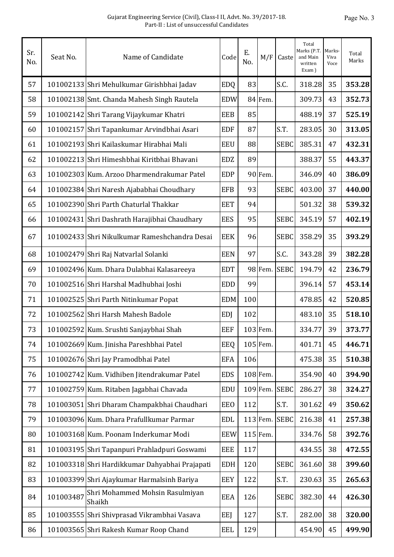| Sr.<br>No. | Seat No.  | Name of Candidate                              | Code       | Ε.<br>No. | M/F           | Caste       | Total<br>Marks (P.T.<br>and Main<br>written<br>Exam) | Marks-<br>Viva<br>Voce | Total<br>Marks |
|------------|-----------|------------------------------------------------|------------|-----------|---------------|-------------|------------------------------------------------------|------------------------|----------------|
| 57         |           | 101002133 Shri Mehulkumar Girishbhai Jadav     | <b>EDQ</b> | 83        |               | S.C.        | 318.28                                               | 35                     | 353.28         |
| 58         |           | 101002138 Smt. Chanda Mahesh Singh Rautela     | <b>EDW</b> |           | 84 Fem.       |             | 309.73                                               | 43                     | 352.73         |
| 59         |           | 101002142 Shri Tarang Vijaykumar Khatri        | <b>EEB</b> | 85        |               |             | 488.19                                               | 37                     | 525.19         |
| 60         |           | 101002157 Shri Tapankumar Arvindbhai Asari     | <b>EDF</b> | 87        |               | S.T.        | 283.05                                               | 30                     | 313.05         |
| 61         |           | 101002193 Shri Kailaskumar Hirabhai Mali       | <b>EEU</b> | 88        |               | <b>SEBC</b> | 385.31                                               | 47                     | 432.31         |
| 62         |           | 101002213 Shri Himeshbhai Kiritbhai Bhavani    | <b>EDZ</b> | 89        |               |             | 388.37                                               | 55                     | 443.37         |
| 63         |           | 101002303 Kum. Arzoo Dharmendrakumar Patel     | <b>EDP</b> |           | 90 Fem.       |             | 346.09                                               | 40                     | 386.09         |
| 64         |           | 101002384 Shri Naresh Ajababhai Choudhary      | <b>EFB</b> | 93        |               | <b>SEBC</b> | 403.00                                               | 37                     | 440.00         |
| 65         |           | 101002390 Shri Parth Chaturlal Thakkar         | <b>EET</b> | 94        |               |             | 501.32                                               | 38                     | 539.32         |
| 66         |           | 101002431 Shri Dashrath Harajibhai Chaudhary   | <b>EES</b> | 95        |               | <b>SEBC</b> | 345.19                                               | 57                     | 402.19         |
| 67         |           | 101002433 Shri Nikulkumar Rameshchandra Desai  | <b>EEK</b> | 96        |               | <b>SEBC</b> | 358.29                                               | 35                     | 393.29         |
| 68         |           | 101002479 Shri Raj Natvarlal Solanki           | <b>EEN</b> | 97        |               | S.C.        | 343.28                                               | 39                     | 382.28         |
| 69         |           | 101002496 Kum. Dhara Dulabhai Kalasareeya      | <b>EDT</b> |           | 98 Fem.       | <b>SEBC</b> | 194.79                                               | 42                     | 236.79         |
| 70         |           | 101002516 Shri Harshal Madhubhai Joshi         | <b>EDD</b> | 99        |               |             | 396.14                                               | 57                     | 453.14         |
| 71         |           | 101002525 Shri Parth Nitinkumar Popat          | <b>EDM</b> | 100       |               |             | 478.85                                               | 42                     | 520.85         |
| 72         |           | 101002562 Shri Harsh Mahesh Badole             | <b>EDJ</b> | 102       |               |             | 483.10                                               | 35                     | 518.10         |
| 73         |           | 101002592 Kum. Srushti Sanjaybhai Shah         | <b>EEF</b> |           | 103 Fem.      |             | 334.77                                               | 39                     | 373.77         |
| 74         |           | 101002669 Kum. Jinisha Pareshbhai Patel        | EEQ        |           | 105 Fem.      |             | 401.71                                               | 45                     | 446.71         |
| 75         |           | 101002676 Shri Jay Pramodbhai Patel            | <b>EFA</b> | 106       |               |             | 475.38                                               | 35                     | 510.38         |
| 76         |           | 101002742 Kum. Vidhiben Jitendrakumar Patel    | <b>EDS</b> |           | 108 Fem.      |             | 354.90                                               | 40                     | 394.90         |
| 77         |           | 101002759 Kum. Ritaben Jagabhai Chavada        | <b>EDU</b> |           | 109 Fem. SEBC |             | 286.27                                               | 38                     | 324.27         |
| 78         |           | 101003051 Shri Dharam Champakbhai Chaudhari    | <b>EEO</b> | 112       |               | S.T.        | 301.62                                               | 49                     | 350.62         |
| 79         |           | 101003096 Kum. Dhara Prafullkumar Parmar       | <b>EDL</b> |           | 113 Fem. SEBC |             | 216.38                                               | 41                     | 257.38         |
| 80         |           | 101003168 Kum. Poonam Inderkumar Modi          | <b>EEW</b> |           | 115 Fem.      |             | 334.76                                               | 58                     | 392.76         |
| 81         |           | 101003195 Shri Tapanpuri Prahladpuri Goswami   | <b>EEE</b> | 117       |               |             | 434.55                                               | 38                     | 472.55         |
| 82         |           | 101003318 Shri Hardikkumar Dahyabhai Prajapati | <b>EDH</b> | 120       |               | <b>SEBC</b> | 361.60                                               | 38                     | 399.60         |
| 83         |           | 101003399 Shri Ajaykumar Harmalsinh Bariya     | <b>EEY</b> | 122       |               | S.T.        | 230.63                                               | 35                     | 265.63         |
| 84         | 101003487 | Shri Mohammed Mohsin Rasulmiyan<br>Shaikh      | <b>EEA</b> | 126       |               | <b>SEBC</b> | 382.30                                               | 44                     | 426.30         |
| 85         |           | 101003555 Shri Shivprasad Vikrambhai Vasava    | EEJ        | 127       |               | S.T.        | 282.00                                               | 38                     | 320.00         |
| 86         |           | 101003565 Shri Rakesh Kumar Roop Chand         | <b>EEL</b> | 129       |               |             | 454.90                                               | 45                     | 499.90         |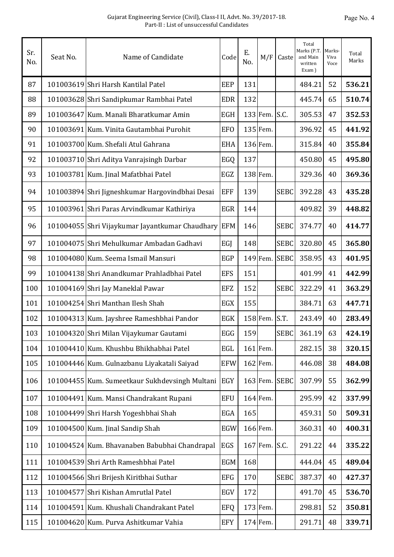| Sr.<br>No. | Seat No. | Name of Candidate                               | Code       | Ε.<br>No. | M/F      | Caste       | Total<br>Marks (P.T.<br>and Main<br>written<br>Exam) | Marks-<br>Viva<br>Voce | Total<br>Marks |
|------------|----------|-------------------------------------------------|------------|-----------|----------|-------------|------------------------------------------------------|------------------------|----------------|
| 87         |          | 101003619 Shri Harsh Kantilal Patel             | <b>EEP</b> | 131       |          |             | 484.21                                               | 52                     | 536.21         |
| 88         |          | 101003628 Shri Sandipkumar Rambhai Patel        | <b>EDR</b> | 132       |          |             | 445.74                                               | 65                     | 510.74         |
| 89         |          | 101003647 Kum. Manali Bharatkumar Amin          | <b>EGH</b> |           | 133 Fem. | S.C.        | 305.53                                               | 47                     | 352.53         |
| 90         |          | 101003691 Kum. Vinita Gautambhai Purohit        | <b>EFO</b> |           | 135 Fem. |             | 396.92                                               | 45                     | 441.92         |
| 91         |          | 101003700 Kum. Shefali Atul Gahrana             | <b>EHA</b> |           | 136 Fem. |             | 315.84                                               | 40                     | 355.84         |
| 92         |          | 101003710 Shri Aditya Vanrajsingh Darbar        | EGQ        | 137       |          |             | 450.80                                               | 45                     | 495.80         |
| 93         |          | 101003781 Kum. Jinal Mafatbhai Patel            | EGZ        |           | 138 Fem. |             | 329.36                                               | 40                     | 369.36         |
| 94         |          | 101003894 Shri Jigneshkumar Hargovindbhai Desai | <b>EFF</b> | 139       |          | <b>SEBC</b> | 392.28                                               | 43                     | 435.28         |
| 95         |          | 101003961 Shri Paras Arvindkumar Kathiriya      | EGR        | 144       |          |             | 409.82                                               | 39                     | 448.82         |
| 96         |          | 101004055 Shri Vijaykumar Jayantkumar Chaudhary | <b>EFM</b> | 146       |          | <b>SEBC</b> | 374.77                                               | 40                     | 414.77         |
| 97         |          | 101004075 Shri Mehulkumar Ambadan Gadhavi       | EGJ        | 148       |          | <b>SEBC</b> | 320.80                                               | 45                     | 365.80         |
| 98         |          | 101004080 Kum. Seema Ismail Mansuri             | <b>EGP</b> |           | 149 Fem. | <b>SEBC</b> | 358.95                                               | 43                     | 401.95         |
| 99         |          | 101004138 Shri Anandkumar Prahladbhai Patel     | <b>EFS</b> | 151       |          |             | 401.99                                               | 41                     | 442.99         |
| 100        |          | 101004169 Shri Jay Maneklal Pawar               | <b>EFZ</b> | 152       |          | <b>SEBC</b> | 322.29                                               | 41                     | 363.29         |
| 101        |          | 101004254 Shri Manthan Ilesh Shah               | EGX        | 155       |          |             | 384.71                                               | 63                     | 447.71         |
| 102        |          | 101004313 Kum. Jayshree Rameshbhai Pandor       | <b>EGK</b> |           | 158 Fem. | S.T.        | 243.49                                               | 40                     | 283.49         |
| 103        |          | 101004320 Shri Milan Vijaykumar Gautami         | EGG        | 159       |          | <b>SEBC</b> | 361.19                                               | 63                     | 424.19         |
| 104        |          | 101004410 Kum. Khushbu Bhikhabhai Patel         | EGL        |           | 161 Fem. |             | 282.15                                               | 38                     | 320.15         |
| 105        |          | 101004446 Kum. Gulnazbanu Liyakatali Saiyad     | <b>EFW</b> |           | 162 Fem. |             | 446.08                                               | 38                     | 484.08         |
| 106        |          | 101004455 Kum. Sumeetkaur Sukhdevsingh Multani  | <b>EGY</b> |           | 163 Fem. | <b>SEBC</b> | 307.99                                               | 55                     | 362.99         |
| 107        |          | 101004491 Kum. Mansi Chandrakant Rupani         | <b>EFU</b> |           | 164 Fem. |             | 295.99                                               | 42                     | 337.99         |
| 108        |          | 101004499 Shri Harsh Yogeshbhai Shah            | EGA        | 165       |          |             | 459.31                                               | 50                     | 509.31         |
| 109        |          | 101004500 Kum. Jinal Sandip Shah                | <b>EGW</b> |           | 166 Fem. |             | 360.31                                               | 40                     | 400.31         |
| 110        |          | 101004524 Kum. Bhavanaben Babubhai Chandrapal   | EGS        |           | 167 Fem. | S.C.        | 291.22                                               | 44                     | 335.22         |
| 111        |          | 101004539 Shri Arth Rameshbhai Patel            | EGM        | 168       |          |             | 444.04                                               | 45                     | 489.04         |
| 112        |          | 101004566 Shri Brijesh Kiritbhai Suthar         | <b>EFG</b> | 170       |          | <b>SEBC</b> | 387.37                                               | 40                     | 427.37         |
| 113        |          | 101004577 Shri Kishan Amrutlal Patel            | EGV        | 172       |          |             | 491.70                                               | 45                     | 536.70         |
| 114        |          | 101004591 Kum. Khushali Chandrakant Patel       | <b>EFQ</b> |           | 173 Fem. |             | 298.81                                               | 52                     | 350.81         |
| 115        |          | 101004620 Kum. Purva Ashitkumar Vahia           | <b>EFY</b> |           | 174 Fem. |             | 291.71                                               | 48                     | 339.71         |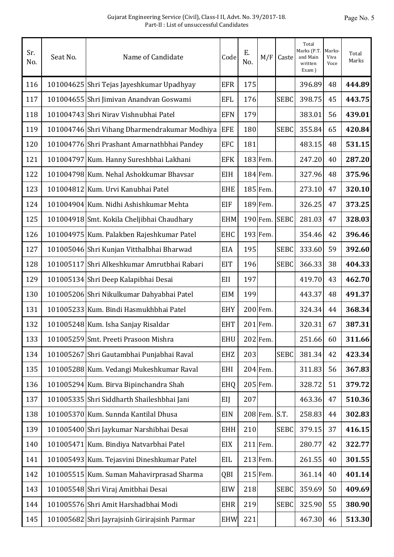| Sr.<br>No. | Seat No. | Name of Candidate                             | Code       | Ε.<br>No. | M/F        | Caste       | Total<br>Marks (P.T.<br>and Main<br>written<br>Exam) | Marks-<br>Viva<br>Voce | Total<br>Marks |
|------------|----------|-----------------------------------------------|------------|-----------|------------|-------------|------------------------------------------------------|------------------------|----------------|
| 116        |          | 101004625 Shri Tejas Jayeshkumar Upadhyay     | <b>EFR</b> | 175       |            |             | 396.89                                               | 48                     | 444.89         |
| 117        |          | 101004655 Shri Jimivan Anandvan Goswami       | <b>EFL</b> | 176       |            | <b>SEBC</b> | 398.75                                               | 45                     | 443.75         |
| 118        |          | 101004743 Shri Niray Vishnubhai Patel         | <b>EFN</b> | 179       |            |             | 383.01                                               | 56                     | 439.01         |
| 119        |          | 101004746 Shri Vihang Dharmendrakumar Modhiya | <b>EFE</b> | 180       |            | <b>SEBC</b> | 355.84                                               | 65                     | 420.84         |
| 120        |          | 101004776 Shri Prashant Amarnathbhai Pandey   | <b>EFC</b> | 181       |            |             | 483.15                                               | 48                     | 531.15         |
| 121        |          | 101004797 Kum. Hanny Sureshbhai Lakhani       | <b>EFK</b> |           | 183 Fem.   |             | 247.20                                               | 40                     | 287.20         |
| 122        |          | 101004798 Kum. Nehal Ashokkumar Bhavsar       | EIH        |           | 184 Fem.   |             | 327.96                                               | 48                     | 375.96         |
| 123        |          | 101004812 Kum. Urvi Kanubhai Patel            | <b>EHE</b> |           | 185 Fem.   |             | 273.10                                               | 47                     | 320.10         |
| 124        |          | 101004904 Kum. Nidhi Ashishkumar Mehta        | <b>EIF</b> |           | 189 Fem.   |             | 326.25                                               | 47                     | 373.25         |
| 125        |          | 101004918 Smt. Kokila Cheljibhai Chaudhary    | <b>EHM</b> |           | 190 Fem.   | <b>SEBC</b> | 281.03                                               | 47                     | 328.03         |
| 126        |          | 101004975 Kum. Palakben Rajeshkumar Patel     | <b>EHC</b> |           | 193 Fem.   |             | 354.46                                               | 42                     | 396.46         |
| 127        |          | 101005046 Shri Kunjan Vitthalbhai Bharwad     | EIA        | 195       |            | <b>SEBC</b> | 333.60                                               | 59                     | 392.60         |
| 128        |          | 101005117 Shri Alkeshkumar Amrutbhai Rabari   | <b>EIT</b> | 196       |            | <b>SEBC</b> | 366.33                                               | 38                     | 404.33         |
| 129        |          | 101005134 Shri Deep Kalapibhai Desai          | EII        | 197       |            |             | 419.70                                               | 43                     | 462.70         |
| 130        |          | 101005206 Shri Nikulkumar Dahyabhai Patel     | <b>EIM</b> | 199       |            |             | 443.37                                               | 48                     | 491.37         |
| 131        |          | 101005233 Kum. Bindi Hasmukhbhai Patel        | <b>EHY</b> |           | 200 Fem.   |             | 324.34                                               | 44                     | 368.34         |
| 132        |          | 101005248 Kum. Isha Sanjay Risaldar           | <b>EHT</b> |           | 201 Fem.   |             | 320.31                                               | 67                     | 387.31         |
| 133        |          | 101005259 Smt. Preeti Prasoon Mishra          | <b>EHU</b> |           | 202 Fem.   |             | 251.66                                               | 60                     | 311.66         |
| 134        |          | 101005267 Shri Gautambhai Punjabhai Raval     | <b>EHZ</b> | 203       |            | <b>SEBC</b> | 381.34                                               | 42                     | 423.34         |
| 135        |          | 101005288 Kum. Vedangi Mukeshkumar Raval      | <b>EHI</b> |           | 204 Fem.   |             | 311.83                                               | 56                     | 367.83         |
| 136        |          | 101005294 Kum. Birva Bipinchandra Shah        | EHQ        |           | 205 Fem.   |             | 328.72                                               | 51                     | 379.72         |
| 137        |          | 101005335 Shri Siddharth Shaileshbhai Jani    | EIJ        | 207       |            |             | 463.36                                               | 47                     | 510.36         |
| 138        |          | 101005370 Kum. Sunnda Kantilal Dhusa          | <b>EIN</b> |           | 208 Fem.   | S.T.        | 258.83                                               | 44                     | 302.83         |
| 139        |          | 101005400 Shri Jaykumar Narshibhai Desai      | <b>EHH</b> | 210       |            | <b>SEBC</b> | 379.15                                               | 37                     | 416.15         |
| 140        |          | 101005471 Kum. Bindiya Natvarbhai Patel       | EIX        |           | $211$ Fem. |             | 280.77                                               | 42                     | 322.77         |
| 141        |          | 101005493 Kum. Tejasvini Dineshkumar Patel    | EIL        |           | 213 Fem.   |             | 261.55                                               | 40                     | 301.55         |
| 142        |          | 101005515 Kum. Suman Mahavirprasad Sharma     | QBI        |           | 215 Fem.   |             | 361.14                                               | 40                     | 401.14         |
| 143        |          | 101005548 Shri Viraj Amitbhai Desai           | EIW        | 218       |            | <b>SEBC</b> | 359.69                                               | 50                     | 409.69         |
| 144        |          | 101005576 Shri Amit Harshadbhai Modi          | <b>EHR</b> | 219       |            | <b>SEBC</b> | 325.90                                               | 55                     | 380.90         |
| 145        |          | 101005682 Shri Jayrajsinh Girirajsinh Parmar  | <b>EHW</b> | 221       |            |             | 467.30                                               | 46                     | 513.30         |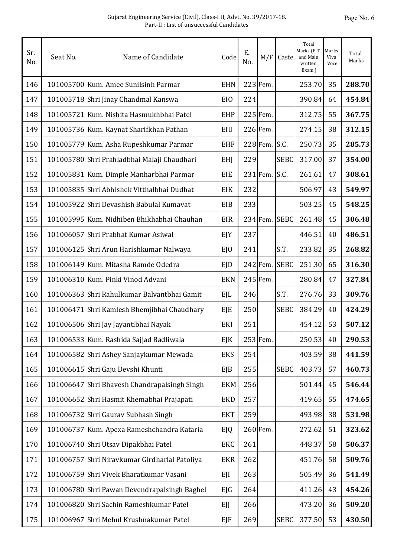| Sr.<br>No. | Seat No. | Name of Candidate                             | Code       | Ε.<br>No. | M/F      | Caste       | Total<br>Marks (P.T.<br>and Main<br>written<br>Exam) | Marks-<br>Viva<br>Voce | Total<br>Marks |
|------------|----------|-----------------------------------------------|------------|-----------|----------|-------------|------------------------------------------------------|------------------------|----------------|
| 146        |          | 101005700 Kum. Amee Sunilsinh Parmar          | <b>EHN</b> |           | 223 Fem. |             | 253.70                                               | 35                     | 288.70         |
| 147        |          | 101005718 Shri Jinay Chandmal Kanswa          | EIO        | 224       |          |             | 390.84                                               | 64                     | 454.84         |
| 148        |          | 101005721 Kum. Nishita Hasmukhbhai Patel      | <b>EHP</b> |           | 225 Fem. |             | 312.75                                               | 55                     | 367.75         |
| 149        |          | 101005736 Kum. Kaynat Sharifkhan Pathan       | EIU        |           | 226 Fem. |             | 274.15                                               | 38                     | 312.15         |
| 150        |          | 101005779 Kum. Asha Rupeshkumar Parmar        | <b>EHF</b> |           | 228 Fem. | S.C.        | 250.73                                               | 35                     | 285.73         |
| 151        |          | 101005780 Shri Prahladbhai Malaji Chaudhari   | EHJ        | 229       |          | <b>SEBC</b> | 317.00                                               | 37                     | 354.00         |
| 152        |          | 101005831 Kum. Dimple Manharbhai Parmar       | EIE        |           | 231 Fem. | S.C.        | 261.61                                               | 47                     | 308.61         |
| 153        |          | 101005835 Shri Abhishek Vitthalbhai Dudhat    | EIK        | 232       |          |             | 506.97                                               | 43                     | 549.97         |
| 154        |          | 101005922 Shri Devashish Babulal Kumavat      | EIB        | 233       |          |             | 503.25                                               | 45                     | 548.25         |
| 155        |          | 101005995 Kum. Nidhiben Bhikhabhai Chauhan    | <b>EIR</b> |           | 234 Fem. | <b>SEBC</b> | 261.48                                               | 45                     | 306.48         |
| 156        |          | 101006057 Shri Prabhat Kumar Asiwal           | EJY        | 237       |          |             | 446.51                                               | 40                     | 486.51         |
| 157        |          | 101006125 Shri Arun Harishkumar Nalwaya       | EJO        | 241       |          | S.T.        | 233.82                                               | 35                     | 268.82         |
| 158        |          | 101006149 Kum. Mitasha Ramde Odedra           | EJD        |           | 242 Fem. | <b>SEBC</b> | 251.30                                               | 65                     | 316.30         |
| 159        |          | 101006310 Kum. Pinki Vinod Advani             | <b>EKN</b> |           | 245 Fem. |             | 280.84                                               | 47                     | 327.84         |
| 160        |          | 101006363 Shri Rahulkumar Balvantbhai Gamit   | EJL        | 246       |          | S.T.        | 276.76                                               | 33                     | 309.76         |
| 161        |          | 101006471 Shri Kamlesh Bhemjibhai Chaudhary   | EJE        | 250       |          | <b>SEBC</b> | 384.29                                               | 40                     | 424.29         |
| 162        |          | 101006506 Shri Jay Jayantibhai Nayak          | <b>EKI</b> | 251       |          |             | 454.12                                               | 53                     | 507.12         |
| 163        |          | 101006533 Kum. Rashida Sajjad Badliwala       | EJK        |           | 253 Fem. |             | 250.53                                               | 40                     | 290.53         |
| 164        |          | 101006582 Shri Ashey Sanjaykumar Mewada       | <b>EKS</b> | 254       |          |             | 403.59                                               | 38                     | 441.59         |
| 165        |          | 101006615 Shri Gaju Devshi Khunti             | EJB        | 255       |          | <b>SEBC</b> | 403.73                                               | 57                     | 460.73         |
| 166        |          | 101006647 Shri Bhavesh Chandrapalsingh Singh  | <b>EKM</b> | 256       |          |             | 501.44                                               | 45                     | 546.44         |
| 167        |          | 101006652 Shri Hasmit Khemabhai Prajapati     | <b>EKD</b> | 257       |          |             | 419.65                                               | 55                     | 474.65         |
| 168        |          | 101006732 Shri Gaurav Subhash Singh           | <b>EKT</b> | 259       |          |             | 493.98                                               | 38                     | 531.98         |
| 169        |          | 101006737 Kum. Apexa Rameshchandra Kataria    | EJQ        |           | 260 Fem. |             | 272.62                                               | 51                     | 323.62         |
| 170        |          | 101006740 Shri Utsav Dipakbhai Patel          | EKC        | 261       |          |             | 448.37                                               | 58                     | 506.37         |
| 171        |          | 101006757 Shri Niravkumar Girdharlal Patoliya | <b>EKR</b> | 262       |          |             | 451.76                                               | 58                     | 509.76         |
| 172        |          | 101006759 Shri Vivek Bharatkumar Vasani       | EJI        | 263       |          |             | 505.49                                               | 36                     | 541.49         |
| 173        |          | 101006780 Shri Pawan Devendrapalsingh Baghel  | EJG        | 264       |          |             | 411.26                                               | 43                     | 454.26         |
| 174        |          | 101006820 Shri Sachin Rameshkumar Patel       | EJJ        | 266       |          |             | 473.20                                               | 36                     | 509.20         |
| 175        |          | 101006967 Shri Mehul Krushnakumar Patel       | <b>EJF</b> | 269       |          | <b>SEBC</b> | 377.50                                               | 53                     | 430.50         |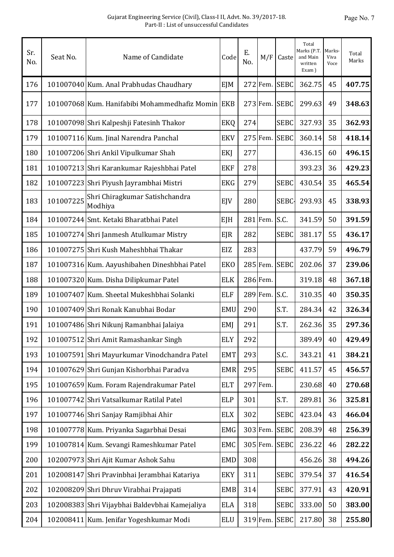| Sr.<br>No. | Seat No.  | Name of Candidate                                 | Code       | Ε.<br>No. | M/F      | Caste       | Total<br>Marks (P.T.<br>and Main<br>written<br>Exam) | <b>Marks</b><br>Viva<br>Voce | Total<br>Marks |
|------------|-----------|---------------------------------------------------|------------|-----------|----------|-------------|------------------------------------------------------|------------------------------|----------------|
| 176        |           | 101007040 Kum. Anal Prabhudas Chaudhary           | EJM        |           | 272 Fem. | <b>SEBC</b> | 362.75                                               | 45                           | 407.75         |
| 177        |           | 101007068 Kum. Hanifabibi Mohammedhafiz Momin EKB |            |           | 273 Fem. | <b>SEBC</b> | 299.63                                               | 49                           | 348.63         |
| 178        |           | 101007098 Shri Kalpeshji Fatesinh Thakor          | EKQ        | 274       |          | <b>SEBC</b> | 327.93                                               | 35                           | 362.93         |
| 179        |           | 101007116 Kum. Jinal Narendra Panchal             | <b>EKV</b> |           | 275 Fem. | <b>SEBC</b> | 360.14                                               | 58                           | 418.14         |
| 180        |           | 101007206 Shri Ankil Vipulkumar Shah              | EKJ        | 277       |          |             | 436.15                                               | 60                           | 496.15         |
| 181        |           | 101007213 Shri Karankumar Rajeshbhai Patel        | <b>EKF</b> | 278       |          |             | 393.23                                               | 36                           | 429.23         |
| 182        |           | 101007223 Shri Piyush Jayrambhai Mistri           | <b>EKG</b> | 279       |          | <b>SEBC</b> | 430.54                                               | 35                           | 465.54         |
| 183        | 101007225 | Shri Chiragkumar Satishchandra<br>Modhiya         | EJV        | 280       |          | SEBC-       | 293.93                                               | 45                           | 338.93         |
| 184        |           | 101007244 Smt. Ketaki Bharatbhai Patel            | EJH        |           | 281 Fem. | S.C.        | 341.59                                               | 50                           | 391.59         |
| 185        |           | 101007274 Shri Janmesh Atulkumar Mistry           | <b>EJR</b> | 282       |          | <b>SEBC</b> | 381.17                                               | 55                           | 436.17         |
| 186        |           | 101007275 Shri Kush Maheshbhai Thakar             | EIZ        | 283       |          |             | 437.79                                               | 59                           | 496.79         |
| 187        |           | 101007316 Kum. Aayushibahen Dineshbhai Patel      | <b>EKO</b> |           | 285 Fem. | <b>SEBC</b> | 202.06                                               | 37                           | 239.06         |
| 188        |           | 101007320 Kum. Disha Dilipkumar Patel             | <b>ELK</b> |           | 286 Fem. |             | 319.18                                               | 48                           | 367.18         |
| 189        |           | 101007407 Kum. Sheetal Mukeshbhai Solanki         | <b>ELF</b> |           | 289 Fem. | S.C.        | 310.35                                               | 40                           | 350.35         |
| 190        |           | 101007409 Shri Ronak Kanubhai Bodar               | <b>EMU</b> | 290       |          | S.T.        | 284.34                                               | 42                           | 326.34         |
| 191        |           | 101007486 Shri Nikunj Ramanbhai Jalaiya           | EMJ        | 291       |          | S.T.        | 262.36                                               | 35                           | 297.36         |
| 192        |           | 101007512 Shri Amit Ramashankar Singh             | <b>ELY</b> | 292       |          |             | 389.49                                               | 40                           | 429.49         |
| 193        |           | 101007591 Shri Mayurkumar Vinodchandra Patel      | <b>EMT</b> | 293       |          | S.C.        | 343.21                                               | 41                           | 384.21         |
| 194        |           | 101007629 Shri Gunjan Kishorbhai Paradva          | <b>EMR</b> | 295       |          | <b>SEBC</b> | 411.57                                               | 45                           | 456.57         |
| 195        |           | 101007659 Kum. Foram Rajendrakumar Patel          | <b>ELT</b> |           | 297 Fem. |             | 230.68                                               | 40                           | 270.68         |
| 196        |           | 101007742 Shri Vatsalkumar Ratilal Patel          | <b>ELP</b> | 301       |          | S.T.        | 289.81                                               | 36                           | 325.81         |
| 197        |           | 101007746 Shri Sanjay Ramjibhai Ahir              | <b>ELX</b> | 302       |          | <b>SEBC</b> | 423.04                                               | 43                           | 466.04         |
| 198        |           | 101007778 Kum. Priyanka Sagarbhai Desai           | <b>EMG</b> |           | 303 Fem. | <b>SEBC</b> | 208.39                                               | 48                           | 256.39         |
| 199        |           | 101007814 Kum. Sevangi Rameshkumar Patel          | <b>EMC</b> |           | 305 Fem. | <b>SEBC</b> | 236.22                                               | 46                           | 282.22         |
| 200        |           | 102007973 Shri Ajit Kumar Ashok Sahu              | <b>EMD</b> | 308       |          |             | 456.26                                               | 38                           | 494.26         |
| 201        |           | 102008147 Shri Pravinbhai Jerambhai Katariya      | <b>EKY</b> | 311       |          | <b>SEBC</b> | 379.54                                               | 37                           | 416.54         |
| 202        |           | 102008209 Shri Dhruv Virabhai Prajapati           | <b>EMB</b> | 314       |          | <b>SEBC</b> | 377.91                                               | 43                           | 420.91         |
| 203        |           | 102008383 Shri Vijaybhai Baldevbhai Kamejaliya    | <b>ELA</b> | 318       |          | <b>SEBC</b> | 333.00                                               | 50                           | 383.00         |
| 204        |           | 102008411 Kum. Jenifar Yogeshkumar Modi           | ELU        |           | 319 Fem. | <b>SEBC</b> | 217.80                                               | 38                           | 255.80         |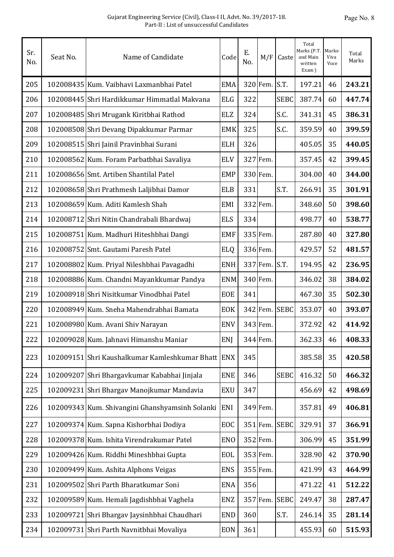| Sr.<br>No. | Seat No. | Name of Candidate                               | Code       | Ε.<br>No. | M/F      | Caste       | Total<br>Marks (P.T.<br>and Main<br>written<br>Exam) | Marks-<br>Viva<br>Voce | Total<br>Marks |
|------------|----------|-------------------------------------------------|------------|-----------|----------|-------------|------------------------------------------------------|------------------------|----------------|
| 205        |          | 102008435 Kum. Vaibhavi Laxmanbhai Patel        | <b>EMA</b> |           | 320 Fem. | S.T.        | 197.21                                               | 46                     | 243.21         |
| 206        |          | 102008445 Shri Hardikkumar Himmatlal Makvana    | <b>ELG</b> | 322       |          | <b>SEBC</b> | 387.74                                               | 60                     | 447.74         |
| 207        |          | 102008485 Shri Mrugank Kiritbhai Rathod         | <b>ELZ</b> | 324       |          | S.C.        | 341.31                                               | 45                     | 386.31         |
| 208        |          | 102008508 Shri Devang Dipakkumar Parmar         | <b>EMK</b> | 325       |          | S.C.        | 359.59                                               | 40                     | 399.59         |
| 209        |          | 102008515 Shri Jainil Pravinbhai Surani         | <b>ELH</b> | 326       |          |             | 405.05                                               | 35                     | 440.05         |
| 210        |          | 102008562 Kum. Foram Parbatbhai Savaliya        | <b>ELV</b> |           | 327 Fem. |             | 357.45                                               | 42                     | 399.45         |
| 211        |          | 102008656 Smt. Artiben Shantilal Patel          | <b>EMP</b> |           | 330 Fem. |             | 304.00                                               | 40                     | 344.00         |
| 212        |          | 102008658 Shri Prathmesh Laljibhai Damor        | <b>ELB</b> | 331       |          | S.T.        | 266.91                                               | 35                     | 301.91         |
| 213        |          | 102008659 Kum. Aditi Kamlesh Shah               | EMI        |           | 332 Fem. |             | 348.60                                               | 50                     | 398.60         |
| 214        |          | 102008712 Shri Nitin Chandrabali Bhardwaj       | <b>ELS</b> | 334       |          |             | 498.77                                               | 40                     | 538.77         |
| 215        |          | 102008751 Kum. Madhuri Hiteshbhai Dangi         | <b>EMF</b> |           | 335 Fem. |             | 287.80                                               | 40                     | 327.80         |
| 216        |          | 102008752 Smt. Gautami Paresh Patel             | <b>ELQ</b> |           | 336 Fem. |             | 429.57                                               | 52                     | 481.57         |
| 217        |          | 102008802 Kum. Priyal Nileshbhai Pavagadhi      | <b>ENH</b> |           | 337 Fem. | S.T.        | 194.95                                               | 42                     | 236.95         |
| 218        |          | 102008886 Kum. Chandni Mayankkumar Pandya       | <b>ENM</b> |           | 340 Fem. |             | 346.02                                               | 38                     | 384.02         |
| 219        |          | 102008918 Shri Nisitkumar Vinodbhai Patel       | EOE        | 341       |          |             | 467.30                                               | 35                     | 502.30         |
| 220        |          | 102008949 Kum. Sneha Mahendrabhai Bamata        | <b>EOK</b> |           | 342 Fem. | <b>SEBC</b> | 353.07                                               | 40                     | 393.07         |
| 221        |          | 102008980 Kum. Avani Shiv Narayan               | <b>ENV</b> |           | 343 Fem. |             | 372.92                                               | 42                     | 414.92         |
| 222        |          | 102009028 Kum. Jahnavi Himanshu Maniar          | ENJ        |           | 344 Fem. |             | 362.33                                               | 46                     | 408.33         |
| 223        |          | 102009151 Shri Kaushalkumar Kamleshkumar Bhatt  | <b>ENX</b> | 345       |          |             | 385.58                                               | 35                     | 420.58         |
| 224        |          | 102009207 Shri Bhargavkumar Kababhai Jinjala    | <b>ENE</b> | 346       |          | <b>SEBC</b> | 416.32                                               | 50                     | 466.32         |
| 225        |          | 102009231 Shri Bhargav Manojkumar Mandavia      | <b>EXU</b> | 347       |          |             | 456.69                                               | 42                     | 498.69         |
| 226        |          | 102009343 Kum. Shivangini Ghanshyamsinh Solanki | ENI        |           | 349 Fem. |             | 357.81                                               | 49                     | 406.81         |
| 227        |          | 102009374 Kum. Sapna Kishorbhai Dodiya          | EOC        |           | 351 Fem. | <b>SEBC</b> | 329.91                                               | 37                     | 366.91         |
| 228        |          | 102009378 Kum. Ishita Virendrakumar Patel       | <b>ENO</b> |           | 352 Fem. |             | 306.99                                               | 45                     | 351.99         |
| 229        |          | 102009426 Kum. Riddhi Mineshbhai Gupta          | EOL        |           | 353 Fem. |             | 328.90                                               | 42                     | 370.90         |
| 230        |          | 102009499 Kum. Ashita Alphons Veigas            | <b>ENS</b> |           | 355 Fem. |             | 421.99                                               | 43                     | 464.99         |
| 231        |          | 102009502 Shri Parth Bharatkumar Soni           | <b>ENA</b> | 356       |          |             | 471.22                                               | 41                     | 512.22         |
| 232        |          | 102009589 Kum. Hemali Jagdishbhai Vaghela       | ENZ        |           | 357 Fem. | <b>SEBC</b> | 249.47                                               | 38                     | 287.47         |
| 233        |          | 102009721 Shri Bhargav Jaysinhbhai Chaudhari    | <b>END</b> | 360       |          | S.T.        | 246.14                                               | 35                     | 281.14         |
| 234        |          | 102009731 Shri Parth Navnitbhai Movaliya        | <b>EON</b> | 361       |          |             | 455.93                                               | 60                     | 515.93         |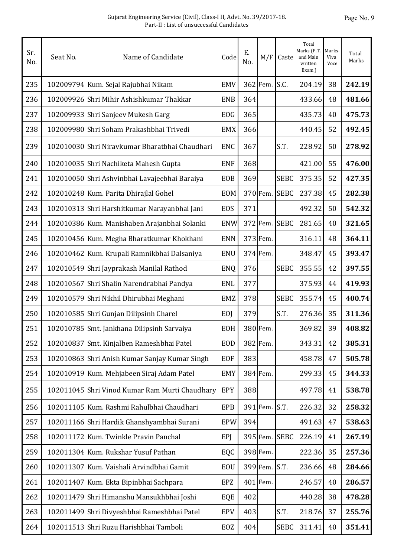| Sr.<br>No. | Seat No. | Name of Candidate                              | Code       | Ε.<br>No. | M/F           | Caste         | Total<br>Marks (P.T.<br>and Main<br>written<br>Exam) | Marks-<br>Viva<br>Voce | Total<br>Marks |
|------------|----------|------------------------------------------------|------------|-----------|---------------|---------------|------------------------------------------------------|------------------------|----------------|
| 235        |          | 102009794 Kum. Sejal Rajubhai Nikam            | <b>EMV</b> |           | 362 Fem. S.C. |               | 204.19                                               | 38                     | 242.19         |
| 236        |          | 102009926 Shri Mihir Ashishkumar Thakkar       | <b>ENB</b> | 364       |               |               | 433.66                                               | 48                     | 481.66         |
| 237        |          | 102009933 Shri Sanjeev Mukesh Garg             | <b>EOG</b> | 365       |               |               | 435.73                                               | 40                     | 475.73         |
| 238        |          | 102009980 Shri Soham Prakashbhai Trivedi       | <b>EMX</b> | 366       |               |               | 440.45                                               | 52                     | 492.45         |
| 239        |          | 102010030 Shri Niravkumar Bharatbhai Chaudhari | <b>ENC</b> | 367       |               | S.T.          | 228.92                                               | 50                     | 278.92         |
| 240        |          | 102010035 Shri Nachiketa Mahesh Gupta          | <b>ENF</b> | 368       |               |               | 421.00                                               | 55                     | 476.00         |
| 241        |          | 102010050 Shri Ashvinbhai Lavajeebhai Baraiya  | <b>EOB</b> | 369       |               | <b>SEBC</b>   | 375.35                                               | 52                     | 427.35         |
| 242        |          | 102010248 Kum. Parita Dhirajlal Gohel          | <b>EOM</b> |           | 370 Fem.      | <b>SEBC</b>   | 237.38                                               | 45                     | 282.38         |
| 243        |          | 102010313 Shri Harshitkumar Narayanbhai Jani   | EOS        | 371       |               |               | 492.32                                               | 50                     | 542.32         |
| 244        |          | 102010386 Kum. Manishaben Arajanbhai Solanki   | <b>ENW</b> |           |               | 372 Fem. SEBC | 281.65                                               | 40                     | 321.65         |
| 245        |          | 102010456 Kum. Megha Bharatkumar Khokhani      | <b>ENN</b> |           | 373 Fem.      |               | 316.11                                               | 48                     | 364.11         |
| 246        |          | 102010462 Kum. Krupali Ramnikbhai Dalsaniya    | <b>ENU</b> |           | 374 Fem.      |               | 348.47                                               | 45                     | 393.47         |
| 247        |          | 102010549 Shri Jayprakash Manilal Rathod       | ENQ        | 376       |               | <b>SEBC</b>   | 355.55                                               | 42                     | 397.55         |
| 248        |          | 102010567 Shri Shalin Narendrabhai Pandya      | <b>ENL</b> | 377       |               |               | 375.93                                               | 44                     | 419.93         |
| 249        |          | 102010579 Shri Nikhil Dhirubhai Meghani        | <b>EMZ</b> | 378       |               | <b>SEBC</b>   | 355.74                                               | 45                     | 400.74         |
| 250        |          | 102010585 Shri Gunjan Dilipsinh Charel         | EOJ        | 379       |               | S.T.          | 276.36                                               | 35                     | 311.36         |
| 251        |          | 102010785 Smt. Jankhana Dilipsinh Sarvaiya     | EOH        |           | 380 Fem.      |               | 369.82                                               | 39                     | 408.82         |
| 252        |          | 102010837 Smt. Kinjalben Rameshbhai Patel      | <b>EOD</b> |           | 382 Fem.      |               | 343.31                                               | 42                     | 385.31         |
| 253        |          | 102010863 Shri Anish Kumar Sanjay Kumar Singh  | <b>EOF</b> | 383       |               |               | 458.78                                               | 47                     | 505.78         |
| 254        |          | 102010919 Kum. Mehjabeen Siraj Adam Patel      | <b>EMY</b> |           | 384 Fem.      |               | 299.33                                               | 45                     | 344.33         |
| 255        |          | 102011045 Shri Vinod Kumar Ram Murti Chaudhary | EPY        | 388       |               |               | 497.78                                               | 41                     | 538.78         |
| 256        |          | 102011105 Kum. Rashmi Rahulbhai Chaudhari      | <b>EPB</b> |           | 391 Fem. S.T. |               | 226.32                                               | 32                     | 258.32         |
| 257        |          | 102011166 Shri Hardik Ghanshyambhai Surani     | <b>EPW</b> | 394       |               |               | 491.63                                               | 47                     | 538.63         |
| 258        |          | 102011172 Kum. Twinkle Pravin Panchal          | <b>EPJ</b> |           |               | 395 Fem. SEBC | 226.19                                               | 41                     | 267.19         |
| 259        |          | 102011304 Kum. Rukshar Yusuf Pathan            | EQC        |           | 398 Fem.      |               | 222.36                                               | 35                     | 257.36         |
| 260        |          | 102011307 Kum. Vaishali Arvindbhai Gamit       | EOU        |           | 399 Fem. S.T. |               | 236.66                                               | 48                     | 284.66         |
| 261        |          | 102011407 Kum. Ekta Bipinbhai Sachpara         | EPZ        |           | 401 Fem.      |               | 246.57                                               | 40                     | 286.57         |
| 262        |          | 102011479 Shri Himanshu Mansukhbhai Joshi      | EQE        | 402       |               |               | 440.28                                               | 38                     | 478.28         |
| 263        |          | 102011499 Shri Divyeshbhai Rameshbhai Patel    | <b>EPV</b> | 403       |               | S.T.          | 218.76                                               | 37                     | 255.76         |
| 264        |          | 102011513 Shri Ruzu Harishbhai Tamboli         | EOZ        | 404       |               | <b>SEBC</b>   | 311.41                                               | 40                     | 351.41         |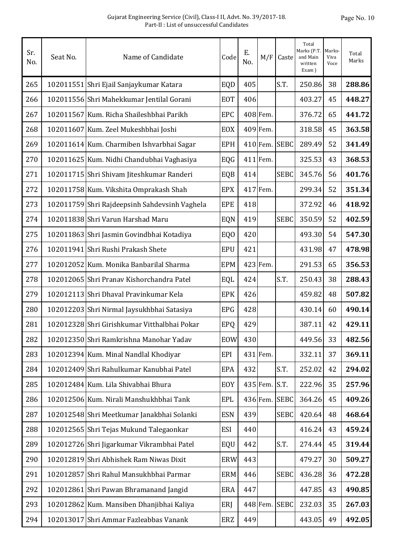| Sr.<br>No. | Seat No. | Name of Candidate                             | Code            | Ε.<br>No. | M/F      | Caste         | Total<br>Marks (P.T.<br>and Main<br>written<br>Exam) | Marks-<br>Viva<br>Voce | Total<br>Marks |
|------------|----------|-----------------------------------------------|-----------------|-----------|----------|---------------|------------------------------------------------------|------------------------|----------------|
| 265        |          | 102011551 Shri Ejail Sanjaykumar Katara       | EQD             | 405       |          | S.T.          | 250.86                                               | 38                     | 288.86         |
| 266        |          | 102011556 Shri Mahekkumar Jentilal Gorani     | <b>EOT</b>      | 406       |          |               | 403.27                                               | 45                     | 448.27         |
| 267        |          | 102011567 Kum. Richa Shaileshbhai Parikh      | <b>EPC</b>      |           | 408 Fem. |               | 376.72                                               | 65                     | 441.72         |
| 268        |          | 102011607 Kum. Zeel Mukeshbhai Joshi          | <b>EOX</b>      |           | 409 Fem. |               | 318.58                                               | 45                     | 363.58         |
| 269        |          | 102011614 Kum. Charmiben Ishvarbhai Sagar     | <b>EPH</b>      |           |          | 410 Fem. SEBC | 289.49                                               | 52                     | 341.49         |
| 270        |          | 102011625 Kum. Nidhi Chandubhai Vaghasiya     | EQG             |           | 411 Fem. |               | 325.53                                               | 43                     | 368.53         |
| 271        |          | 102011715 Shri Shivam Jiteshkumar Randeri     | EQB             | 414       |          | <b>SEBC</b>   | 345.76                                               | 56                     | 401.76         |
| 272        |          | 102011758 Kum. Vikshita Omprakash Shah        | <b>EPX</b>      |           | 417 Fem. |               | 299.34                                               | 52                     | 351.34         |
| 273        |          | 102011759 Shri Rajdeepsinh Sahdevsinh Vaghela | <b>EPE</b>      | 418       |          |               | 372.92                                               | 46                     | 418.92         |
| 274        |          | 102011838 Shri Varun Harshad Maru             | EQN             | 419       |          | <b>SEBC</b>   | 350.59                                               | 52                     | 402.59         |
| 275        |          | 102011863 Shri Jasmin Govindbhai Kotadiya     | EQ <sub>0</sub> | 420       |          |               | 493.30                                               | 54                     | 547.30         |
| 276        |          | 102011941 Shri Rushi Prakash Shete            | <b>EPU</b>      | 421       |          |               | 431.98                                               | 47                     | 478.98         |
| 277        |          | 102012052 Kum. Monika Banbarilal Sharma       | <b>EPM</b>      |           | 423 Fem. |               | 291.53                                               | 65                     | 356.53         |
| 278        |          | 102012065 Shri Pranav Kishorchandra Patel     | EQL             | 424       |          | S.T.          | 250.43                                               | 38                     | 288.43         |
| 279        |          | 102012113 Shri Dhaval Pravinkumar Kela        | <b>EPK</b>      | 426       |          |               | 459.82                                               | 48                     | 507.82         |
| 280        |          | 102012203 Shri Nirmal Jaysukhbhai Satasiya    | <b>EPG</b>      | 428       |          |               | 430.14                                               | 60                     | 490.14         |
| 281        |          | 102012328 Shri Girishkumar Vitthalbhai Pokar  | <b>EPQ</b>      | 429       |          |               | 387.11                                               | 42                     | 429.11         |
| 282        |          | 102012350 Shri Ramkrishna Manohar Yadav       | EOW             | 430       |          |               | 449.56                                               | 33                     | 482.56         |
| 283        |          | 102012394 Kum. Minal Nandlal Khodiyar         | EPI             |           | 431 Fem. |               | 332.11                                               | 37                     | 369.11         |
| 284        |          | 102012409 Shri Rahulkumar Kanubhai Patel      | <b>EPA</b>      | 432       |          | S.T.          | 252.02                                               | 42                     | 294.02         |
| 285        |          | 102012484 Kum. Lila Shivabhai Bhura           | EOY             |           | 435 Fem. | S.T.          | 222.96                                               | 35                     | 257.96         |
| 286        |          | 102012506 Kum. Nirali Manshukhbhai Tank       | <b>EPL</b>      |           | 436 Fem. | <b>SEBC</b>   | 364.26                                               | 45                     | 409.26         |
| 287        |          | 102012548 Shri Meetkumar Janakbhai Solanki    | <b>ESN</b>      | 439       |          | <b>SEBC</b>   | 420.64                                               | 48                     | 468.64         |
| 288        |          | 102012565 Shri Tejas Mukund Talegaonkar       | <b>ESI</b>      | 440       |          |               | 416.24                                               | 43                     | 459.24         |
| 289        |          | 102012726 Shri Jigarkumar Vikrambhai Patel    | EQU             | 442       |          | S.T.          | 274.44                                               | 45                     | 319.44         |
| 290        |          | 102012819 Shri Abhishek Ram Niwas Dixit       | <b>ERW</b>      | 443       |          |               | 479.27                                               | 30                     | 509.27         |
| 291        |          | 102012857 Shri Rahul Mansukhbhai Parmar       | <b>ERM</b>      | 446       |          | <b>SEBC</b>   | 436.28                                               | 36                     | 472.28         |
| 292        |          | 102012861 Shri Pawan Bhramanand Jangid        | <b>ERA</b>      | 447       |          |               | 447.85                                               | 43                     | 490.85         |
| 293        |          | 102012862 Kum. Mansiben Dhanjibhai Kaliya     | ERJ             |           | 448 Fem. | <b>SEBC</b>   | 232.03                                               | 35                     | 267.03         |
| 294        |          | 102013017 Shri Ammar Fazleabbas Vanank        | ERZ             | 449       |          |               | 443.05                                               | 49                     | 492.05         |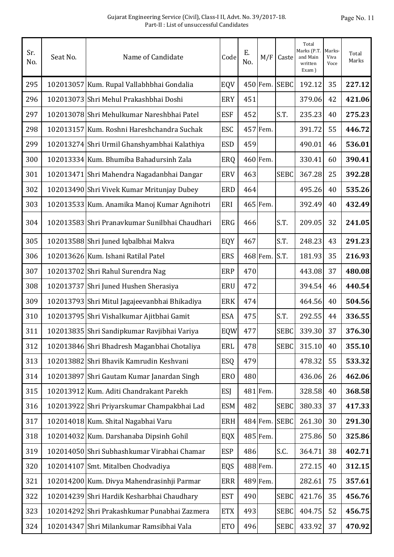| Sr.<br>No. | Seat No. | Name of Candidate                              | Code       | Ε.<br>No. | M/F      | Caste       | Total<br>Marks (P.T.<br>and Main<br>written<br>Exam) | Marks-<br>Viva<br>Voce | Total<br>Marks |
|------------|----------|------------------------------------------------|------------|-----------|----------|-------------|------------------------------------------------------|------------------------|----------------|
| 295        |          | 102013057 Kum. Rupal Vallabhbhai Gondalia      | EQV        |           | 450 Fem. | <b>SEBC</b> | 192.12                                               | 35                     | 227.12         |
| 296        |          | 102013073 Shri Mehul Prakashbhai Doshi         | <b>ERY</b> | 451       |          |             | 379.06                                               | 42                     | 421.06         |
| 297        |          | 102013078 Shri Mehulkumar Nareshbhai Patel     | <b>ESF</b> | 452       |          | S.T.        | 235.23                                               | 40                     | 275.23         |
| 298        |          | 102013157 Kum. Roshni Hareshchandra Suchak     | <b>ESC</b> |           | 457 Fem. |             | 391.72                                               | 55                     | 446.72         |
| 299        |          | 102013274 Shri Urmil Ghanshyambhai Kalathiya   | <b>ESD</b> | 459       |          |             | 490.01                                               | 46                     | 536.01         |
| 300        |          | 102013334 Kum. Bhumiba Bahadursinh Zala        | ERQ        |           | 460 Fem. |             | 330.41                                               | 60                     | 390.41         |
| 301        |          | 102013471 Shri Mahendra Nagadanbhai Dangar     | <b>ERV</b> | 463       |          | <b>SEBC</b> | 367.28                                               | 25                     | 392.28         |
| 302        |          | 102013490 Shri Vivek Kumar Mritunjay Dubey     | <b>ERD</b> | 464       |          |             | 495.26                                               | 40                     | 535.26         |
| 303        |          | 102013533 Kum. Anamika Manoj Kumar Agnihotri   | ERI        |           | 465 Fem. |             | 392.49                                               | 40                     | 432.49         |
| 304        |          | 102013583 Shri Pranavkumar Sunilbhai Chaudhari | ERG        | 466       |          | S.T.        | 209.05                                               | 32                     | 241.05         |
| 305        |          | 102013588 Shri Juned Iqbalbhai Makva           | EQY        | 467       |          | S.T.        | 248.23                                               | 43                     | 291.23         |
| 306        |          | 102013626 Kum. Ishani Ratilal Patel            | <b>ERS</b> |           | 468 Fem. | S.T.        | 181.93                                               | 35                     | 216.93         |
| 307        |          | 102013702 Shri Rahul Surendra Nag              | <b>ERP</b> | 470       |          |             | 443.08                                               | 37                     | 480.08         |
| 308        |          | 102013737 Shri Juned Hushen Sherasiya          | <b>ERU</b> | 472       |          |             | 394.54                                               | 46                     | 440.54         |
| 309        |          | 102013793 Shri Mitul Jagajeevanbhai Bhikadiya  | <b>ERK</b> | 474       |          |             | 464.56                                               | 40                     | 504.56         |
| 310        |          | 102013795 Shri Vishalkumar Ajitbhai Gamit      | <b>ESA</b> | 475       |          | S.T.        | 292.55                                               | 44                     | 336.55         |
| 311        |          | 102013835 Shri Sandipkumar Ravjibhai Variya    | EQW        | 477       |          | <b>SEBC</b> | 339.30                                               | 37                     | 376.30         |
| 312        |          | 102013846 Shri Bhadresh Maganbhai Chotaliya    | <b>ERL</b> | 478       |          | <b>SEBC</b> | 315.10                                               | 40                     | 355.10         |
| 313        |          | 102013882 Shri Bhavik Kamrudin Keshvani        | ESQ        | 479       |          |             | 478.32                                               | 55                     | 533.32         |
| 314        |          | 102013897 Shri Gautam Kumar Janardan Singh     | <b>ERO</b> | 480       |          |             | 436.06                                               | 26                     | 462.06         |
| 315        |          | 102013912 Kum. Aditi Chandrakant Parekh        | <b>ESJ</b> |           | 481 Fem. |             | 328.58                                               | 40                     | 368.58         |
| 316        |          | 102013922 Shri Priyarskumar Champakbhai Lad    | <b>ESM</b> | 482       |          | <b>SEBC</b> | 380.33                                               | 37                     | 417.33         |
| 317        |          | 102014018 Kum. Shital Nagabhai Varu            | ERH        |           | 484 Fem. | <b>SEBC</b> | 261.30                                               | 30                     | 291.30         |
| 318        |          | 102014032 Kum. Darshanaba Dipsinh Gohil        | EQX        |           | 485 Fem. |             | 275.86                                               | 50                     | 325.86         |
| 319        |          | 102014050 Shri Subhashkumar Virabhai Chamar    | <b>ESP</b> | 486       |          | S.C.        | 364.71                                               | 38                     | 402.71         |
| 320        |          | 102014107 Smt. Mitalben Chodvadiya             | EQS        |           | 488 Fem. |             | 272.15                                               | 40                     | 312.15         |
| 321        |          | 102014200 Kum. Divya Mahendrasinhji Parmar     | <b>ERR</b> |           | 489 Fem. |             | 282.61                                               | 75                     | 357.61         |
| 322        |          | 102014239 Shri Hardik Kesharbhai Chaudhary     | <b>EST</b> | 490       |          | <b>SEBC</b> | 421.76                                               | 35                     | 456.76         |
| 323        |          | 102014292 Shri Prakashkumar Punabhai Zazmera   | <b>ETX</b> | 493       |          | <b>SEBC</b> | 404.75                                               | 52                     | 456.75         |
| 324        |          | 102014347 Shri Milankumar Ramsibhai Vala       | <b>ETO</b> | 496       |          | <b>SEBC</b> | 433.92                                               | 37                     | 470.92         |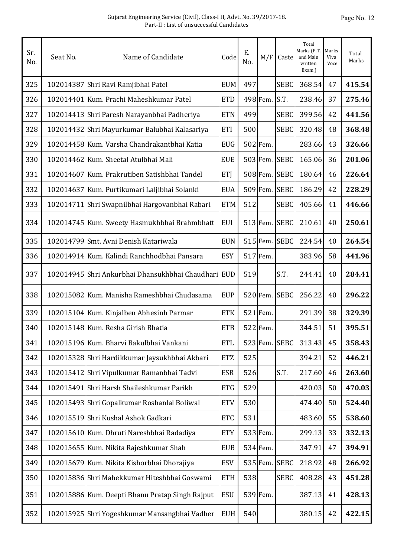| Sr.<br>No. | Seat No. | Name of Candidate                                   | Code       | Ε.<br>No. | M/F      | Caste       | Total<br>Marks (P.T.<br>and Main<br>written<br>Exam) | Marks-<br>Viva<br>Voce | Total<br>Marks |
|------------|----------|-----------------------------------------------------|------------|-----------|----------|-------------|------------------------------------------------------|------------------------|----------------|
| 325        |          | 102014387 Shri Ravi Ramjibhai Patel                 | <b>EUM</b> | 497       |          | <b>SEBC</b> | 368.54                                               | 47                     | 415.54         |
| 326        |          | 102014401 Kum. Prachi Maheshkumar Patel             | <b>ETD</b> |           | 498 Fem. | S.T.        | 238.46                                               | 37                     | 275.46         |
| 327        |          | 102014413 Shri Paresh Narayanbhai Padheriya         | <b>ETN</b> | 499       |          | <b>SEBC</b> | 399.56                                               | 42                     | 441.56         |
| 328        |          | 102014432 Shri Mayurkumar Balubhai Kalasariya       | ETI        | 500       |          | <b>SEBC</b> | 320.48                                               | 48                     | 368.48         |
| 329        |          | 102014458 Kum. Varsha Chandrakantbhai Katia         | <b>EUG</b> |           | 502 Fem. |             | 283.66                                               | 43                     | 326.66         |
| 330        |          | 102014462 Kum. Sheetal Atulbhai Mali                | <b>EUE</b> |           | 503 Fem. | <b>SEBC</b> | 165.06                                               | 36                     | 201.06         |
| 331        |          | 102014607 Kum. Prakrutiben Satishbhai Tandel        | <b>ETJ</b> |           | 508 Fem. | <b>SEBC</b> | 180.64                                               | 46                     | 226.64         |
| 332        |          | 102014637 Kum. Purtikumari Laljibhai Solanki        | <b>EUA</b> |           | 509 Fem. | <b>SEBC</b> | 186.29                                               | 42                     | 228.29         |
| 333        |          | 102014711 Shri Swapnilbhai Hargovanbhai Rabari      | <b>ETM</b> | 512       |          | <b>SEBC</b> | 405.66                                               | 41                     | 446.66         |
| 334        |          | 102014745 Kum. Sweety Hasmukhbhai Brahmbhatt        | <b>EUI</b> |           | 513 Fem. | <b>SEBC</b> | 210.61                                               | 40                     | 250.61         |
| 335        |          | 102014799 Smt. Avni Denish Katariwala               | <b>EUN</b> |           | 515 Fem. | <b>SEBC</b> | 224.54                                               | 40                     | 264.54         |
| 336        |          | 102014914 Kum. Kalindi Ranchhodbhai Pansara         | <b>ESY</b> |           | 517 Fem. |             | 383.96                                               | 58                     | 441.96         |
| 337        |          | 102014945 Shri Ankurbhai Dhansukhbhai Chaudhari EUD |            | 519       |          | S.T.        | 244.41                                               | 40                     | 284.41         |
| 338        |          | 102015082 Kum. Manisha Rameshbhai Chudasama         | <b>EUP</b> |           | 520 Fem. | <b>SEBC</b> | 256.22                                               | 40                     | 296.22         |
| 339        |          | 102015104 Kum. Kinjalben Abhesinh Parmar            | <b>ETK</b> |           | 521 Fem. |             | 291.39                                               | 38                     | 329.39         |
| 340        |          | 102015148 Kum. Resha Girish Bhatia                  | <b>ETB</b> |           | 522 Fem. |             | 344.51                                               | 51                     | 395.51         |
| 341        |          | 102015196 Kum. Bharvi Bakulbhai Vankani             | <b>ETL</b> |           | 523 Fem. | <b>SEBC</b> | 313.43                                               | 45                     | 358.43         |
| 342        |          | 102015328 Shri Hardikkumar Jaysukhbhai Akbari       | <b>ETZ</b> | 525       |          |             | 394.21                                               | 52                     | 446.21         |
| 343        |          | 102015412 Shri Vipulkumar Ramanbhai Tadvi           | <b>ESR</b> | 526       |          | S.T.        | 217.60                                               | 46                     | 263.60         |
| 344        |          | 102015491 Shri Harsh Shaileshkumar Parikh           | <b>ETG</b> | 529       |          |             | 420.03                                               | 50                     | 470.03         |
| 345        |          | 102015493 Shri Gopalkumar Roshanlal Boliwal         | <b>ETV</b> | 530       |          |             | 474.40                                               | 50                     | 524.40         |
| 346        |          | 102015519 Shri Kushal Ashok Gadkari                 | <b>ETC</b> | 531       |          |             | 483.60                                               | 55                     | 538.60         |
| 347        |          | 102015610 Kum. Dhruti Nareshbhai Radadiya           | <b>ETY</b> |           | 533 Fem. |             | 299.13                                               | 33                     | 332.13         |
| 348        |          | 102015655 Kum. Nikita Rajeshkumar Shah              | <b>EUB</b> |           | 534 Fem. |             | 347.91                                               | 47                     | 394.91         |
| 349        |          | 102015679 Kum. Nikita Kishorbhai Dhorajiya          | <b>ESV</b> |           | 535 Fem. | <b>SEBC</b> | 218.92                                               | 48                     | 266.92         |
| 350        |          | 102015836 Shri Mahekkumar Hiteshbhai Goswami        | <b>ETH</b> | 538       |          | <b>SEBC</b> | 408.28                                               | 43                     | 451.28         |
| 351        |          | 102015886 Kum. Deepti Bhanu Pratap Singh Rajput     | <b>ESU</b> |           | 539 Fem. |             | 387.13                                               | 41                     | 428.13         |
| 352        |          | 102015925 Shri Yogeshkumar Mansangbhai Vadher       | <b>EUH</b> | 540       |          |             | 380.15                                               | 42                     | 422.15         |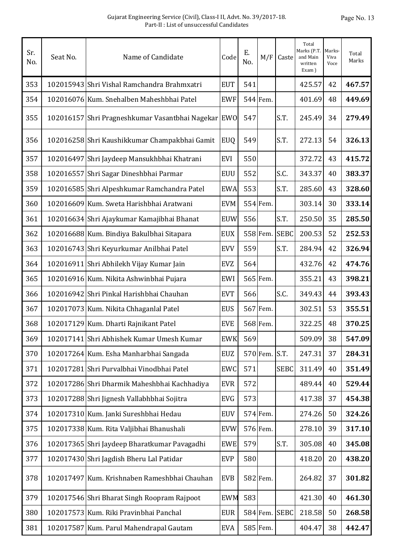| Sr.<br>No. | Seat No. | Name of Candidate                                   | Code       | Ε.<br>No. | M/F      | Caste         | Total<br>Marks (P.T.<br>and Main<br>written<br>Exam) | <b>Marks</b><br>Viva<br>Voce | Total<br>Marks |
|------------|----------|-----------------------------------------------------|------------|-----------|----------|---------------|------------------------------------------------------|------------------------------|----------------|
| 353        |          | 102015943 Shri Vishal Ramchandra Brahmxatri         | <b>EUT</b> | 541       |          |               | 425.57                                               | 42                           | 467.57         |
| 354        |          | 102016076 Kum. Snehalben Maheshbhai Patel           | <b>EWF</b> |           | 544 Fem. |               | 401.69                                               | 48                           | 449.69         |
| 355        |          | 102016157 Shri Pragneshkumar Vasantbhai Nagekar EWO |            | 547       |          | S.T.          | 245.49                                               | 34                           | 279.49         |
| 356        |          | 102016258 Shri Kaushikkumar Champakbhai Gamit       | <b>EUQ</b> | 549       |          | S.T.          | 272.13                                               | 54                           | 326.13         |
| 357        |          | 102016497 Shri Jaydeep Mansukhbhai Khatrani         | EVI        | 550       |          |               | 372.72                                               | 43                           | 415.72         |
| 358        |          | 102016557 Shri Sagar Dineshbhai Parmar              | <b>EUU</b> | 552       |          | S.C.          | 343.37                                               | 40                           | 383.37         |
| 359        |          | 102016585 Shri Alpeshkumar Ramchandra Patel         | <b>EWA</b> | 553       |          | S.T.          | 285.60                                               | 43                           | 328.60         |
| 360        |          | 102016609 Kum. Sweta Harishbhai Aratwani            | <b>EVM</b> |           | 554 Fem. |               | 303.14                                               | 30                           | 333.14         |
| 361        |          | 102016634 Shri Ajaykumar Kamajibhai Bhanat          | <b>EUW</b> | 556       |          | S.T.          | 250.50                                               | 35                           | 285.50         |
| 362        |          | 102016688 Kum. Bindiya Bakulbhai Sitapara           | <b>EUX</b> |           | 558 Fem. | <b>SEBC</b>   | 200.53                                               | 52                           | 252.53         |
| 363        |          | 102016743 Shri Keyurkumar Anilbhai Patel            | <b>EVV</b> | 559       |          | S.T.          | 284.94                                               | 42                           | 326.94         |
| 364        |          | 102016911 Shri Abhilekh Vijay Kumar Jain            | <b>EVZ</b> | 564       |          |               | 432.76                                               | 42                           | 474.76         |
| 365        |          | 102016916 Kum. Nikita Ashwinbhai Pujara             | EWI        |           | 565 Fem. |               | 355.21                                               | 43                           | 398.21         |
| 366        |          | 102016942 Shri Pinkal Harishbhai Chauhan            | <b>EVT</b> | 566       |          | S.C.          | 349.43                                               | 44                           | 393.43         |
| 367        |          | 102017073 Kum. Nikita Chhaganlal Patel              | <b>EUS</b> |           | 567 Fem. |               | 302.51                                               | 53                           | 355.51         |
| 368        |          | 102017129 Kum. Dharti Rajnikant Patel               | <b>EVE</b> |           | 568 Fem. |               | 322.25                                               | 48                           | 370.25         |
| 369        |          | 102017141 Shri Abhishek Kumar Umesh Kumar           | <b>EWK</b> | 569       |          |               | 509.09                                               | 38                           | 547.09         |
| 370        |          | 102017264 Kum. Esha Manharbhai Sangada              | <b>EUZ</b> |           | 570 Fem. | S.T.          | 247.31                                               | 37                           | 284.31         |
| 371        |          | 102017281 Shri Purvalbhai Vinodbhai Patel           | EWC        | 571       |          | <b>SEBC</b>   | 311.49                                               | 40                           | 351.49         |
| 372        |          | 102017286 Shri Dharmik Maheshbhai Kachhadiya        | <b>EVR</b> | 572       |          |               | 489.44                                               | 40                           | 529.44         |
| 373        |          | 102017288 Shri Jignesh Vallabhbhai Sojitra          | <b>EVG</b> | 573       |          |               | 417.38                                               | 37                           | 454.38         |
| 374        |          | 102017310 Kum. Janki Sureshbhai Hedau               | <b>EUV</b> |           | 574 Fem. |               | 274.26                                               | 50                           | 324.26         |
| 375        |          | 102017338 Kum. Rita Valjibhai Bhanushali            | <b>EVW</b> |           | 576 Fem. |               | 278.10                                               | 39                           | 317.10         |
| 376        |          | 102017365 Shri Jaydeep Bharatkumar Pavagadhi        | <b>EWE</b> | 579       |          | S.T.          | 305.08                                               | 40                           | 345.08         |
| 377        |          | 102017430 Shri Jagdish Bheru Lal Patidar            | <b>EVP</b> | 580       |          |               | 418.20                                               | 20                           | 438.20         |
| 378        |          | 102017497 Kum. Krishnaben Rameshbhai Chauhan        | <b>EVB</b> |           | 582 Fem. |               | 264.82                                               | 37                           | 301.82         |
| 379        |          | 102017546 Shri Bharat Singh Roopram Rajpoot         | <b>EWM</b> | 583       |          |               | 421.30                                               | 40                           | 461.30         |
| 380        |          | 102017573 Kum. Riki Pravinbhai Panchal              | <b>EUR</b> |           |          | 584 Fem. SEBC | 218.58                                               | 50                           | 268.58         |
| 381        |          | 102017587 Kum. Parul Mahendrapal Gautam             | <b>EVA</b> |           | 585 Fem. |               | 404.47                                               | 38                           | 442.47         |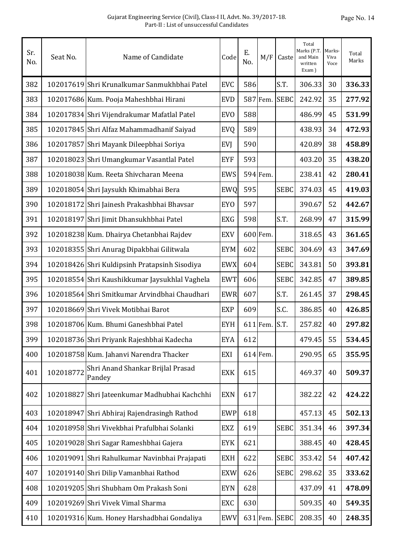| Sr.<br>No. | Seat No.  | Name of Candidate                              | Code            | E.<br>No. | M/F        | Caste         | Total<br>Marks (P.T.<br>and Main<br>written<br>Exam) | Marks-<br>Viva<br>Voce | Total<br>Marks |
|------------|-----------|------------------------------------------------|-----------------|-----------|------------|---------------|------------------------------------------------------|------------------------|----------------|
| 382        |           | 102017619 Shri Krunalkumar Sanmukhbhai Patel   | <b>EVC</b>      | 586       |            | S.T.          | 306.33                                               | 30                     | 336.33         |
| 383        |           | 102017686 Kum. Pooja Maheshbhai Hirani         | <b>EVD</b>      |           | 587 Fem.   | <b>SEBC</b>   | 242.92                                               | 35                     | 277.92         |
| 384        |           | 102017834 Shri Vijendrakumar Mafatlal Patel    | <b>EVO</b>      | 588       |            |               | 486.99                                               | 45                     | 531.99         |
| 385        |           | 102017845 Shri Alfaz Mahammadhanif Saiyad      | EVQ             | 589       |            |               | 438.93                                               | 34                     | 472.93         |
| 386        |           | 102017857 Shri Mayank Dileepbhai Soriya        | <b>EVJ</b>      | 590       |            |               | 420.89                                               | 38                     | 458.89         |
| 387        |           | 102018023 Shri Umangkumar Vasantlal Patel      | <b>EYF</b>      | 593       |            |               | 403.20                                               | 35                     | 438.20         |
| 388        |           | 102018038 Kum. Reeta Shivcharan Meena          | <b>EWS</b>      |           | 594 Fem.   |               | 238.41                                               | 42                     | 280.41         |
| 389        |           | 102018054 Shri Jaysukh Khimabhai Bera          | <b>EWQ</b>      | 595       |            | <b>SEBC</b>   | 374.03                                               | 45                     | 419.03         |
| 390        |           | 102018172 Shri Jainesh Prakashbhai Bhavsar     | EY <sub>0</sub> | 597       |            |               | 390.67                                               | 52                     | 442.67         |
| 391        |           | 102018197 Shri Jimit Dhansukhbhai Patel        | <b>EXG</b>      | 598       |            | S.T.          | 268.99                                               | 47                     | 315.99         |
| 392        |           | 102018238 Kum. Dhairya Chetanbhai Rajdev       | <b>EXV</b>      |           | 600 Fem.   |               | 318.65                                               | 43                     | 361.65         |
| 393        |           | 102018355 Shri Anurag Dipakbhai Gilitwala      | <b>EYM</b>      | 602       |            | <b>SEBC</b>   | 304.69                                               | 43                     | 347.69         |
| 394        |           | 102018426 Shri Kuldipsinh Pratapsinh Sisodiya  | <b>EWX</b>      | 604       |            | <b>SEBC</b>   | 343.81                                               | 50                     | 393.81         |
| 395        |           | 102018554 Shri Kaushikkumar Jaysukhlal Vaghela | <b>EWT</b>      | 606       |            | <b>SEBC</b>   | 342.85                                               | 47                     | 389.85         |
| 396        |           | 102018564 Shri Smitkumar Arvindbhai Chaudhari  | <b>EWR</b>      | 607       |            | S.T.          | 261.45                                               | 37                     | 298.45         |
| 397        |           | 102018669 Shri Vivek Motibhai Barot            | <b>EXP</b>      | 609       |            | S.C.          | 386.85                                               | 40                     | 426.85         |
| 398        |           | 102018706 Kum. Bhumi Ganeshbhai Patel          | <b>EYH</b>      |           | $611$ Fem. | S.T.          | 257.82                                               | 40                     | 297.82         |
| 399        |           | 102018736 Shri Priyank Rajeshbhai Kadecha      | <b>EYA</b>      | 612       |            |               | 479.45                                               | 55                     | 534.45         |
| 400        |           | 102018758 Kum. Jahanvi Narendra Thacker        | EXI             |           | $614$ Fem. |               | 290.95                                               | 65                     | 355.95         |
| 401        | 102018772 | Shri Anand Shankar Brijlal Prasad<br>Pandey    | <b>EXK</b>      | 615       |            |               | 469.37                                               | 40                     | 509.37         |
| 402        |           | 102018827 Shri Jateenkumar Madhubhai Kachchhi  | <b>EXN</b>      | 617       |            |               | 382.22                                               | 42                     | 424.22         |
| 403        |           | 102018947 Shri Abhiraj Rajendrasingh Rathod    | <b>EWP</b>      | 618       |            |               | 457.13                                               | 45                     | 502.13         |
| 404        |           | 102018958 Shri Vivekbhai Prafulbhai Solanki    | <b>EXZ</b>      | 619       |            | <b>SEBC</b>   | 351.34                                               | 46                     | 397.34         |
| 405        |           | 102019028 Shri Sagar Rameshbhai Gajera         | EYK             | 621       |            |               | 388.45                                               | 40                     | 428.45         |
| 406        |           | 102019091 Shri Rahulkumar Navinbhai Prajapati  | <b>EXH</b>      | 622       |            | <b>SEBC</b>   | 353.42                                               | 54                     | 407.42         |
| 407        |           | 102019140 Shri Dilip Vamanbhai Rathod          | <b>EXW</b>      | 626       |            | <b>SEBC</b>   | 298.62                                               | 35                     | 333.62         |
| 408        |           | 102019205 Shri Shubham Om Prakash Soni         | <b>EYN</b>      | 628       |            |               | 437.09                                               | 41                     | 478.09         |
| 409        |           | 102019269 Shri Vivek Vimal Sharma              | EXC             | 630       |            |               | 509.35                                               | 40                     | 549.35         |
| 410        |           | 102019316 Kum. Honey Harshadbhai Gondaliya     | <b>EWV</b>      |           |            | 631 Fem. SEBC | 208.35                                               | 40                     | 248.35         |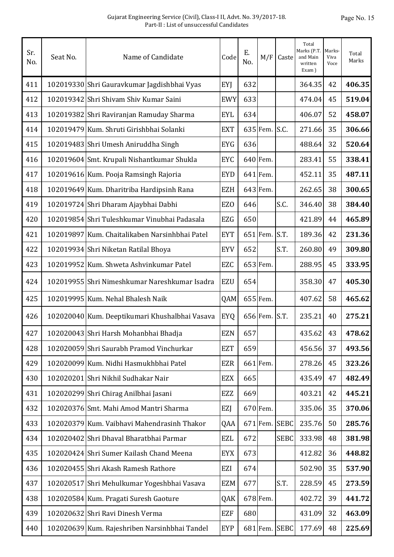| Sr.<br>No. | Seat No. | Name of Candidate                              | Code            | Ε.<br>No. | M/F      | Caste         | Total<br>Marks (P.T.<br>and Main<br>written<br>Exam) | Marks-<br>Viva<br>Voce | Total<br>Marks |
|------------|----------|------------------------------------------------|-----------------|-----------|----------|---------------|------------------------------------------------------|------------------------|----------------|
| 411        |          | 102019330 Shri Gauravkumar Jagdishbhai Vyas    | EYJ             | 632       |          |               | 364.35                                               | 42                     | 406.35         |
| 412        |          | 102019342 Shri Shivam Shiv Kumar Saini         | <b>EWY</b>      | 633       |          |               | 474.04                                               | 45                     | 519.04         |
| 413        |          | 102019382 Shri Raviranjan Ramuday Sharma       | <b>EYL</b>      | 634       |          |               | 406.07                                               | 52                     | 458.07         |
| 414        |          | 102019479 Kum. Shruti Girishbhai Solanki       | <b>EXT</b>      |           | 635 Fem. | S.C.          | 271.66                                               | 35                     | 306.66         |
| 415        |          | 102019483 Shri Umesh Aniruddha Singh           | <b>EYG</b>      | 636       |          |               | 488.64                                               | 32                     | 520.64         |
| 416        |          | 102019604 Smt. Krupali Nishantkumar Shukla     | <b>EYC</b>      |           | 640 Fem. |               | 283.41                                               | 55                     | 338.41         |
| 417        |          | 102019616 Kum. Pooja Ramsingh Rajoria          | <b>EYD</b>      |           | 641 Fem. |               | 452.11                                               | 35                     | 487.11         |
| 418        |          | 102019649 Kum. Dharitriba Hardipsinh Rana      | <b>EZH</b>      |           | 643 Fem. |               | 262.65                                               | 38                     | 300.65         |
| 419        |          | 102019724 Shri Dharam Ajaybhai Dabhi           | EZ <sub>0</sub> | 646       |          | S.C.          | 346.40                                               | 38                     | 384.40         |
| 420        |          | 102019854 Shri Tuleshkumar Vinubhai Padasala   | <b>EZG</b>      | 650       |          |               | 421.89                                               | 44                     | 465.89         |
| 421        |          | 102019897 Kum. Chaitalikaben Narsinhbhai Patel | <b>EYT</b>      |           | 651 Fem. | S.T.          | 189.36                                               | 42                     | 231.36         |
| 422        |          | 102019934 Shri Niketan Ratilal Bhoya           | <b>EYV</b>      | 652       |          | S.T.          | 260.80                                               | 49                     | 309.80         |
| 423        |          | 102019952 Kum. Shweta Ashvinkumar Patel        | EZC             |           | 653 Fem. |               | 288.95                                               | 45                     | 333.95         |
| 424        |          | 102019955 Shri Nimeshkumar Nareshkumar Isadra  | <b>EZU</b>      | 654       |          |               | 358.30                                               | 47                     | 405.30         |
| 425        |          | 102019995 Kum. Nehal Bhalesh Naik              | QAM             |           | 655 Fem. |               | 407.62                                               | 58                     | 465.62         |
| 426        |          | 102020040 Kum. Deeptikumari Khushalbhai Vasava | <b>EYQ</b>      |           | 656 Fem. | S.T.          | 235.21                                               | 40                     | 275.21         |
| 427        |          | 102020043 Shri Harsh Mohanbhai Bhadja          | EZN             | 657       |          |               | 435.62                                               | 43                     | 478.62         |
| 428        |          | 102020059 Shri Saurabh Pramod Vinchurkar       | <b>EZT</b>      | 659       |          |               | 456.56                                               | 37                     | 493.56         |
| 429        |          | 102020099 Kum. Nidhi Hasmukhbhai Patel         | <b>EZR</b>      |           | 661 Fem. |               | 278.26                                               | 45                     | 323.26         |
| 430        |          | 102020201 Shri Nikhil Sudhakar Nair            | <b>EZX</b>      | 665       |          |               | 435.49                                               | 47                     | 482.49         |
| 431        |          | 102020299 Shri Chirag Anilbhai Jasani          | EZZ             | 669       |          |               | 403.21                                               | 42                     | 445.21         |
| 432        |          | 102020376 Smt. Mahi Amod Mantri Sharma         | <b>EZJ</b>      |           | 670 Fem. |               | 335.06                                               | 35                     | 370.06         |
| 433        |          | 102020379 Kum. Vaibhavi Mahendrasinh Thakor    | QAA             |           | 671 Fem. | <b>SEBC</b>   | 235.76                                               | 50                     | 285.76         |
| 434        |          | 102020402 Shri Dhaval Bharatbhai Parmar        | <b>EZL</b>      | 672       |          | <b>SEBC</b>   | 333.98                                               | 48                     | 381.98         |
| 435        |          | 102020424 Shri Sumer Kailash Chand Meena       | <b>EYX</b>      | 673       |          |               | 412.82                                               | 36                     | 448.82         |
| 436        |          | 102020455 Shri Akash Ramesh Rathore            | EZI             | 674       |          |               | 502.90                                               | 35                     | 537.90         |
| 437        |          | 102020517 Shri Mehulkumar Yogeshbhai Vasava    | <b>EZM</b>      | 677       |          | S.T.          | 228.59                                               | 45                     | 273.59         |
| 438        |          | 102020584 Kum. Pragati Suresh Gaoture          | QAK             |           | 678 Fem. |               | 402.72                                               | 39                     | 441.72         |
| 439        |          | 102020632 Shri Ravi Dinesh Verma               | <b>EZF</b>      | 680       |          |               | 431.09                                               | 32                     | 463.09         |
| 440        |          | 102020639 Kum. Rajeshriben Narsinhbhai Tandel  | EYP             |           |          | 681 Fem. SEBC | 177.69                                               | 48                     | 225.69         |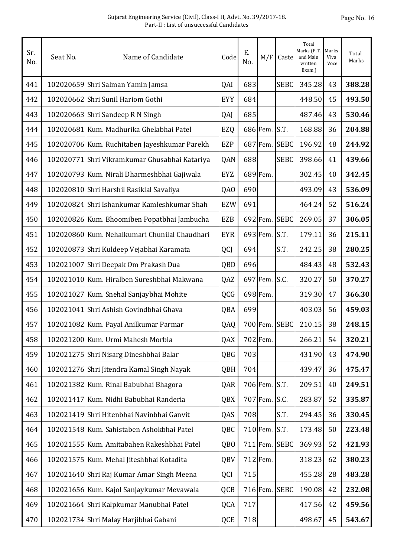| Sr.<br>No. | Seat No. | Name of Candidate                             | Code            | Ε.<br>No. | M/F      | Caste       | Total<br>Marks (P.T.<br>and Main<br>written<br>Exam) | Marks-<br>Viva<br>Voce | Total<br>Marks |
|------------|----------|-----------------------------------------------|-----------------|-----------|----------|-------------|------------------------------------------------------|------------------------|----------------|
| 441        |          | 102020659 Shri Salman Yamin Jamsa             | QAI             | 683       |          | <b>SEBC</b> | 345.28                                               | 43                     | 388.28         |
| 442        |          | 102020662 Shri Sunil Hariom Gothi             | <b>EYY</b>      | 684       |          |             | 448.50                                               | 45                     | 493.50         |
| 443        |          | 102020663 Shri Sandeep R N Singh              | QAJ             | 685       |          |             | 487.46                                               | 43                     | 530.46         |
| 444        |          | 102020681 Kum. Madhurika Ghelabhai Patel      | EZQ             |           | 686 Fem. | S.T.        | 168.88                                               | 36                     | 204.88         |
| 445        |          | 102020706 Kum. Ruchitaben Jayeshkumar Parekh  | <b>EZP</b>      |           | 687 Fem. | <b>SEBC</b> | 196.92                                               | 48                     | 244.92         |
| 446        |          | 102020771 Shri Vikramkumar Ghusabhai Katariya | QAN             | 688       |          | <b>SEBC</b> | 398.66                                               | 41                     | 439.66         |
| 447        |          | 102020793 Kum. Nirali Dharmeshbhai Gajiwala   | <b>EYZ</b>      |           | 689 Fem. |             | 302.45                                               | 40                     | 342.45         |
| 448        |          | 102020810 Shri Harshil Rasiklal Savaliya      | QA0             | 690       |          |             | 493.09                                               | 43                     | 536.09         |
| 449        |          | 102020824 Shri Ishankumar Kamleshkumar Shah   | <b>EZW</b>      | 691       |          |             | 464.24                                               | 52                     | 516.24         |
| 450        |          | 102020826 Kum. Bhoomiben Popatbhai Jambucha   | <b>EZB</b>      |           | 692 Fem. | <b>SEBC</b> | 269.05                                               | 37                     | 306.05         |
| 451        |          | 102020860 Kum. Nehalkumari Chunilal Chaudhari | <b>EYR</b>      |           | 693 Fem. | S.T.        | 179.11                                               | 36                     | 215.11         |
| 452        |          | 102020873 Shri Kuldeep Vejabhai Karamata      | QCJ             | 694       |          | S.T.        | 242.25                                               | 38                     | 280.25         |
| 453        |          | 102021007 Shri Deepak Om Prakash Dua          | QBD             | 696       |          |             | 484.43                                               | 48                     | 532.43         |
| 454        |          | 102021010 Kum. Hiralben Sureshbhai Makwana    | QAZ             |           | 697 Fem. | S.C.        | 320.27                                               | 50                     | 370.27         |
| 455        |          | 102021027 Kum. Snehal Sanjaybhai Mohite       | QCG             |           | 698 Fem. |             | 319.30                                               | 47                     | 366.30         |
| 456        |          | 102021041 Shri Ashish Govindbhai Ghava        | QBA             | 699       |          |             | 403.03                                               | 56                     | 459.03         |
| 457        |          | 102021082 Kum. Payal Anilkumar Parmar         | QAQ             |           | 700 Fem. | <b>SEBC</b> | 210.15                                               | 38                     | 248.15         |
| 458        |          | 102021200 Kum. Urmi Mahesh Morbia             | QAX             |           | 702 Fem. |             | 266.21                                               | 54                     | 320.21         |
| 459        |          | 102021275 Shri Nisarg Dineshbhai Balar        | QBG             | 703       |          |             | 431.90                                               | 43                     | 474.90         |
| 460        |          | 102021276 Shri Jitendra Kamal Singh Nayak     | QBH             | 704       |          |             | 439.47                                               | 36                     | 475.47         |
| 461        |          | 102021382 Kum. Rinal Babubhai Bhagora         | QAR             |           | 706 Fem. | S.T.        | 209.51                                               | 40                     | 249.51         |
| 462        |          | 102021417 Kum. Nidhi Babubhai Randeria        | QBX             |           | 707 Fem. | S.C.        | 283.87                                               | 52                     | 335.87         |
| 463        |          | 102021419 Shri Hitenbhai Navinbhai Ganvit     | QAS             | 708       |          | S.T.        | 294.45                                               | 36                     | 330.45         |
| 464        |          | 102021548 Kum. Sahistaben Ashokbhai Patel     | QBC             |           | 710 Fem. | S.T.        | 173.48                                               | 50                     | 223.48         |
| 465        |          | 102021555 Kum. Amitabahen Rakeshbhai Patel    | QB <sub>O</sub> |           | 711 Fem. | <b>SEBC</b> | 369.93                                               | 52                     | 421.93         |
| 466        |          | 102021575 Kum. Mehal Jiteshbhai Kotadita      | QBV             |           | 712 Fem. |             | 318.23                                               | 62                     | 380.23         |
| 467        |          | 102021640 Shri Raj Kumar Amar Singh Meena     | QCI             | 715       |          |             | 455.28                                               | 28                     | 483.28         |
| 468        |          | 102021656 Kum. Kajol Sanjaykumar Mevawala     | QCB             |           | 716 Fem. | <b>SEBC</b> | 190.08                                               | 42                     | 232.08         |
| 469        |          | 102021664 Shri Kalpkumar Manubhai Patel       | QCA             | 717       |          |             | 417.56                                               | 42                     | 459.56         |
| 470        |          | 102021734 Shri Malay Harjibhai Gabani         | QCE             | 718       |          |             | 498.67                                               | 45                     | 543.67         |